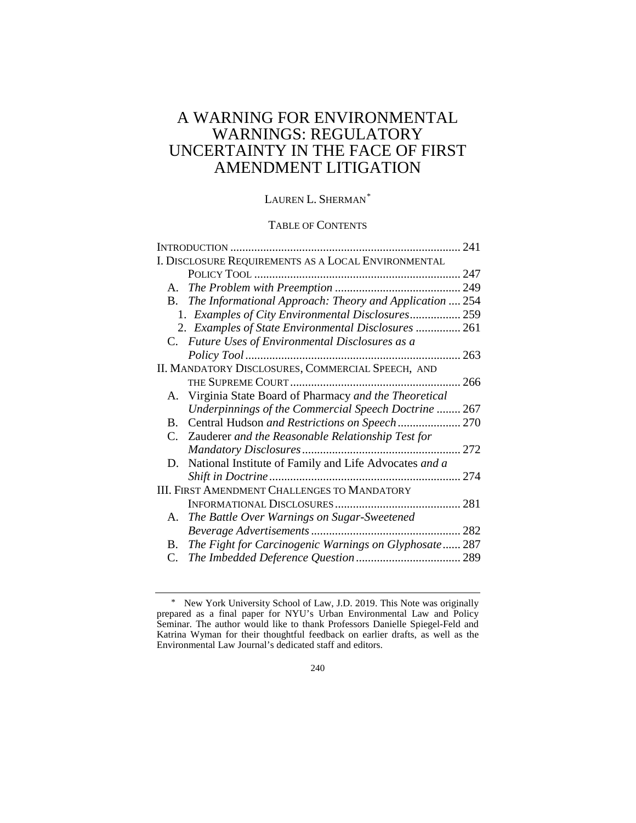# A WARNING FOR ENVIRONMENTAL WARNINGS: REGULATORY UNCERTAINTY IN THE FACE OF FIRST AMENDMENT LITIGATION

## LAUREN L. SHERMAN[\\*](#page-0-0)

### TABLE OF CONTENTS

|                                                     |                                                         | 241  |
|-----------------------------------------------------|---------------------------------------------------------|------|
| I. DISCLOSURE REQUIREMENTS AS A LOCAL ENVIRONMENTAL |                                                         |      |
|                                                     |                                                         |      |
|                                                     |                                                         | 249  |
| <b>B.</b>                                           | The Informational Approach: Theory and Application  254 |      |
|                                                     | 1. Examples of City Environmental Disclosures 259       |      |
|                                                     | 2. Examples of State Environmental Disclosures  261     |      |
|                                                     | C. Future Uses of Environmental Disclosures as a        |      |
|                                                     |                                                         |      |
| II. MANDATORY DISCLOSURES, COMMERCIAL SPEECH, AND   |                                                         |      |
|                                                     |                                                         |      |
|                                                     | A. Virginia State Board of Pharmacy and the Theoretical |      |
|                                                     | Underpinnings of the Commercial Speech Doctrine  267    |      |
| B.                                                  | Central Hudson and Restrictions on Speech 270           |      |
|                                                     | C. Zauderer and the Reasonable Relationship Test for    |      |
|                                                     |                                                         |      |
| D.                                                  | National Institute of Family and Life Advocates and a   |      |
|                                                     |                                                         |      |
| <b>III. FIRST AMENDMENT CHALLENGES TO MANDATORY</b> |                                                         |      |
|                                                     |                                                         | .281 |
| А.                                                  | The Battle Over Warnings on Sugar-Sweetened             |      |
|                                                     |                                                         |      |
| <b>B.</b>                                           | The Fight for Carcinogenic Warnings on Glyphosate 287   |      |
| C.                                                  |                                                         |      |

<span id="page-0-0"></span><sup>\*</sup> New York University School of Law, J.D. 2019. This Note was originally prepared as a final paper for NYU's Urban Environmental Law and Policy Seminar. The author would like to thank Professors Danielle Spiegel-Feld and Katrina Wyman for their thoughtful feedback on earlier drafts, as well as the Environmental Law Journal's dedicated staff and editors.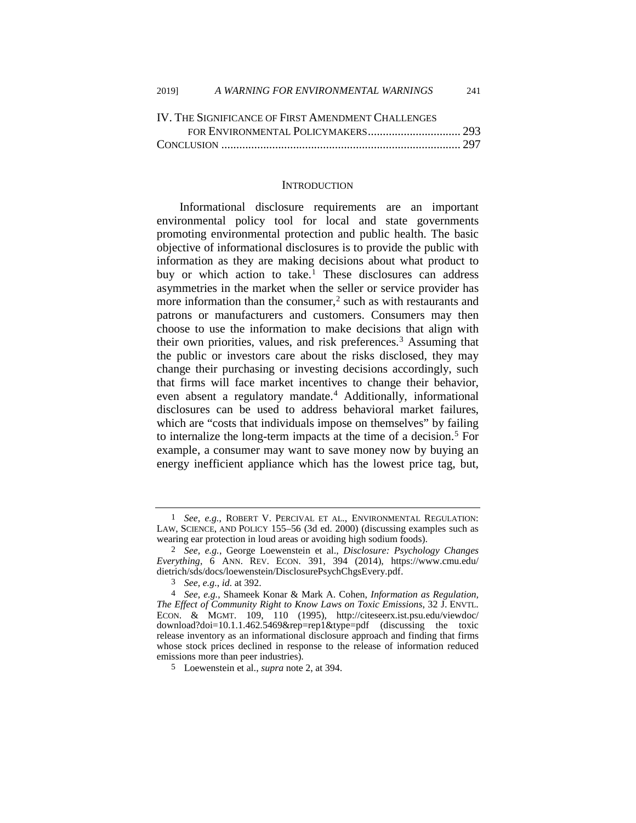| IV. THE SIGNIFICANCE OF FIRST AMENDMENT CHALLENGES |  |
|----------------------------------------------------|--|
|                                                    |  |
|                                                    |  |

#### <span id="page-1-0"></span>**INTRODUCTION**

Informational disclosure requirements are an important environmental policy tool for local and state governments promoting environmental protection and public health. The basic objective of informational disclosures is to provide the public with information as they are making decisions about what product to buy or which action to take.<sup>[1](#page-1-1)</sup> These disclosures can address asymmetries in the market when the seller or service provider has more information than the consumer,<sup>[2](#page-1-2)</sup> such as with restaurants and patrons or manufacturers and customers. Consumers may then choose to use the information to make decisions that align with their own priorities, values, and risk preferences.<sup>[3](#page-1-3)</sup> Assuming that the public or investors care about the risks disclosed, they may change their purchasing or investing decisions accordingly, such that firms will face market incentives to change their behavior, even absent a regulatory mandate.<sup>[4](#page-1-4)</sup> Additionally, informational disclosures can be used to address behavioral market failures, which are "costs that individuals impose on themselves" by failing to internalize the long-term impacts at the time of a decision.<sup>[5](#page-1-5)</sup> For example, a consumer may want to save money now by buying an energy inefficient appliance which has the lowest price tag, but,

<span id="page-1-1"></span> <sup>1</sup> *See, e.g.*, ROBERT V. PERCIVAL ET AL., ENVIRONMENTAL REGULATION: LAW, SCIENCE, AND POLICY 155–56 (3d ed. 2000) (discussing examples such as wearing ear protection in loud areas or avoiding high sodium foods).

<span id="page-1-2"></span><sup>2</sup> *See, e.g.*, George Loewenstein et al., *Disclosure: Psychology Changes Everything*, 6 ANN. REV. ECON. 391, 394 (2014), https://www.cmu.edu/ dietrich/sds/docs/loewenstein/DisclosurePsychChgsEvery.pdf.

<sup>3</sup> *See, e.g.*, *id.* at 392.

<span id="page-1-4"></span><span id="page-1-3"></span><sup>4</sup> *See, e.g.*, Shameek Konar & Mark A. Cohen, *Information as Regulation, The Effect of Community Right to Know Laws on Toxic Emissions*, 32 J. ENVTL. ECON. & MGMT. 109, 110 (1995), http://citeseerx.ist.psu.edu/viewdoc/ download?doi=10.1.1.462.5469&rep=rep1&type=pdf (discussing the toxic release inventory as an informational disclosure approach and finding that firms whose stock prices declined in response to the release of information reduced emissions more than peer industries).

<span id="page-1-5"></span><sup>5</sup> Loewenstein et al., *supra* note [2,](#page-1-0) at 394.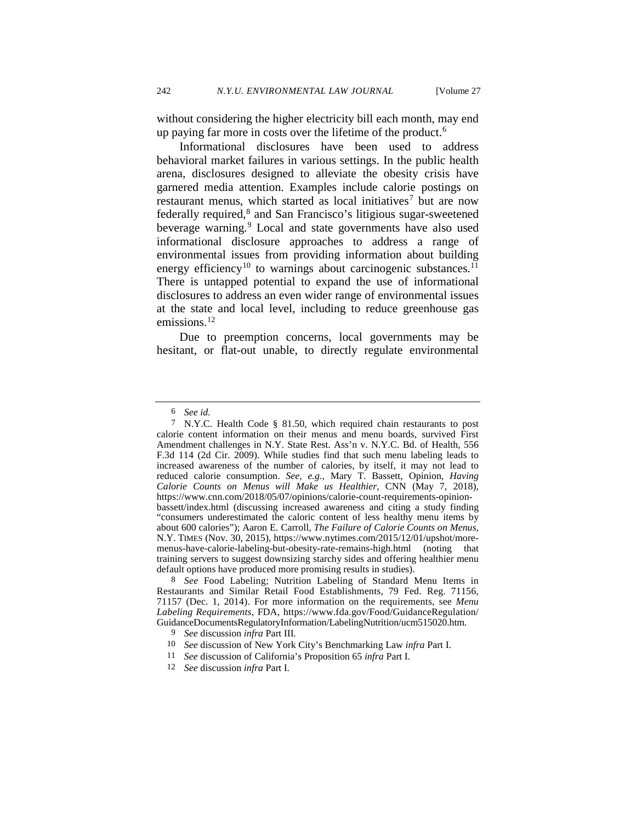without considering the higher electricity bill each month, may end up paying far more in costs over the lifetime of the product.<sup>[6](#page-2-0)</sup>

Informational disclosures have been used to address behavioral market failures in various settings. In the public health arena, disclosures designed to alleviate the obesity crisis have garnered media attention. Examples include calorie postings on restaurant menus, which started as local initiatives<sup>[7](#page-2-1)</sup> but are now federally required,<sup>[8](#page-2-2)</sup> and San Francisco's litigious sugar-sweetened beverage warning.<sup>[9](#page-2-3)</sup> Local and state governments have also used informational disclosure approaches to address a range of environmental issues from providing information about building energy efficiency<sup>[10](#page-2-4)</sup> to warnings about carcinogenic substances.<sup>[11](#page-2-5)</sup> There is untapped potential to expand the use of informational disclosures to address an even wider range of environmental issues at the state and local level, including to reduce greenhouse gas emissions.<sup>[12](#page-2-6)</sup>

Due to preemption concerns, local governments may be hesitant, or flat-out unable, to directly regulate environmental

<sup>6</sup> *See id.* 

<span id="page-2-1"></span><span id="page-2-0"></span><sup>7</sup> N.Y.C. Health Code § 81.50, which required chain restaurants to post calorie content information on their menus and menu boards, survived First Amendment challenges in N.Y. State Rest. Ass'n v. N.Y.C. Bd. of Health, 556 F.3d 114 (2d Cir. 2009). While studies find that such menu labeling leads to increased awareness of the number of calories, by itself, it may not lead to reduced calorie consumption. *See, e.g.*, Mary T. Bassett, Opinion, *Having Calorie Counts on Menus will Make us Healthier*, CNN (May 7, 2018), https://www.cnn.com/2018/05/07/opinions/calorie-count-requirements-opinionbassett/index.html (discussing increased awareness and citing a study finding "consumers underestimated the caloric content of less healthy menu items by about 600 calories"); Aaron E. Carroll, *The Failure of Calorie Counts on Menus*, N.Y. TIMES (Nov. 30, 2015), https://www.nytimes.com/2015/12/01/upshot/moremenus-have-calorie-labeling-but-obesity-rate-remains-high.html (noting that training servers to suggest downsizing starchy sides and offering healthier menu default options have produced more promising results in studies).

<span id="page-2-3"></span><span id="page-2-2"></span><sup>8</sup> *See* Food Labeling; Nutrition Labeling of Standard Menu Items in Restaurants and Similar Retail Food Establishments, 79 Fed. Reg. 71156, 71157 (Dec. 1, 2014). For more information on the requirements, see *Menu Labeling Requirements*, FDA, https://www.fda.gov/Food/GuidanceRegulation/ GuidanceDocumentsRegulatoryInformation/LabelingNutrition/ucm515020.htm. 9 *See* discussion *infra* Part III.

<sup>10</sup> *See* discussion of New York City's Benchmarking Law *infra* Part I.

<sup>11</sup> *See* discussion of California's Proposition 65 *infra* Part I.

<span id="page-2-6"></span><span id="page-2-5"></span><span id="page-2-4"></span><sup>12</sup> *See* discussion *infra* Part I.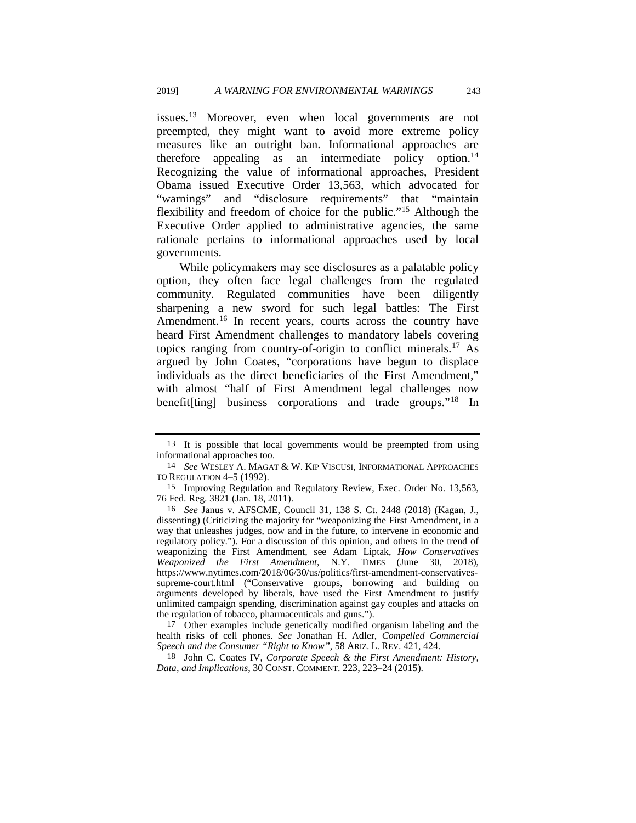issues.[13](#page-3-0) Moreover, even when local governments are not preempted, they might want to avoid more extreme policy measures like an outright ban. Informational approaches are therefore appealing as an intermediate policy option.<sup>14</sup> Recognizing the value of informational approaches, President Obama issued Executive Order 13,563, which advocated for "warnings" and "disclosure requirements" that "maintain flexibility and freedom of choice for the public."[15](#page-3-2) Although the Executive Order applied to administrative agencies, the same rationale pertains to informational approaches used by local governments.

<span id="page-3-6"></span>While policymakers may see disclosures as a palatable policy option, they often face legal challenges from the regulated community. Regulated communities have been diligently sharpening a new sword for such legal battles: The First Amendment.<sup>[16](#page-3-3)</sup> In recent years, courts across the country have heard First Amendment challenges to mandatory labels covering topics ranging from country-of-origin to conflict minerals.[17](#page-3-4) As argued by John Coates, "corporations have begun to displace individuals as the direct beneficiaries of the First Amendment," with almost "half of First Amendment legal challenges now benefit[ting] business corporations and trade groups."[18](#page-3-5) In

<span id="page-3-7"></span><span id="page-3-0"></span><sup>13</sup> It is possible that local governments would be preempted from using informational approaches too.

<span id="page-3-1"></span><sup>14</sup> *See* WESLEY A. MAGAT & W. KIP VISCUSI, INFORMATIONAL APPROACHES TO REGULATION 4–5 (1992).

<span id="page-3-2"></span><sup>15</sup> Improving Regulation and Regulatory Review, Exec. Order No. 13,563, 76 Fed. Reg. 3821 (Jan. 18, 2011).

<span id="page-3-3"></span><sup>16</sup> *See* Janus v. AFSCME, Council 31, 138 S. Ct. 2448 (2018) (Kagan, J., dissenting) (Criticizing the majority for "weaponizing the First Amendment, in a way that unleashes judges, now and in the future, to intervene in economic and regulatory policy."). For a discussion of this opinion, and others in the trend of weaponizing the First Amendment, see Adam Liptak, *How Conservatives Weaponized the First Amendment*, N.Y. TIMES (June 30, 2018), https://www.nytimes.com/2018/06/30/us/politics/first-amendment-conservativessupreme-court.html ("Conservative groups, borrowing and building on arguments developed by liberals, have used the First Amendment to justify unlimited campaign spending, discrimination against gay couples and attacks on the regulation of tobacco, pharmaceuticals and guns.").

<span id="page-3-4"></span><sup>17</sup> Other examples include genetically modified organism labeling and the health risks of cell phones. *See* Jonathan H. Adler, *Compelled Commercial Speech and the Consumer "Right to Know"*, 58 ARIZ. L. REV. 421, 424.

<span id="page-3-5"></span><sup>18</sup> John C. Coates IV, *Corporate Speech & the First Amendment: History, Data, and Implications*, 30 CONST. COMMENT. 223, 223–24 (2015).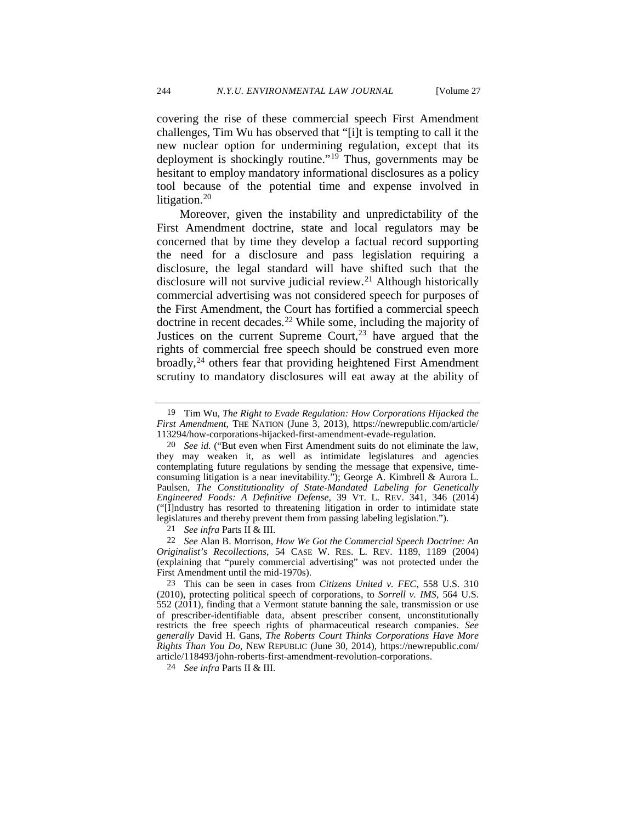<span id="page-4-7"></span>covering the rise of these commercial speech First Amendment challenges, Tim Wu has observed that "[i]t is tempting to call it the new nuclear option for undermining regulation, except that its deployment is shockingly routine."<sup>[19](#page-4-0)</sup> Thus, governments may be hesitant to employ mandatory informational disclosures as a policy tool because of the potential time and expense involved in litigation.<sup>[20](#page-4-1)</sup>

<span id="page-4-6"></span>Moreover, given the instability and unpredictability of the First Amendment doctrine, state and local regulators may be concerned that by time they develop a factual record supporting the need for a disclosure and pass legislation requiring a disclosure, the legal standard will have shifted such that the disclosure will not survive judicial review.<sup>[21](#page-4-2)</sup> Although historically commercial advertising was not considered speech for purposes of the First Amendment, the Court has fortified a commercial speech doctrine in recent decades.<sup>[22](#page-4-3)</sup> While some, including the majority of Justices on the current Supreme Court,<sup>[23](#page-4-4)</sup> have argued that the rights of commercial free speech should be construed even more broadly,<sup>[24](#page-4-5)</sup> others fear that providing heightened First Amendment scrutiny to mandatory disclosures will eat away at the ability of

21 *See infra* Parts II & III.

<span id="page-4-3"></span><span id="page-4-2"></span>22 *See* Alan B. Morrison, *How We Got the Commercial Speech Doctrine: An Originalist's Recollections*, 54 CASE W. RES. L. REV. 1189, 1189 (2004) (explaining that "purely commercial advertising" was not protected under the First Amendment until the mid-1970s).

<span id="page-4-4"></span>23 This can be seen in cases from *Citizens United v. FEC*, 558 U.S. 310 (2010), protecting political speech of corporations, to *Sorrell v. IMS*, 564 U.S. 552 (2011), finding that a Vermont statute banning the sale, transmission or use of prescriber-identifiable data, absent prescriber consent, unconstitutionally restricts the free speech rights of pharmaceutical research companies. *See generally* David H. Gans, *The Roberts Court Thinks Corporations Have More Rights Than You Do*, NEW REPUBLIC (June 30, 2014), https://newrepublic.com/ article/118493/john-roberts-first-amendment-revolution-corporations.

<span id="page-4-5"></span>24 *See infra* Parts II & III.

<span id="page-4-0"></span><sup>19</sup> Tim Wu, *The Right to Evade Regulation: How Corporations Hijacked the First Amendment*, THE NATION (June 3, 2013), https://newrepublic.com/article/ 113294/how-corporations-hijacked-first-amendment-evade-regulation.

<span id="page-4-1"></span><sup>20</sup> *See id.* ("But even when First Amendment suits do not eliminate the law, they may weaken it, as well as intimidate legislatures and agencies contemplating future regulations by sending the message that expensive, timeconsuming litigation is a near inevitability."); George A. Kimbrell & Aurora L. Paulsen, *The Constitutionality of State-Mandated Labeling for Genetically Engineered Foods: A Definitive Defense*, 39 VT. L. REV. 341, 346 (2014) ("[I]ndustry has resorted to threatening litigation in order to intimidate state legislatures and thereby prevent them from passing labeling legislation.").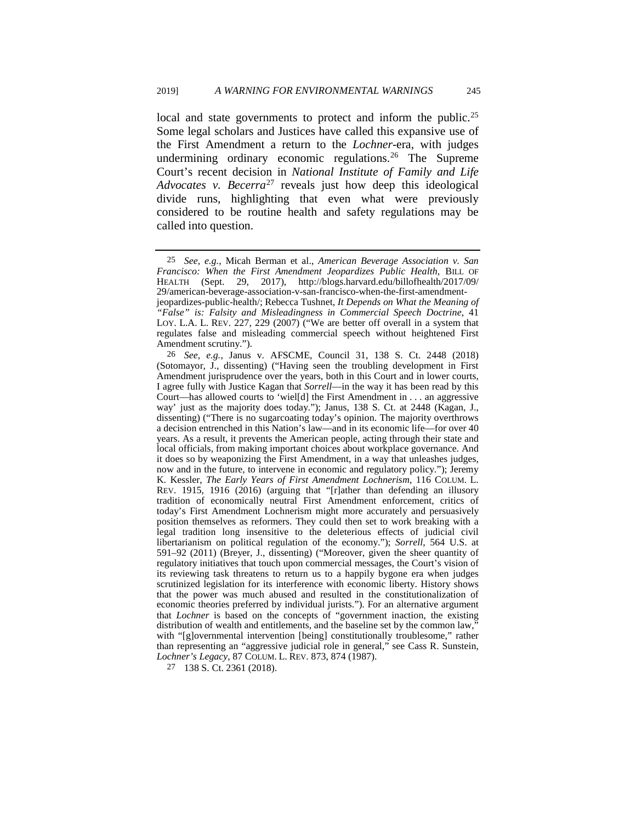<span id="page-5-3"></span>local and state governments to protect and inform the public.<sup>[25](#page-5-0)</sup> Some legal scholars and Justices have called this expansive use of the First Amendment a return to the *Lochner*-era, with judges undermining ordinary economic regulations.<sup>[26](#page-5-1)</sup> The Supreme Court's recent decision in *National Institute of Family and Life Advocates v. Becerra*[27](#page-5-2) reveals just how deep this ideological divide runs, highlighting that even what were previously considered to be routine health and safety regulations may be called into question.

<span id="page-5-2"></span>27 138 S. Ct. 2361 (2018).

<span id="page-5-0"></span><sup>25</sup> *See, e.g.*, Micah Berman et al., *American Beverage Association v. San Francisco: When the First Amendment Jeopardizes Public Health*, BILL OF HEALTH (Sept. 29, 2017), http://blogs.harvard.edu/billofhealth/2017/09/ 29/american-beverage-association-v-san-francisco-when-the-first-amendment-

jeopardizes-public-health/; Rebecca Tushnet, *It Depends on What the Meaning of "False" is: Falsity and Misleadingness in Commercial Speech Doctrine*, 41 LOY. L.A. L. REV. 227, 229 (2007) ("We are better off overall in a system that regulates false and misleading commercial speech without heightened First Amendment scrutiny.").

<span id="page-5-1"></span><sup>26</sup> *See, e.g.*, Janus v. AFSCME, Council 31, 138 S. Ct. 2448 (2018) (Sotomayor, J., dissenting) ("Having seen the troubling development in First Amendment jurisprudence over the years, both in this Court and in lower courts, I agree fully with Justice Kagan that *Sorrell*—in the way it has been read by this Court—has allowed courts to 'wiel[d] the First Amendment in . . . an aggressive way' just as the majority does today."); Janus, 138 S. Ct. at 2448 (Kagan, J., dissenting) ("There is no sugarcoating today's opinion. The majority overthrows a decision entrenched in this Nation's law—and in its economic life—for over 40 years. As a result, it prevents the American people, acting through their state and local officials, from making important choices about workplace governance. And it does so by weaponizing the First Amendment, in a way that unleashes judges, now and in the future, to intervene in economic and regulatory policy."); Jeremy K. Kessler, *The Early Years of First Amendment Lochnerism*, 116 COLUM. L. REV. 1915, 1916 (2016) (arguing that "[r]ather than defending an illusory tradition of economically neutral First Amendment enforcement, critics of today's First Amendment Lochnerism might more accurately and persuasively position themselves as reformers. They could then set to work breaking with a legal tradition long insensitive to the deleterious effects of judicial civil libertarianism on political regulation of the economy."); *Sorrell*, 564 U.S. at 591–92 (2011) (Breyer, J., dissenting) ("Moreover, given the sheer quantity of regulatory initiatives that touch upon commercial messages, the Court's vision of its reviewing task threatens to return us to a happily bygone era when judges scrutinized legislation for its interference with economic liberty. History shows that the power was much abused and resulted in the constitutionalization of economic theories preferred by individual jurists."). For an alternative argument that *Lochner* is based on the concepts of "government inaction, the existing distribution of wealth and entitlements, and the baseline set by the common law,<sup>"</sup> with "[g]overnmental intervention [being] constitutionally troublesome," rather than representing an "aggressive judicial role in general," see Cass R. Sunstein, *Lochner's Legacy*, 87 COLUM. L. REV. 873, 874 (1987).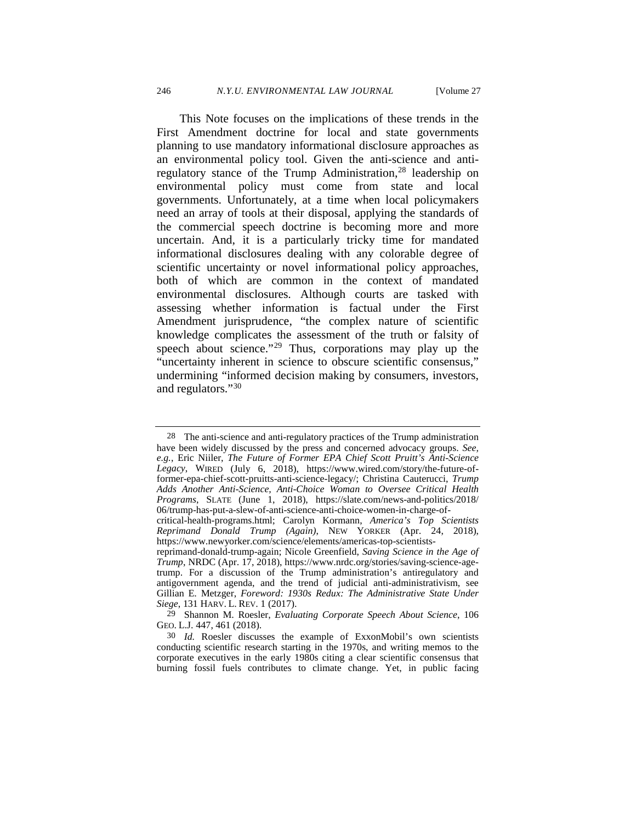This Note focuses on the implications of these trends in the First Amendment doctrine for local and state governments planning to use mandatory informational disclosure approaches as an environmental policy tool. Given the anti-science and antiregulatory stance of the Trump Administration,<sup>28</sup> leadership on environmental policy must come from state and local governments. Unfortunately, at a time when local policymakers need an array of tools at their disposal, applying the standards of the commercial speech doctrine is becoming more and more uncertain. And, it is a particularly tricky time for mandated informational disclosures dealing with any colorable degree of scientific uncertainty or novel informational policy approaches, both of which are common in the context of mandated environmental disclosures. Although courts are tasked with assessing whether information is factual under the First Amendment jurisprudence, "the complex nature of scientific knowledge complicates the assessment of the truth or falsity of speech about science."<sup>[29](#page-6-1)</sup> Thus, corporations may play up the "uncertainty inherent in science to obscure scientific consensus," undermining "informed decision making by consumers, investors, and regulators."[30](#page-6-2)

<span id="page-6-3"></span><span id="page-6-0"></span><sup>28</sup> The anti-science and anti-regulatory practices of the Trump administration have been widely discussed by the press and concerned advocacy groups. *See, e.g.*, Eric Niiler, *The Future of Former EPA Chief Scott Pruitt's Anti-Science Legacy*, WIRED (July 6, 2018), https://www.wired.com/story/the-future-offormer-epa-chief-scott-pruitts-anti-science-legacy/; Christina Cauterucci, *Trump Adds Another Anti-Science, Anti-Choice Woman to Oversee Critical Health Programs*, SLATE (June 1, 2018), https://slate.com/news-and-politics/2018/ 06/trump-has-put-a-slew-of-anti-science-anti-choice-women-in-charge-of-

critical-health-programs.html; Carolyn Kormann, *America's Top Scientists Reprimand Donald Trump (Again)*, NEW YORKER (Apr. 24, 2018), https://www.newyorker.com/science/elements/americas-top-scientists-

reprimand-donald-trump-again; Nicole Greenfield, *Saving Science in the Age of Trump*, NRDC (Apr. 17, 2018), https://www.nrdc.org/stories/saving-science-agetrump. For a discussion of the Trump administration's antiregulatory and antigovernment agenda, and the trend of judicial anti-administrativism, see Gillian E. Metzger, *Foreword: 1930s Redux: The Administrative State Under Siege*, 131 HARV. L. REV. 1 (2017).

<span id="page-6-1"></span><sup>29</sup> Shannon M. Roesler, *Evaluating Corporate Speech About Science*, 106 GEO. L.J. 447, 461 (2018).

<span id="page-6-2"></span><sup>30</sup> *Id.* Roesler discusses the example of ExxonMobil's own scientists conducting scientific research starting in the 1970s, and writing memos to the corporate executives in the early 1980s citing a clear scientific consensus that burning fossil fuels contributes to climate change. Yet, in public facing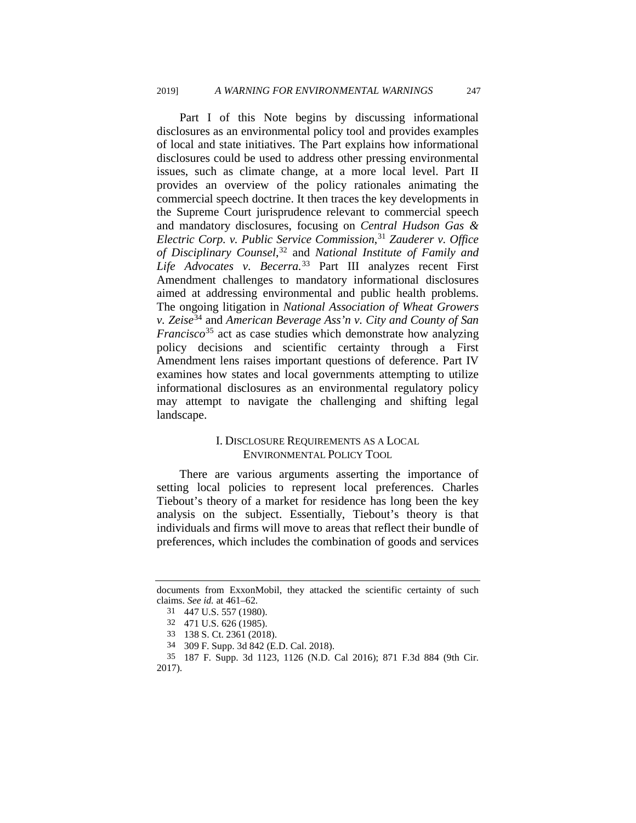Part I of this Note begins by discussing informational disclosures as an environmental policy tool and provides examples of local and state initiatives. The Part explains how informational disclosures could be used to address other pressing environmental issues, such as climate change, at a more local level. Part II provides an overview of the policy rationales animating the commercial speech doctrine. It then traces the key developments in the Supreme Court jurisprudence relevant to commercial speech and mandatory disclosures, focusing on *Central Hudson Gas & Electric Corp. v. Public Service Commission*, [31](#page-7-0) *Zauderer v. Office of Disciplinary Counsel*, [32](#page-7-1) and *National Institute of Family and Life Advocates v. Becerra.*[33](#page-7-2) Part III analyzes recent First Amendment challenges to mandatory informational disclosures aimed at addressing environmental and public health problems. The ongoing litigation in *National Association of Wheat Growers v. Zeise*[34](#page-7-3) and *American Beverage Ass'n v. City and County of San Francisco*<sup>[35](#page-7-4)</sup> act as case studies which demonstrate how analyzing policy decisions and scientific certainty through a First Amendment lens raises important questions of deference. Part IV examines how states and local governments attempting to utilize informational disclosures as an environmental regulatory policy may attempt to navigate the challenging and shifting legal landscape.

### I. DISCLOSURE REQUIREMENTS AS A LOCAL ENVIRONMENTAL POLICY TOOL

There are various arguments asserting the importance of setting local policies to represent local preferences. Charles Tiebout's theory of a market for residence has long been the key analysis on the subject. Essentially, Tiebout's theory is that individuals and firms will move to areas that reflect their bundle of preferences, which includes the combination of goods and services

<span id="page-7-1"></span><span id="page-7-0"></span>documents from ExxonMobil, they attacked the scientific certainty of such claims. *See id.* at 461–62.

<sup>31 447</sup> U.S. 557 (1980).

<sup>32 471</sup> U.S. 626 (1985).

<sup>33 138</sup> S. Ct. 2361 (2018).

<sup>34 309</sup> F. Supp. 3d 842 (E.D. Cal. 2018).

<span id="page-7-4"></span><span id="page-7-3"></span><span id="page-7-2"></span><sup>35 187</sup> F. Supp. 3d 1123, 1126 (N.D. Cal 2016); 871 F.3d 884 (9th Cir. 2017).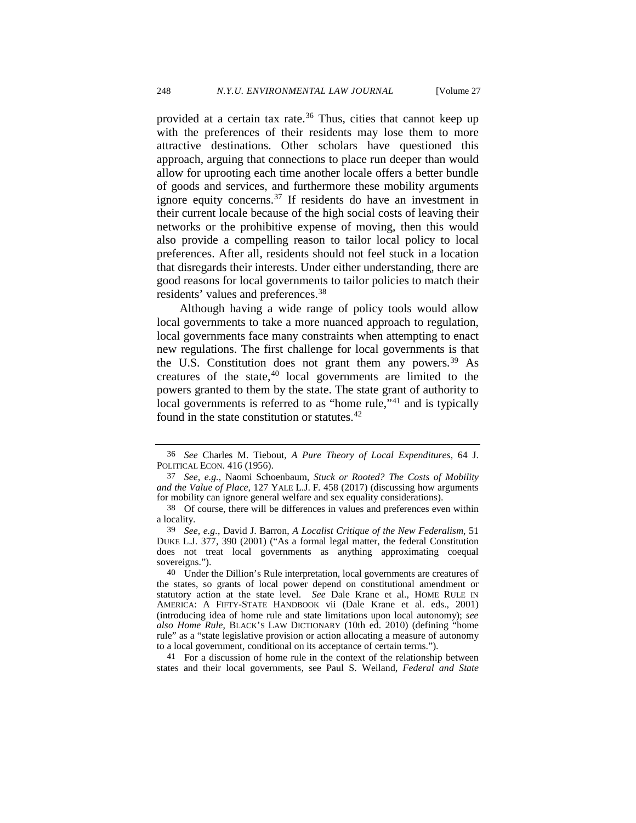provided at a certain tax rate.<sup>[36](#page-8-0)</sup> Thus, cities that cannot keep up with the preferences of their residents may lose them to more attractive destinations. Other scholars have questioned this approach, arguing that connections to place run deeper than would allow for uprooting each time another locale offers a better bundle of goods and services, and furthermore these mobility arguments ignore equity concerns.[37](#page-8-1) If residents do have an investment in their current locale because of the high social costs of leaving their networks or the prohibitive expense of moving, then this would also provide a compelling reason to tailor local policy to local preferences. After all, residents should not feel stuck in a location that disregards their interests. Under either understanding, there are good reasons for local governments to tailor policies to match their residents' values and preferences.[38](#page-8-2)

Although having a wide range of policy tools would allow local governments to take a more nuanced approach to regulation, local governments face many constraints when attempting to enact new regulations. The first challenge for local governments is that the U.S. Constitution does not grant them any powers.<sup>[39](#page-8-3)</sup> As creatures of the state, $40 \text{ local governments}$  $40 \text{ local governments}$  are limited to the powers granted to them by the state. The state grant of authority to local governments is referred to as "home rule,"<sup>[41](#page-8-5)</sup> and is typically found in the state constitution or statutes.<sup>[42](#page-8-6)</sup>

<span id="page-8-5"></span>41 For a discussion of home rule in the context of the relationship between states and their local governments, see Paul S. Weiland, *Federal and State* 

<span id="page-8-7"></span><span id="page-8-6"></span><span id="page-8-0"></span><sup>36</sup> *See* Charles M. Tiebout, *A Pure Theory of Local Expenditures*, 64 J. POLITICAL ECON. 416 (1956).

<span id="page-8-1"></span><sup>37</sup> *See, e.g.*, Naomi Schoenbaum, *Stuck or Rooted? The Costs of Mobility and the Value of Place*, 127 YALE L.J. F. 458 (2017) (discussing how arguments for mobility can ignore general welfare and sex equality considerations).

<span id="page-8-2"></span><sup>38</sup> Of course, there will be differences in values and preferences even within a locality.

<span id="page-8-3"></span><sup>39</sup> *See, e.g.*, David J. Barron, *A Localist Critique of the New Federalism*, 51 DUKE L.J. 377*,* 390 (2001) ("As a formal legal matter, the federal Constitution does not treat local governments as anything approximating coequal sovereigns.").

<span id="page-8-4"></span><sup>40</sup> Under the Dillion's Rule interpretation, local governments are creatures of the states, so grants of local power depend on constitutional amendment or statutory action at the state level. *See* Dale Krane et al., HOME RULE IN AMERICA: A FIFTY-STATE HANDBOOK vii (Dale Krane et al. eds., 2001) (introducing idea of home rule and state limitations upon local autonomy); *see also Home Rule*, BLACK'S LAW DICTIONARY (10th ed. 2010) (defining "home rule" as a "state legislative provision or action allocating a measure of autonomy to a local government, conditional on its acceptance of certain terms.").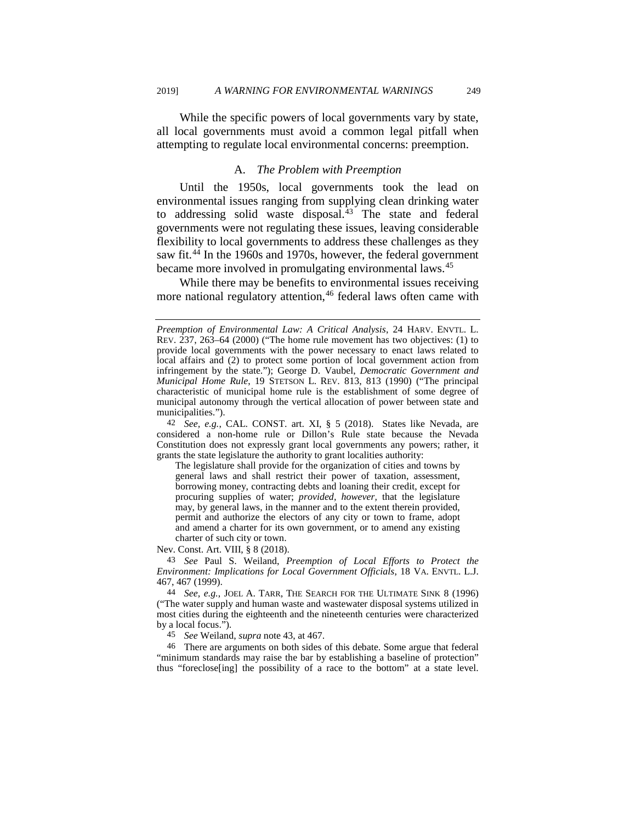While the specific powers of local governments vary by state, all local governments must avoid a common legal pitfall when attempting to regulate local environmental concerns: preemption.

#### <span id="page-9-0"></span>A. *The Problem with Preemption*

Until the 1950s, local governments took the lead on environmental issues ranging from supplying clean drinking water to addressing solid waste disposal[.43](#page-9-1) The state and federal governments were not regulating these issues, leaving considerable flexibility to local governments to address these challenges as they saw fit.<sup>[44](#page-9-2)</sup> In the 1960s and 1970s, however, the federal government became more involved in promulgating environmental laws.<sup>[45](#page-9-3)</sup>

While there may be benefits to environmental issues receiving more national regulatory attention,<sup>[46](#page-9-4)</sup> federal laws often came with

The legislature shall provide for the organization of cities and towns by general laws and shall restrict their power of taxation, assessment, borrowing money, contracting debts and loaning their credit, except for procuring supplies of water; *provided, however,* that the legislature may, by general laws, in the manner and to the extent therein provided, permit and authorize the electors of any city or town to frame, adopt and amend a charter for its own government, or to amend any existing charter of such city or town.

Nev. Const. Art. VIII, § 8 (2018).

<span id="page-9-1"></span>43 *See* Paul S. Weiland, *Preemption of Local Efforts to Protect the Environment: Implications for Local Government Officials*, 18 VA. ENVTL. L.J. 467, 467 (1999).

<span id="page-9-2"></span>44 *See, e.g.*, JOEL A. TARR, THE SEARCH FOR THE ULTIMATE SINK 8 (1996) ("The water supply and human waste and wastewater disposal systems utilized in most cities during the eighteenth and the nineteenth centuries were characterized by a local focus.").

45 *See* Weiland, *supra* not[e 43,](#page-9-0) at 467.

<span id="page-9-4"></span><span id="page-9-3"></span>46 There are arguments on both sides of this debate. Some argue that federal "minimum standards may raise the bar by establishing a baseline of protection" thus "foreclose[ing] the possibility of a race to the bottom" at a state level.

*Preemption of Environmental Law: A Critical Analysis*, 24 HARV. ENVTL. L. REV. 237, 263–64 (2000) ("The home rule movement has two objectives: (1) to provide local governments with the power necessary to enact laws related to local affairs and (2) to protect some portion of local government action from infringement by the state."); George D. Vaubel, *Democratic Government and Municipal Home Rule*, 19 STETSON L. REV. 813, 813 (1990) ("The principal characteristic of municipal home rule is the establishment of some degree of municipal autonomy through the vertical allocation of power between state and municipalities.").

<sup>42</sup> *See, e.g.*, CAL. CONST. art. XI, § 5 (2018). States like Nevada, are considered a non-home rule or Dillon's Rule state because the Nevada Constitution does not expressly grant local governments any powers; rather, it grants the state legislature the authority to grant localities authority: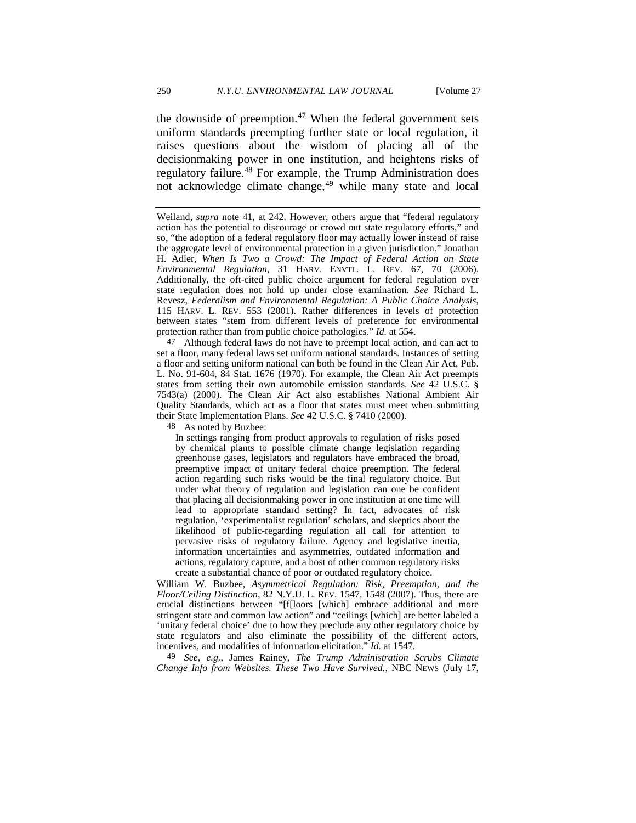the downside of preemption. $47$  When the federal government sets uniform standards preempting further state or local regulation, it raises questions about the wisdom of placing all of the decisionmaking power in one institution, and heightens risks of regulatory failure.[48](#page-10-1) For example, the Trump Administration does not acknowledge climate change,<sup>[49](#page-10-2)</sup> while many state and local

<span id="page-10-0"></span>47 Although federal laws do not have to preempt local action, and can act to set a floor, many federal laws set uniform national standards. Instances of setting a floor and setting uniform national can both be found in the Clean Air Act, Pub. L. No. 91-604, 84 Stat. 1676 (1970). For example, the Clean Air Act preempts states from setting their own automobile emission standards. *See* 42 U.S.C. § 7543(a) (2000). The Clean Air Act also establishes National Ambient Air Quality Standards, which act as a floor that states must meet when submitting their State Implementation Plans. *See* 42 U.S.C. § 7410 (2000).

<span id="page-10-1"></span>48 As noted by Buzbee:

In settings ranging from product approvals to regulation of risks posed by chemical plants to possible climate change legislation regarding greenhouse gases, legislators and regulators have embraced the broad, preemptive impact of unitary federal choice preemption. The federal action regarding such risks would be the final regulatory choice. But under what theory of regulation and legislation can one be confident that placing all decisionmaking power in one institution at one time will lead to appropriate standard setting? In fact, advocates of risk regulation, 'experimentalist regulation' scholars, and skeptics about the likelihood of public-regarding regulation all call for attention to pervasive risks of regulatory failure. Agency and legislative inertia, information uncertainties and asymmetries, outdated information and actions, regulatory capture, and a host of other common regulatory risks create a substantial chance of poor or outdated regulatory choice.

William W. Buzbee, *Asymmetrical Regulation: Risk, Preemption, and the Floor/Ceiling Distinction*, 82 N.Y.U. L. REV. 1547, 1548 (2007). Thus, there are crucial distinctions between "[f[loors [which] embrace additional and more stringent state and common law action" and "ceilings [which] are better labeled a 'unitary federal choice' due to how they preclude any other regulatory choice by state regulators and also eliminate the possibility of the different actors, incentives, and modalities of information elicitation." *Id.* at 1547*.* 

<span id="page-10-2"></span>49 *See, e.g.*, James Rainey, *The Trump Administration Scrubs Climate Change Info from Websites. These Two Have Survived.*, NBC NEWS (July 17,

Weiland, *supra* note [41,](#page-8-7) at 242. However, others argue that "federal regulatory action has the potential to discourage or crowd out state regulatory efforts," and so, "the adoption of a federal regulatory floor may actually lower instead of raise the aggregate level of environmental protection in a given jurisdiction." Jonathan H. Adler, *When Is Two a Crowd: The Impact of Federal Action on State Environmental Regulation*, 31 HARV. ENVTL. L. REV. 67, 70 (2006). Additionally, the oft-cited public choice argument for federal regulation over state regulation does not hold up under close examination. *See* Richard L. Revesz, *Federalism and Environmental Regulation: A Public Choice Analysis*, 115 HARV. L. REV. 553 (2001). Rather differences in levels of protection between states "stem from different levels of preference for environmental protection rather than from public choice pathologies." *Id.* at 554.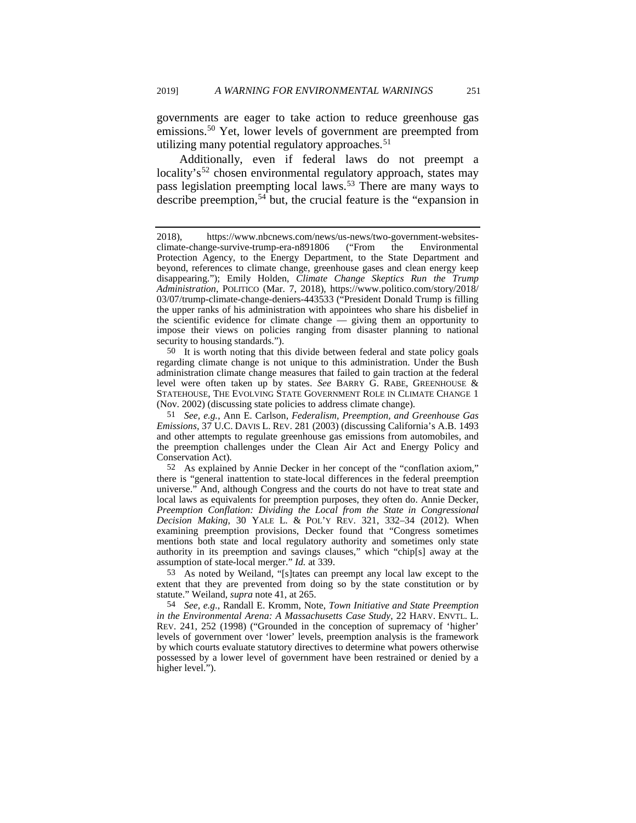governments are eager to take action to reduce greenhouse gas emissions.[50](#page-11-0) Yet, lower levels of government are preempted from utilizing many potential regulatory approaches. $51$ 

Additionally, even if federal laws do not preempt a locality's<sup>[52](#page-11-2)</sup> chosen environmental regulatory approach, states may pass legislation preempting local laws.[53](#page-11-3) There are many ways to describe preemption,  $54$  but, the crucial feature is the "expansion in

<span id="page-11-0"></span>50 It is worth noting that this divide between federal and state policy goals regarding climate change is not unique to this administration. Under the Bush administration climate change measures that failed to gain traction at the federal level were often taken up by states. *See* BARRY G. RABE, GREENHOUSE & STATEHOUSE, THE EVOLVING STATE GOVERNMENT ROLE IN CLIMATE CHANGE 1 (Nov. 2002) (discussing state policies to address climate change).

<span id="page-11-3"></span>53 As noted by Weiland, "[s]tates can preempt any local law except to the extent that they are prevented from doing so by the state constitution or by statute." Weiland, *supra* not[e 41,](#page-8-7) at 265.

<span id="page-11-4"></span>54 *See, e.g.*, Randall E. Kromm, Note, *Town Initiative and State Preemption in the Environmental Arena: A Massachusetts Case Study*, 22 HARV. ENVTL. L. REV. 241, 252 (1998) ("Grounded in the conception of supremacy of 'higher' levels of government over 'lower' levels, preemption analysis is the framework by which courts evaluate statutory directives to determine what powers otherwise possessed by a lower level of government have been restrained or denied by a higher level.").

<sup>2018),</sup> https://www.nbcnews.com/news/us-news/two-government-websitesclimate-change-survive-trump-era-n891806 ("From the Environmental Protection Agency, to the Energy Department, to the State Department and beyond, references to climate change, greenhouse gases and clean energy keep disappearing."); Emily Holden, *Climate Change Skeptics Run the Trump Administration*, POLITICO (Mar. 7, 2018), https://www.politico.com/story/2018/ 03/07/trump-climate-change-deniers-443533 ("President Donald Trump is filling the upper ranks of his administration with appointees who share his disbelief in the scientific evidence for climate change — giving them an opportunity to impose their views on policies ranging from disaster planning to national security to housing standards.").

<span id="page-11-1"></span><sup>51</sup> *See, e.g.*, Ann E. Carlson, *Federalism, Preemption, and Greenhouse Gas Emissions*, 37 U.C. DAVIS L. REV. 281 (2003) (discussing California's A.B. 1493 and other attempts to regulate greenhouse gas emissions from automobiles, and the preemption challenges under the Clean Air Act and Energy Policy and Conservation Act).

<span id="page-11-2"></span><sup>52</sup> As explained by Annie Decker in her concept of the "conflation axiom," there is "general inattention to state-local differences in the federal preemption universe." And, although Congress and the courts do not have to treat state and local laws as equivalents for preemption purposes, they often do. Annie Decker, *Preemption Conflation: Dividing the Local from the State in Congressional Decision Making*, 30 YALE L. & POL'Y REV. 321, 332–34 (2012). When examining preemption provisions, Decker found that "Congress sometimes mentions both state and local regulatory authority and sometimes only state authority in its preemption and savings clauses," which "chip[s] away at the assumption of state-local merger." *Id.* at 339.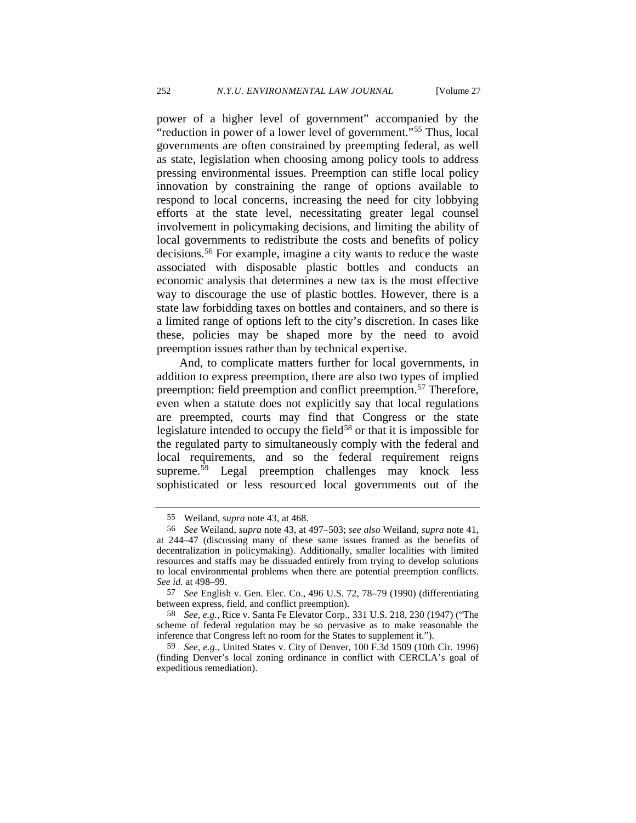power of a higher level of government" accompanied by the "reduction in power of a lower level of government."[55](#page-12-0) Thus, local governments are often constrained by preempting federal, as well as state, legislation when choosing among policy tools to address pressing environmental issues. Preemption can stifle local policy innovation by constraining the range of options available to respond to local concerns, increasing the need for city lobbying efforts at the state level, necessitating greater legal counsel involvement in policymaking decisions, and limiting the ability of local governments to redistribute the costs and benefits of policy decisions.[56](#page-12-1) For example, imagine a city wants to reduce the waste associated with disposable plastic bottles and conducts an economic analysis that determines a new tax is the most effective way to discourage the use of plastic bottles. However, there is a state law forbidding taxes on bottles and containers, and so there is a limited range of options left to the city's discretion. In cases like these, policies may be shaped more by the need to avoid preemption issues rather than by technical expertise.

And, to complicate matters further for local governments, in addition to express preemption, there are also two types of implied preemption: field preemption and conflict preemption.<sup>[57](#page-12-2)</sup> Therefore, even when a statute does not explicitly say that local regulations are preempted, courts may find that Congress or the state legislature intended to occupy the field $58$  or that it is impossible for the regulated party to simultaneously comply with the federal and local requirements, and so the federal requirement reigns supreme.<sup>[59](#page-12-4)</sup> Legal preemption challenges may knock less sophisticated or less resourced local governments out of the

<sup>55</sup> Weiland, *supra* note [43,](#page-9-0) at 468.

<span id="page-12-1"></span><span id="page-12-0"></span><sup>56</sup> *See* Weiland, *supra* note [43,](#page-9-0) at 497–503; *see also* Weiland, *supra* note [41,](#page-8-7)  at 244–47 (discussing many of these same issues framed as the benefits of decentralization in policymaking). Additionally, smaller localities with limited resources and staffs may be dissuaded entirely from trying to develop solutions to local environmental problems when there are potential preemption conflicts. *See id.* at 498–99.

<span id="page-12-2"></span><sup>57</sup> *See* English v. Gen. Elec. Co., 496 U.S. 72, 78–79 (1990) (differentiating between express, field, and conflict preemption).

<span id="page-12-3"></span><sup>58</sup> *See, e.g.*, Rice v. Santa Fe Elevator Corp., 331 U.S. 218, 230 (1947) ("The scheme of federal regulation may be so pervasive as to make reasonable the inference that Congress left no room for the States to supplement it.").

<span id="page-12-4"></span><sup>59</sup> *See, e.g.*, United States v. City of Denver, 100 F.3d 1509 (10th Cir. 1996) (finding Denver's local zoning ordinance in conflict with CERCLA's goal of expeditious remediation).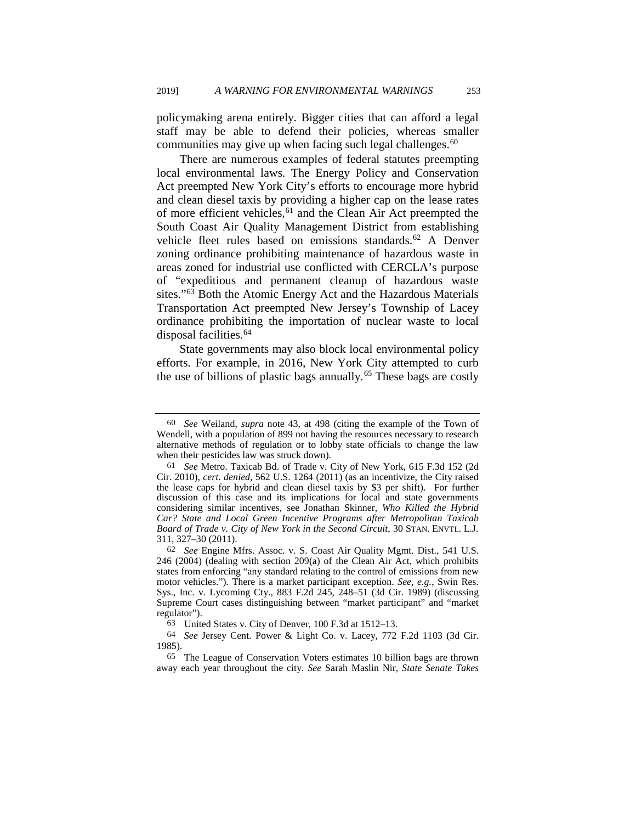policymaking arena entirely. Bigger cities that can afford a legal staff may be able to defend their policies, whereas smaller communities may give up when facing such legal challenges.<sup>[60](#page-13-0)</sup>

There are numerous examples of federal statutes preempting local environmental laws. The Energy Policy and Conservation Act preempted New York City's efforts to encourage more hybrid and clean diesel taxis by providing a higher cap on the lease rates of more efficient vehicles,<sup>[61](#page-13-1)</sup> and the Clean Air Act preempted the South Coast Air Quality Management District from establishing vehicle fleet rules based on emissions standards.<sup>[62](#page-13-2)</sup> A Denver zoning ordinance prohibiting maintenance of hazardous waste in areas zoned for industrial use conflicted with CERCLA's purpose of "expeditious and permanent cleanup of hazardous waste sites."[63](#page-13-3) Both the Atomic Energy Act and the Hazardous Materials Transportation Act preempted New Jersey's Township of Lacey ordinance prohibiting the importation of nuclear waste to local disposal facilities.<sup>64</sup>

<span id="page-13-6"></span>State governments may also block local environmental policy efforts. For example, in 2016, New York City attempted to curb the use of billions of plastic bags annually.<sup>[65](#page-13-5)</sup> These bags are costly

<span id="page-13-0"></span><sup>60</sup> *See* Weiland, *supra* note [43,](#page-9-0) at 498 (citing the example of the Town of Wendell, with a population of 899 not having the resources necessary to research alternative methods of regulation or to lobby state officials to change the law when their pesticides law was struck down).

<span id="page-13-1"></span><sup>61</sup> *See* Metro. Taxicab Bd. of Trade v. City of New York, 615 F.3d 152 (2d Cir. 2010), *cert. denied*, 562 U.S. 1264 (2011) (as an incentivize, the City raised the lease caps for hybrid and clean diesel taxis by \$3 per shift). For further discussion of this case and its implications for local and state governments considering similar incentives, see Jonathan Skinner, *Who Killed the Hybrid Car? State and Local Green Incentive Programs after Metropolitan Taxicab Board of Trade v. City of New York in the Second Circuit*, 30 STAN. ENVTL. L.J. 311, 327–30 (2011).

<span id="page-13-2"></span><sup>62</sup> *See* Engine Mfrs. Assoc. v. S. Coast Air Quality Mgmt. Dist., 541 U.S. 246 (2004) (dealing with section 209(a) of the Clean Air Act, which prohibits states from enforcing "any standard relating to the control of emissions from new motor vehicles."). There is a market participant exception. *See, e.g.*, Swin Res. Sys., Inc. v. Lycoming Cty., 883 F.2d 245, 248–51 (3d Cir. 1989) (discussing Supreme Court cases distinguishing between "market participant" and "market regulator").

<sup>63</sup> United States v. City of Denver, 100 F.3d at 1512–13.

<span id="page-13-4"></span><span id="page-13-3"></span><sup>64</sup> *See* Jersey Cent. Power & Light Co. v. Lacey, 772 F.2d 1103 (3d Cir. 1985).

<span id="page-13-5"></span><sup>65</sup> The League of Conservation Voters estimates 10 billion bags are thrown away each year throughout the city. *See* Sarah Maslin Nir, *State Senate Takes*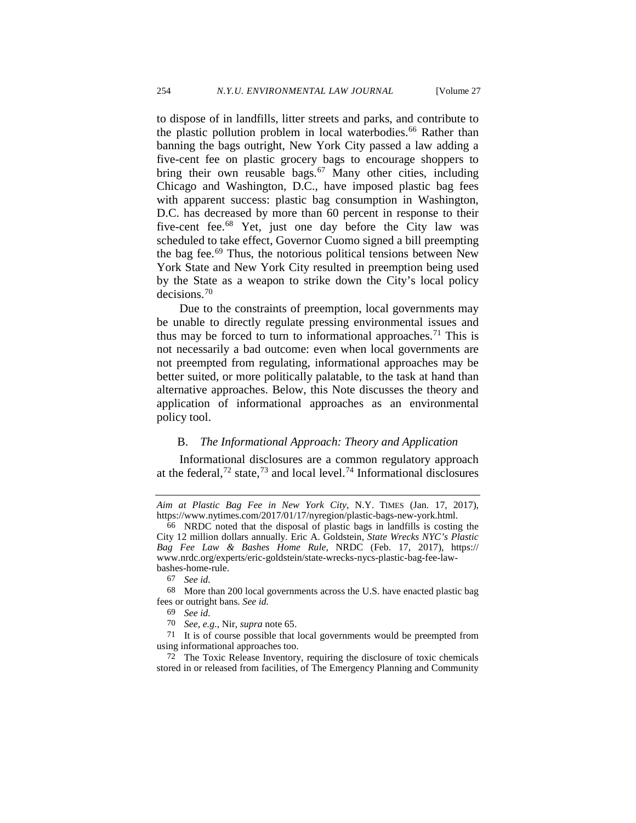to dispose of in landfills, litter streets and parks, and contribute to the plastic pollution problem in local waterbodies.<sup>66</sup> Rather than banning the bags outright, New York City passed a law adding a five-cent fee on plastic grocery bags to encourage shoppers to bring their own reusable bags. $67$  Many other cities, including Chicago and Washington, D.C., have imposed plastic bag fees with apparent success: plastic bag consumption in Washington, D.C. has decreased by more than 60 percent in response to their five-cent fee.[68](#page-14-2) Yet, just one day before the City law was scheduled to take effect, Governor Cuomo signed a bill preempting the bag fee.[69](#page-14-3) Thus, the notorious political tensions between New York State and New York City resulted in preemption being used by the State as a weapon to strike down the City's local policy decisions.[70](#page-14-4)

Due to the constraints of preemption, local governments may be unable to directly regulate pressing environmental issues and thus may be forced to turn to informational approaches.<sup>[71](#page-14-5)</sup> This is not necessarily a bad outcome: even when local governments are not preempted from regulating, informational approaches may be better suited, or more politically palatable, to the task at hand than alternative approaches. Below, this Note discusses the theory and application of informational approaches as an environmental policy tool.

#### <span id="page-14-9"></span>B. *The Informational Approach: Theory and Application*

<span id="page-14-8"></span><span id="page-14-7"></span>Informational disclosures are a common regulatory approach at the federal,<sup>[72](#page-14-6)</sup> state,<sup>[73](#page-14-7)</sup> and local level.<sup>[74](#page-14-8)</sup> Informational disclosures

*Aim at Plastic Bag Fee in New York City*, N.Y. TIMES (Jan. 17, 2017), https://www.nytimes.com/2017/01/17/nyregion/plastic-bags-new-york.html.

<span id="page-14-0"></span><sup>66</sup> NRDC noted that the disposal of plastic bags in landfills is costing the City 12 million dollars annually. Eric A. Goldstein, *State Wrecks NYC's Plastic Bag Fee Law & Bashes Home Rule*, NRDC (Feb. 17, 2017), https:// www.nrdc.org/experts/eric-goldstein/state-wrecks-nycs-plastic-bag-fee-lawbashes-home-rule.

<sup>67</sup> *See id.* 

<span id="page-14-3"></span><span id="page-14-2"></span><span id="page-14-1"></span><sup>68</sup> More than 200 local governments across the U.S. have enacted plastic bag fees or outright bans. *See id.* 

<sup>69</sup> *See id.* 

<sup>70</sup> *See, e.g.*, Nir, *supra* note [65.](#page-13-6) 

<span id="page-14-5"></span><span id="page-14-4"></span><sup>71</sup> It is of course possible that local governments would be preempted from using informational approaches too.

<span id="page-14-6"></span><sup>72</sup> The Toxic Release Inventory, requiring the disclosure of toxic chemicals stored in or released from facilities, of The Emergency Planning and Community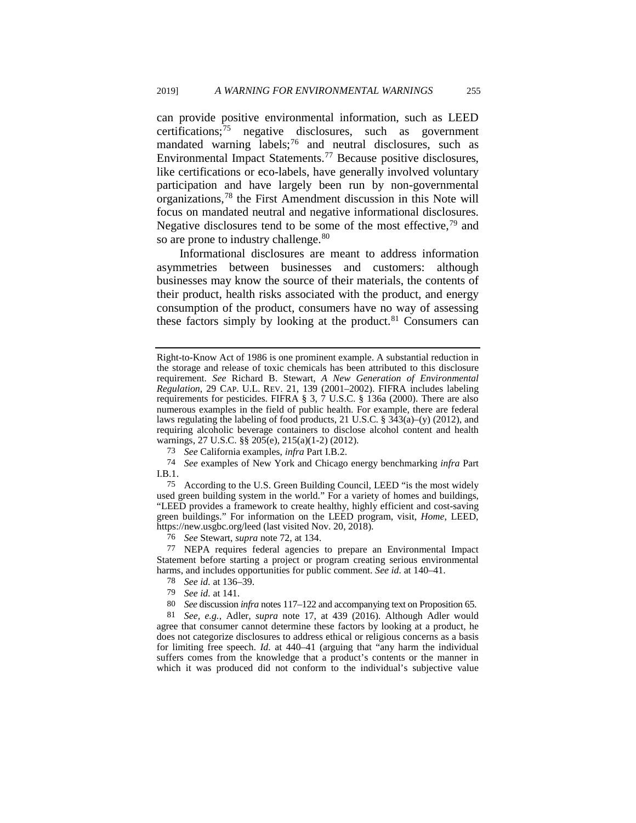can provide positive environmental information, such as LEED certifications; $\frac{75}{15}$  $\frac{75}{15}$  $\frac{75}{15}$  negative disclosures, such as government mandated warning labels;<sup>[76](#page-15-1)</sup> and neutral disclosures, such as Environmental Impact Statements.[77](#page-15-2) Because positive disclosures, like certifications or eco-labels, have generally involved voluntary participation and have largely been run by non-governmental organizations,[78](#page-15-3) the First Amendment discussion in this Note will focus on mandated neutral and negative informational disclosures. Negative disclosures tend to be some of the most effective, $79$  and so are prone to industry challenge.<sup>[80](#page-15-5)</sup>

Informational disclosures are meant to address information asymmetries between businesses and customers: although businesses may know the source of their materials, the contents of their product, health risks associated with the product, and energy consumption of the product, consumers have no way of assessing these factors simply by looking at the product. $81$  Consumers can

73 *See* California examples, *infra* Part I.B.2.

74 *See* examples of New York and Chicago energy benchmarking *infra* Part I.B.1.

<span id="page-15-0"></span>75 According to the U.S. Green Building Council, LEED "is the most widely used green building system in the world." For a variety of homes and buildings, "LEED provides a framework to create healthy, highly efficient and cost-saving green buildings." For information on the LEED program, visit, *Home*, LEED, https://new.usgbc.org/leed (last visited Nov. 20, 2018).

76 *See* Stewart, *supra* not[e 72,](#page-14-9) at 134.

<span id="page-15-2"></span><span id="page-15-1"></span>77 NEPA requires federal agencies to prepare an Environmental Impact Statement before starting a project or program creating serious environmental harms, and includes opportunities for public comment. *See id.* at 140–41.

- 78 *See id.* at 136–39.
- 79 *See id.* at 141.

<span id="page-15-6"></span><span id="page-15-5"></span><span id="page-15-4"></span><span id="page-15-3"></span><sup>80</sup>*See* discussion *infra* notes [117–](#page-21-0)122 [a](#page-22-0)nd accompanying text on Proposition 65. 81 *See, e.g.*, Adler, *supra* note 17, at 439 (2016). Although Adler would agree that consumer cannot determine these factors by looking at a product, he does not categorize disclosures to address ethical or religious concerns as a basis for limiting free speech. *Id.* at 440–41 (arguing that "any harm the individual suffers comes from the knowledge that a product's contents or the manner in which it was produced did not conform to the individual's subjective value

Right-to-Know Act of 1986 is one prominent example. A substantial reduction in the storage and release of toxic chemicals has been attributed to this disclosure requirement. *See* Richard B. Stewart, *A New Generation of Environmental Regulation*, 29 CAP. U.L. REV. 21, 139 (2001–2002). FIFRA includes labeling requirements for pesticides. FIFRA § 3, 7 U.S.C. § 136a (2000). There are also numerous examples in the field of public health. For example, there are federal laws regulating the labeling of food products, 21 U.S.C.  $\S$  343(a)–(y) (2012), and requiring alcoholic beverage containers to disclose alcohol content and health warnings, 27 U.S.C. §§ 205(e), 215(a)(1-2) (2012).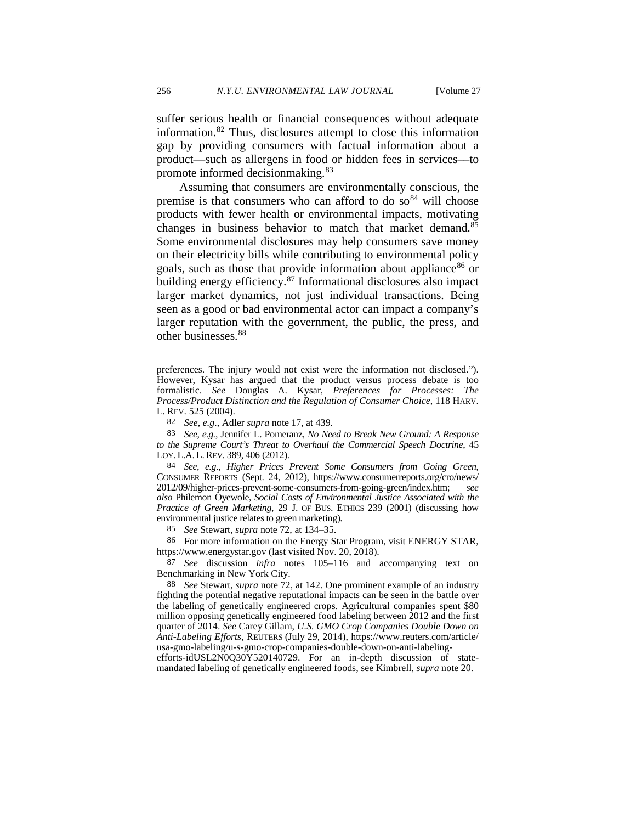suffer serious health or financial consequences without adequate information.[82](#page-16-0) Thus, disclosures attempt to close this information gap by providing consumers with factual information about a product—such as allergens in food or hidden fees in services––to promote informed decisionmaking.[83](#page-16-1)

<span id="page-16-7"></span>Assuming that consumers are environmentally conscious, the premise is that consumers who can afford to do  $so<sup>84</sup>$  $so<sup>84</sup>$  $so<sup>84</sup>$  will choose products with fewer health or environmental impacts, motivating changes in business behavior to match that market demand.<sup>[85](#page-16-3)</sup> Some environmental disclosures may help consumers save money on their electricity bills while contributing to environmental policy goals, such as those that provide information about appliance<sup>[86](#page-16-4)</sup> or building energy efficiency. [87](#page-16-5) Informational disclosures also impact larger market dynamics, not just individual transactions. Being seen as a good or bad environmental actor can impact a company's larger reputation with the government, the public, the press, and other businesses.<sup>[88](#page-16-6)</sup>

<span id="page-16-2"></span>84 *See, e.g.*, *Higher Prices Prevent Some Consumers from Going Green*, CONSUMER REPORTS (Sept. 24, 2012), https://www.consumerreports.org/cro/news/ 2012/09/higher-prices-prevent-some-consumers-from-going-green/index.htm; *see also* Philemon Oyewole, *Social Costs of Environmental Justice Associated with the Practice of Green Marketing*, 29 J. OF BUS. ETHICS 239 (2001) (discussing how environmental justice relates to green marketing).

85 *See* Stewart, *supra* not[e 72,](#page-14-9) at 134–35.

<span id="page-16-4"></span><span id="page-16-3"></span>86 For more information on the Energy Star Program, visit ENERGY STAR, https://www.energystar.gov (last visited Nov. 20, 2018).

<span id="page-16-5"></span>87 *See* discussion *infra* notes [105–](#page-19-0)[116](#page-21-1) and accompanying text on Benchmarking in New York City.

<span id="page-16-6"></span>88 *See* Stewart, *supra* note [72,](#page-14-9) at 142. One prominent example of an industry fighting the potential negative reputational impacts can be seen in the battle over the labeling of genetically engineered crops. Agricultural companies spent \$80 million opposing genetically engineered food labeling between 2012 and the first quarter of 2014. *See* Carey Gillam, *U.S. GMO Crop Companies Double Down on Anti-Labeling Efforts*, REUTERS (July 29, 2014), https://www.reuters.com/article/ usa-gmo-labeling/u-s-gmo-crop-companies-double-down-on-anti-labeling-

efforts-idUSL2N0Q30Y520140729. For an in-depth discussion of statemandated labeling of genetically engineered foods, see Kimbrell, *supra* note [20.](#page-4-6) 

preferences. The injury would not exist were the information not disclosed."). However, Kysar has argued that the product versus process debate is too formalistic. *See* Douglas A. Kysar, *Preferences for Processes: The Process/Product Distinction and the Regulation of Consumer Choice*, 118 HARV. L. REV. 525 (2004).

<sup>82</sup> *See, e.g.*, Adler *supra* not[e 17,](#page-3-6) at 439.

<span id="page-16-1"></span><span id="page-16-0"></span><sup>83</sup> *See, e.g.*, Jennifer L. Pomeranz, *No Need to Break New Ground: A Response to the Supreme Court's Threat to Overhaul the Commercial Speech Doctrine*, 45 LOY. L.A. L.REV. 389, 406 (2012).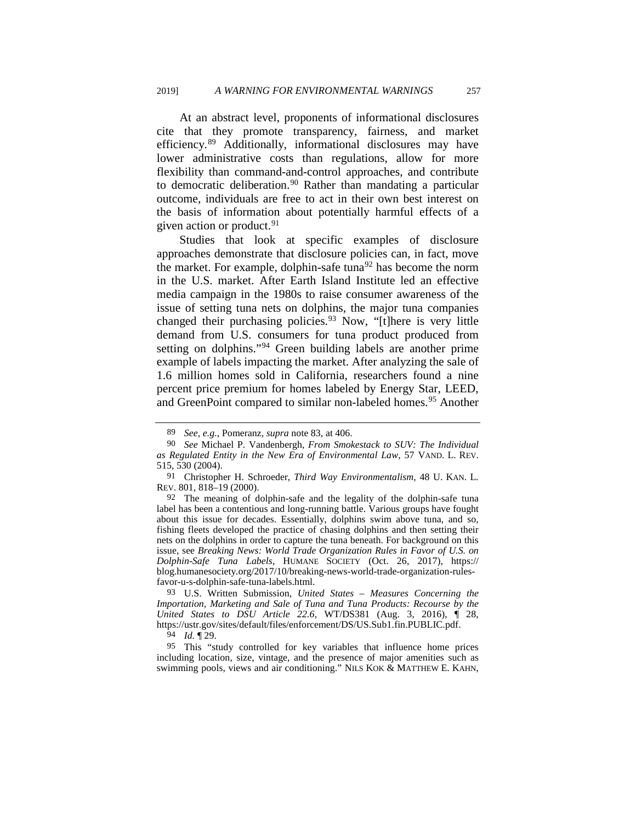At an abstract level, proponents of informational disclosures cite that they promote transparency, fairness, and market efficiency.[89](#page-17-0) Additionally, informational disclosures may have lower administrative costs than regulations, allow for more flexibility than command-and-control approaches, and contribute to democratic deliberation.<sup>[90](#page-17-1)</sup> Rather than mandating a particular outcome, individuals are free to act in their own best interest on the basis of information about potentially harmful effects of a given action or product. $91$ 

<span id="page-17-8"></span><span id="page-17-7"></span>Studies that look at specific examples of disclosure approaches demonstrate that disclosure policies can, in fact, move the market. For example, dolphin-safe tuna<sup>[92](#page-17-3)</sup> has become the norm in the U.S. market. After Earth Island Institute led an effective media campaign in the 1980s to raise consumer awareness of the issue of setting tuna nets on dolphins, the major tuna companies changed their purchasing policies.<sup>[93](#page-17-4)</sup> Now, " $[t]$ here is very little demand from U.S. consumers for tuna product produced from setting on dolphins."<sup>[94](#page-17-5)</sup> Green building labels are another prime example of labels impacting the market. After analyzing the sale of 1.6 million homes sold in California, researchers found a nine percent price premium for homes labeled by Energy Star, LEED, and GreenPoint compared to similar non-labeled homes.<sup>[95](#page-17-6)</sup> Another

94 *Id.* ¶ 29.

<span id="page-17-6"></span><span id="page-17-5"></span>95 This "study controlled for key variables that influence home prices including location, size, vintage, and the presence of major amenities such as swimming pools, views and air conditioning." NILS KOK & MATTHEW E. KAHN,

<sup>89</sup> *See, e.g.*, Pomeranz, *supra* not[e 83,](#page-16-7) at 406.

<span id="page-17-1"></span><span id="page-17-0"></span><sup>90</sup> *See* Michael P. Vandenbergh, *From Smokestack to SUV: The Individual as Regulated Entity in the New Era of Environmental Law*, 57 VAND. L. REV. 515, 530 (2004).

<span id="page-17-2"></span><sup>91</sup> Christopher H. Schroeder, *Third Way Environmentalism*, 48 U. KAN. L. REV. 801, 818–19 (2000).

<span id="page-17-3"></span><sup>92</sup> The meaning of dolphin-safe and the legality of the dolphin-safe tuna label has been a contentious and long-running battle. Various groups have fought about this issue for decades. Essentially, dolphins swim above tuna, and so, fishing fleets developed the practice of chasing dolphins and then setting their nets on the dolphins in order to capture the tuna beneath. For background on this issue, see *Breaking News: World Trade Organization Rules in Favor of U.S. on Dolphin-Safe Tuna Labels*, HUMANE SOCIETY (Oct. 26, 2017), https:// blog.humanesociety.org/2017/10/breaking-news-world-trade-organization-rulesfavor-u-s-dolphin-safe-tuna-labels.html.

<span id="page-17-4"></span><sup>93</sup> U.S. Written Submission, *United States – Measures Concerning the Importation, Marketing and Sale of Tuna and Tuna Products: Recourse by the United States to DSU Article 22.6*, WT/DS381 (Aug. 3, 2016), ¶ 28, https://ustr.gov/sites/default/files/enforcement/DS/US.Sub1.fin.PUBLIC.pdf.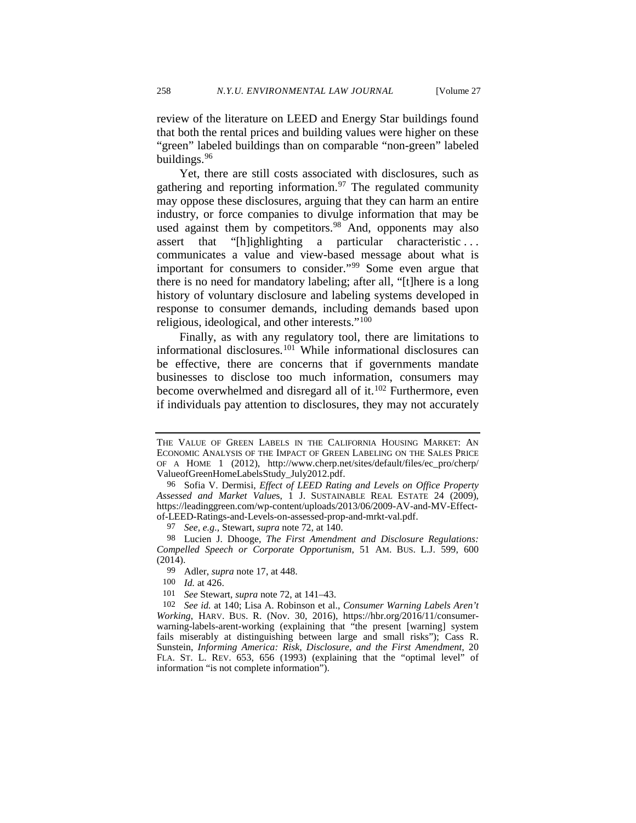review of the literature on LEED and Energy Star buildings found that both the rental prices and building values were higher on these "green" labeled buildings than on comparable "non-green" labeled buildings.[96](#page-18-0)

Yet, there are still costs associated with disclosures, such as gathering and reporting information. $97$  The regulated community may oppose these disclosures, arguing that they can harm an entire industry, or force companies to divulge information that may be used against them by competitors.<sup>[98](#page-18-2)</sup> And, opponents may also assert that "[h]ighlighting a particular characteristic . . . communicates a value and view-based message about what is important for consumers to consider."[99](#page-18-3) Some even argue that there is no need for mandatory labeling; after all, "[t]here is a long history of voluntary disclosure and labeling systems developed in response to consumer demands, including demands based upon religious, ideological, and other interests."[100](#page-18-4)

<span id="page-18-7"></span>Finally, as with any regulatory tool, there are limitations to informational disclosures.[101](#page-18-5) While informational disclosures can be effective, there are concerns that if governments mandate businesses to disclose too much information, consumers may become overwhelmed and disregard all of it.<sup>[102](#page-18-6)</sup> Furthermore, even if individuals pay attention to disclosures, they may not accurately

97 *See, e.g.*, Stewart, *supra* not[e 72,](#page-14-9) at 140.

<span id="page-18-3"></span><span id="page-18-2"></span><span id="page-18-1"></span>98 Lucien J. Dhooge, *The First Amendment and Disclosure Regulations: Compelled Speech or Corporate Opportunism*, 51 AM. BUS. L.J. 599, 600  $(2014).$ 

99 Adler, *supra* not[e 17,](#page-3-6) at 448.

100 *Id.* at 426.

101 *See* Stewart, *supra* not[e 72,](#page-14-9) at 141–43.

<span id="page-18-6"></span><span id="page-18-5"></span><span id="page-18-4"></span>102 *See id.* at 140; Lisa A. Robinson et al., *Consumer Warning Labels Aren't Working*, HARV. BUS. R. (Nov. 30, 2016), https://hbr.org/2016/11/consumerwarning-labels-arent-working (explaining that "the present [warning] system fails miserably at distinguishing between large and small risks"); Cass R. Sunstein, *Informing America: Risk, Disclosure, and the First Amendment*, 20 FLA. ST. L. REV. 653, 656 (1993) (explaining that the "optimal level" of information "is not complete information").

THE VALUE OF GREEN LABELS IN THE CALIFORNIA HOUSING MARKET: AN ECONOMIC ANALYSIS OF THE IMPACT OF GREEN LABELING ON THE SALES PRICE OF A HOME 1 (2012), http://www.cherp.net/sites/default/files/ec\_pro/cherp/ ValueofGreenHomeLabelsStudy\_July2012.pdf.

<span id="page-18-0"></span><sup>96</sup> Sofia V. Dermisi, *Effect of LEED Rating and Levels on Office Property Assessed and Market Value*s, 1 J. SUSTAINABLE REAL ESTATE 24 (2009), https://leadinggreen.com/wp-content/uploads/2013/06/2009-AV-and-MV-Effectof-LEED-Ratings-and-Levels-on-assessed-prop-and-mrkt-val.pdf.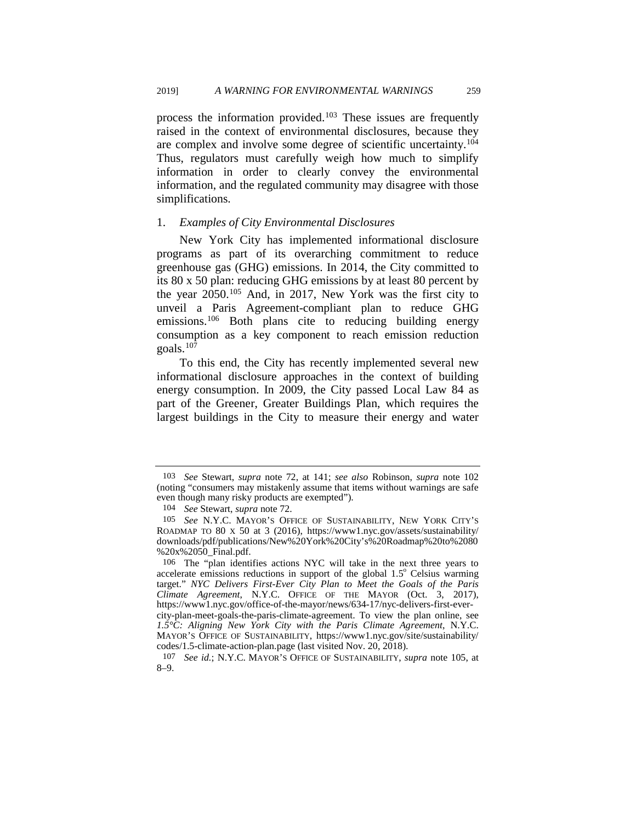process the information provided.[103](#page-19-1) These issues are frequently raised in the context of environmental disclosures, because they are complex and involve some degree of scientific uncertainty[.104](#page-19-2) Thus, regulators must carefully weigh how much to simplify information in order to clearly convey the environmental information, and the regulated community may disagree with those simplifications.

#### 1. *Examples of City Environmental Disclosures*

<span id="page-19-0"></span>New York City has implemented informational disclosure programs as part of its overarching commitment to reduce greenhouse gas (GHG) emissions. In 2014, the City committed to its 80 x 50 plan: reducing GHG emissions by at least 80 percent by the year 2050.[105](#page-19-3) And, in 2017, New York was the first city to unveil a Paris Agreement-compliant plan to reduce GHG emissions.<sup>[106](#page-19-4)</sup> Both plans cite to reducing building energy consumption as a key component to reach emission reduction goals. $107$ 

To this end, the City has recently implemented several new informational disclosure approaches in the context of building energy consumption. In 2009, the City passed Local Law 84 as part of the Greener, Greater Buildings Plan, which requires the largest buildings in the City to measure their energy and water

<span id="page-19-1"></span><sup>103</sup> *See* Stewart, *supra* note [72,](#page-14-9) at 141; *see also* Robinson, *supra* note [102](#page-18-7) (noting "consumers may mistakenly assume that items without warnings are safe even though many risky products are exempted").

<sup>104</sup> *See* Stewart, *supra* not[e 72.](#page-14-9)

<span id="page-19-3"></span><span id="page-19-2"></span><sup>105</sup> *See* N.Y.C. MAYOR'S OFFICE OF SUSTAINABILITY, NEW YORK CITY'S ROADMAP TO 80 X 50 at 3 (2016), https://www1.nyc.gov/assets/sustainability/ downloads/pdf/publications/New%20York%20City's%20Roadmap%20to%2080 %20x%2050\_Final.pdf.

<span id="page-19-4"></span><sup>106</sup> The "plan identifies actions NYC will take in the next three years to accelerate emissions reductions in support of the global  $1.5^{\circ}$  Celsius warming target." *NYC Delivers First-Ever City Plan to Meet the Goals of the Paris Climate Agreement*, N.Y.C. OFFICE OF THE MAYOR (Oct. 3, 2017), https://www1.nyc.gov/office-of-the-mayor/news/634-17/nyc-delivers-first-evercity-plan-meet-goals-the-paris-climate-agreement. To view the plan online, see *1.5°C: Aligning New York City with the Paris Climate Agreement*, N.Y.C. MAYOR'S OFFICE OF SUSTAINABILITY, https://www1.nyc.gov/site/sustainability/ codes/1.5-climate-action-plan.page (last visited Nov. 20, 2018).

<span id="page-19-5"></span><sup>107</sup> *See id.*; N.Y.C. MAYOR'S OFFICE OF SUSTAINABILITY, *supra* note [105,](#page-19-0) at 8–9.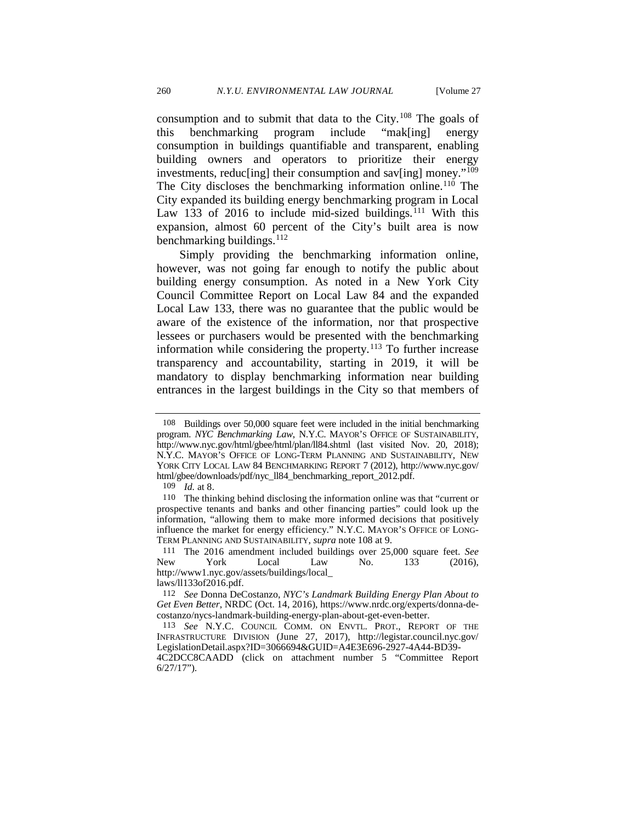<span id="page-20-0"></span>consumption and to submit that data to the City.[108](#page-20-1) The goals of this benchmarking program include "mak[ing] energy consumption in buildings quantifiable and transparent, enabling building owners and operators to prioritize their energy investments, reducling their consumption and saving money."<sup>[109](#page-20-2)</sup> The City discloses the benchmarking information online.<sup>[110](#page-20-3)</sup> The City expanded its building energy benchmarking program in Local Law 133 of 2016 to include mid-sized buildings.<sup>[111](#page-20-4)</sup> With this expansion, almost 60 percent of the City's built area is now benchmarking buildings.<sup>[112](#page-20-5)</sup>

Simply providing the benchmarking information online, however, was not going far enough to notify the public about building energy consumption. As noted in a New York City Council Committee Report on Local Law 84 and the expanded Local Law 133, there was no guarantee that the public would be aware of the existence of the information, nor that prospective lessees or purchasers would be presented with the benchmarking information while considering the property.<sup>[113](#page-20-6)</sup> To further increase transparency and accountability, starting in 2019, it will be mandatory to display benchmarking information near building entrances in the largest buildings in the City so that members of

<span id="page-20-4"></span>111 The 2016 amendment included buildings over 25,000 square feet. *See*  New York Local Law No. 133 (2016), http://www1.nyc.gov/assets/buildings/local\_

<span id="page-20-5"></span>laws/ll133of2016.pdf.

6/27/17").

<span id="page-20-7"></span><span id="page-20-1"></span><sup>108</sup> Buildings over 50,000 square feet were included in the initial benchmarking program. *NYC Benchmarking Law*, N.Y.C. MAYOR'S OFFICE OF SUSTAINABILITY, http://www.nyc.gov/html/gbee/html/plan/ll84.shtml (last visited Nov. 20, 2018); N.Y.C. MAYOR'S OFFICE OF LONG-TERM PLANNING AND SUSTAINABILITY, NEW YORK CITY LOCAL LAW 84 BENCHMARKING REPORT 7 (2012), http://www.nyc.gov/ html/gbee/downloads/pdf/nyc\_ll84\_benchmarking\_report\_2012.pdf.

<sup>109</sup> *Id.* at 8.

<span id="page-20-3"></span><span id="page-20-2"></span><sup>110</sup> The thinking behind disclosing the information online was that "current or prospective tenants and banks and other financing parties" could look up the information, "allowing them to make more informed decisions that positively influence the market for energy efficiency." N.Y.C. MAYOR'S OFFICE OF LONG-TERM PLANNING AND SUSTAINABILITY, *supra* not[e 108](#page-20-0) at 9.

<sup>112</sup> *See* Donna DeCostanzo, *NYC's Landmark Building Energy Plan About to Get Even Better*, NRDC (Oct. 14, 2016), https://www.nrdc.org/experts/donna-decostanzo/nycs-landmark-building-energy-plan-about-get-even-better.

<span id="page-20-6"></span><sup>113</sup> *See* N.Y.C. COUNCIL COMM. ON ENVTL. PROT., REPORT OF THE INFRASTRUCTURE DIVISION (June 27, 2017), http://legistar.council.nyc.gov/ LegislationDetail.aspx?ID=3066694&GUID=A4E3E696-2927-4A44-BD39- 4C2DCC8CAADD (click on attachment number 5 "Committee Report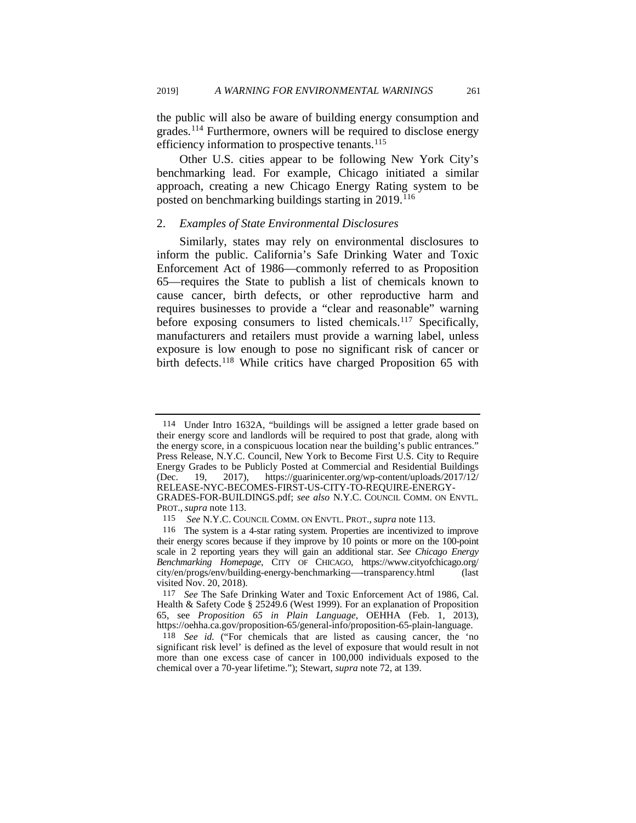the public will also be aware of building energy consumption and grades.[114](#page-21-2) Furthermore, owners will be required to disclose energy efficiency information to prospective tenants.<sup>[115](#page-21-3)</sup>

Other U.S. cities appear to be following New York City's benchmarking lead. For example, Chicago initiated a similar approach, creating a new Chicago Energy Rating system to be posted on benchmarking buildings starting in 2019.<sup>[116](#page-21-4)</sup>

#### <span id="page-21-1"></span>2. *Examples of State Environmental Disclosures*

<span id="page-21-0"></span>Similarly, states may rely on environmental disclosures to inform the public. California's Safe Drinking Water and Toxic Enforcement Act of 1986—commonly referred to as Proposition 65—requires the State to publish a list of chemicals known to cause cancer, birth defects, or other reproductive harm and requires businesses to provide a "clear and reasonable" warning before exposing consumers to listed chemicals.<sup>[117](#page-21-5)</sup> Specifically, manufacturers and retailers must provide a warning label, unless exposure is low enough to pose no significant risk of cancer or birth defects.<sup>[118](#page-21-6)</sup> While critics have charged Proposition 65 with

<span id="page-21-2"></span><sup>114</sup> Under Intro 1632A, "buildings will be assigned a letter grade based on their energy score and landlords will be required to post that grade, along with the energy score, in a conspicuous location near the building's public entrances." Press Release, N.Y.C. Council, New York to Become First U.S. City to Require Energy Grades to be Publicly Posted at Commercial and Residential Buildings (Dec. 19, 2017), https://guarinicenter.org/wp-content/uploads/2017/12/ RELEASE-NYC-BECOMES-FIRST-US-CITY-TO-REQUIRE-ENERGY-

GRADES-FOR-BUILDINGS.pdf; *see also* N.Y.C. COUNCIL COMM. ON ENVTL. PROT., *supra* not[e 113.](#page-20-7) 115 *See* N.Y.C. COUNCIL COMM. ON ENVTL. PROT., *supra* not[e 113.](#page-20-7) 116 The system is a 4-star rating system. Properties are incentivized to improve

<span id="page-21-4"></span><span id="page-21-3"></span>their energy scores because if they improve by 10 points or more on the 100-point scale in 2 reporting years they will gain an additional star. *See Chicago Energy Benchmarking Homepage*, CITY OF CHICAGO, https://www.cityofchicago.org/ city/en/progs/env/building-energy-benchmarking—-transparency.html (last visited Nov. 20, 2018).

<span id="page-21-5"></span><sup>117</sup> *See* The Safe Drinking Water and Toxic Enforcement Act of 1986, Cal. Health & Safety Code § 25249.6 (West 1999). For an explanation of Proposition 65, see *Proposition 65 in Plain Language*, OEHHA (Feb. 1, 2013), https://oehha.ca.gov/proposition-65/general-info/proposition-65-plain-language.

<span id="page-21-6"></span><sup>118</sup> *See id.* ("For chemicals that are listed as causing cancer, the 'no significant risk level' is defined as the level of exposure that would result in not more than one excess case of cancer in 100,000 individuals exposed to the chemical over a 70-year lifetime."); Stewart, *supra* not[e 72,](#page-14-9) at 139.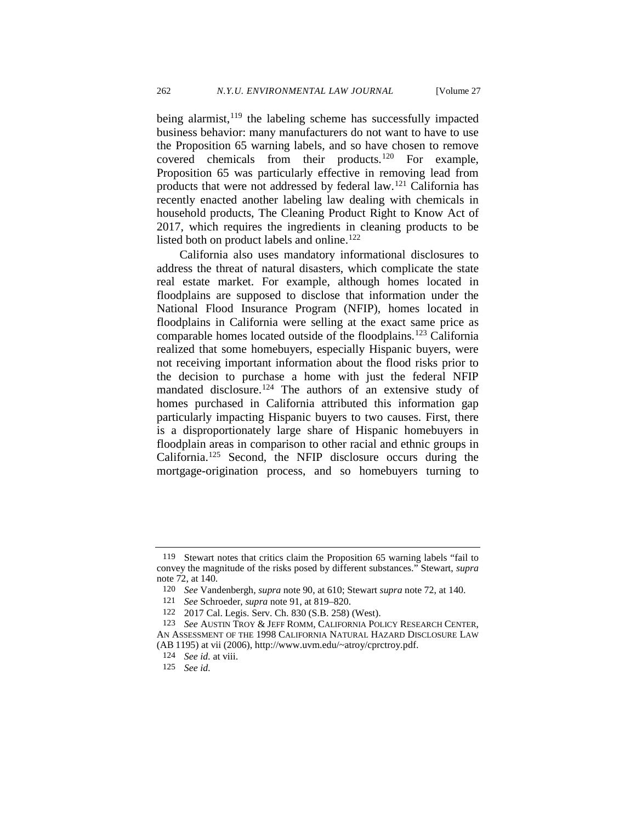<span id="page-22-9"></span><span id="page-22-8"></span><span id="page-22-0"></span>

being alarmist,  $119$  the labeling scheme has successfully impacted business behavior: many manufacturers do not want to have to use the Proposition 65 warning labels, and so have chosen to remove covered chemicals from their products.[120](#page-22-2) For example, Proposition 65 was particularly effective in removing lead from products that were not addressed by federal law.[121](#page-22-3) California has recently enacted another labeling law dealing with chemicals in household products, The Cleaning Product Right to Know Act of 2017, which requires the ingredients in cleaning products to be listed both on product labels and online.<sup>[122](#page-22-4)</sup>

California also uses mandatory informational disclosures to address the threat of natural disasters, which complicate the state real estate market. For example, although homes located in floodplains are supposed to disclose that information under the National Flood Insurance Program (NFIP), homes located in floodplains in California were selling at the exact same price as comparable homes located outside of the floodplains.<sup>[123](#page-22-5)</sup> California realized that some homebuyers, especially Hispanic buyers, were not receiving important information about the flood risks prior to the decision to purchase a home with just the federal NFIP mandated disclosure.<sup>124</sup> The authors of an extensive study of homes purchased in California attributed this information gap particularly impacting Hispanic buyers to two causes. First, there is a disproportionately large share of Hispanic homebuyers in floodplain areas in comparison to other racial and ethnic groups in California.[125](#page-22-7) Second, the NFIP disclosure occurs during the mortgage-origination process, and so homebuyers turning to

<span id="page-22-2"></span><span id="page-22-1"></span><sup>119</sup> Stewart notes that critics claim the Proposition 65 warning labels "fail to convey the magnitude of the risks posed by different substances." Stewart, *supra*  not[e 72,](#page-14-9) at 140.

<sup>120</sup> *See* Vandenbergh, *supra* not[e 90,](#page-17-7) at 610; Stewart *supra* not[e 72,](#page-14-9) at 140.

<sup>121</sup> *See* Schroeder, *supra* note [91,](#page-17-8) at 819–820.

<sup>122 2017</sup> Cal. Legis. Serv. Ch. 830 (S.B. 258) (West).

<span id="page-22-7"></span><span id="page-22-6"></span><span id="page-22-5"></span><span id="page-22-4"></span><span id="page-22-3"></span><sup>123</sup> *See* AUSTIN TROY & JEFF ROMM, CALIFORNIA POLICY RESEARCH CENTER, AN ASSESSMENT OF THE 1998 CALIFORNIA NATURAL HAZARD DISCLOSURE LAW (AB 1195) at vii (2006), http://www.uvm.edu/~atroy/cprctroy.pdf.

<sup>124</sup> *See id.* at viii.

<sup>125</sup> *See id.*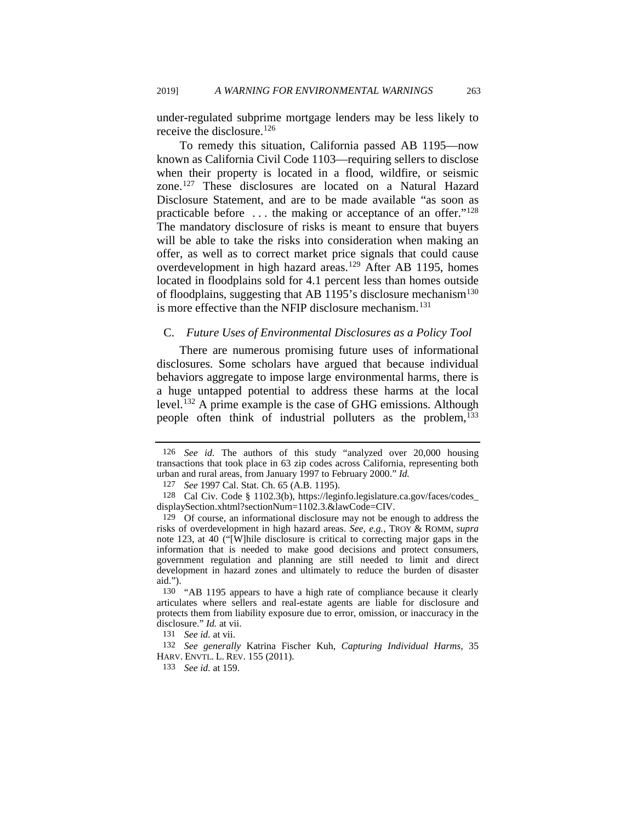under-regulated subprime mortgage lenders may be less likely to receive the disclosure.<sup>[126](#page-23-0)</sup>

To remedy this situation, California passed AB 1195—now known as California Civil Code 1103—requiring sellers to disclose when their property is located in a flood, wildfire, or seismic zone.[127](#page-23-1) These disclosures are located on a Natural Hazard Disclosure Statement, and are to be made available "as soon as practicable before ... the making or acceptance of an offer."<sup>128</sup> The mandatory disclosure of risks is meant to ensure that buyers will be able to take the risks into consideration when making an offer, as well as to correct market price signals that could cause overdevelopment in high hazard areas.<sup>[129](#page-23-3)</sup> After AB 1195, homes located in floodplains sold for 4.1 percent less than homes outside of floodplains, suggesting that AB 1195's disclosure mechanism<sup>130</sup> is more effective than the NFIP disclosure mechanism.<sup>[131](#page-23-5)</sup>

#### C. *Future Uses of Environmental Disclosures as a Policy Tool*

There are numerous promising future uses of informational disclosures. Some scholars have argued that because individual behaviors aggregate to impose large environmental harms, there is a huge untapped potential to address these harms at the local level.<sup>[132](#page-23-6)</sup> A prime example is the case of GHG emissions. Although people often think of industrial polluters as the problem,<sup>133</sup>

<span id="page-23-8"></span><span id="page-23-0"></span><sup>126</sup> *See id.* The authors of this study "analyzed over 20,000 housing transactions that took place in 63 zip codes across California, representing both urban and rural areas, from January 1997 to February 2000." *Id.*

<sup>127</sup> *See* 1997 Cal. Stat. Ch. 65 (A.B. 1195).

<span id="page-23-2"></span><span id="page-23-1"></span><sup>128</sup> Cal Civ. Code § 1102.3(b), https://leginfo.legislature.ca.gov/faces/codes\_ displaySection.xhtml?sectionNum=1102.3.&lawCode=CIV.

<span id="page-23-3"></span><sup>129</sup> Of course, an informational disclosure may not be enough to address the risks of overdevelopment in high hazard areas. *See, e.g.*, TROY & ROMM, *supra*  note [123,](#page-22-8) at 40 ("[W]hile disclosure is critical to correcting major gaps in the information that is needed to make good decisions and protect consumers, government regulation and planning are still needed to limit and direct development in hazard zones and ultimately to reduce the burden of disaster aid.").

<span id="page-23-4"></span><sup>130 &</sup>quot;AB 1195 appears to have a high rate of compliance because it clearly articulates where sellers and real-estate agents are liable for disclosure and protects them from liability exposure due to error, omission, or inaccuracy in the disclosure." *Id.* at vii.

<sup>131</sup> *See id.* at vii.

<span id="page-23-7"></span><span id="page-23-6"></span><span id="page-23-5"></span><sup>132</sup> *See generally* Katrina Fischer Kuh, *Capturing Individual Harms*, 35 HARV. ENVTL. L. REV. 155 (2011).

<sup>133</sup> *See id.* at 159.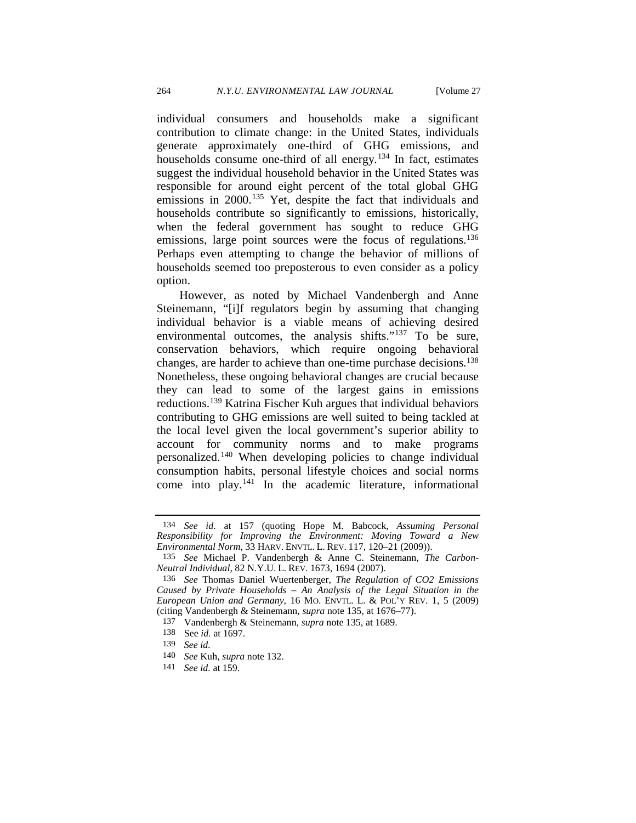<span id="page-24-0"></span>individual consumers and households make a significant contribution to climate change: in the United States, individuals generate approximately one-third of GHG emissions, and households consume one-third of all energy.[134](#page-24-1) In fact, estimates suggest the individual household behavior in the United States was responsible for around eight percent of the total global GHG emissions in 2000.<sup>[135](#page-24-2)</sup> Yet, despite the fact that individuals and households contribute so significantly to emissions, historically, when the federal government has sought to reduce GHG emissions, large point sources were the focus of regulations.<sup>136</sup> Perhaps even attempting to change the behavior of millions of households seemed too preposterous to even consider as a policy option.

However, as noted by Michael Vandenbergh and Anne Steinemann, "[i]f regulators begin by assuming that changing individual behavior is a viable means of achieving desired environmental outcomes, the analysis shifts."<sup>[137](#page-24-4)</sup> To be sure, conservation behaviors, which require ongoing behavioral changes, are harder to achieve than one-time purchase decisions[.138](#page-24-5) Nonetheless, these ongoing behavioral changes are crucial because they can lead to some of the largest gains in emissions reductions.[139](#page-24-6) Katrina Fischer Kuh argues that individual behaviors contributing to GHG emissions are well suited to being tackled at the local level given the local government's superior ability to account for community norms and to make programs personalized.[140](#page-24-7) When developing policies to change individual consumption habits, personal lifestyle choices and social norms come into play.[141](#page-24-8) In the academic literature, informational

<span id="page-24-1"></span><sup>134</sup> *See id.* at 157 (quoting Hope M. Babcock, *Assuming Personal Responsibility for Improving the Environment: Moving Toward a New Environmental Norm*, 33 HARV. ENVTL. L. REV. 117, 120–21 (2009)).

<span id="page-24-2"></span><sup>135</sup> *See* Michael P. Vandenbergh & Anne C. Steinemann, *The Carbon-Neutral Individual*, 82 N.Y.U. L. REV. 1673, 1694 (2007).

<span id="page-24-4"></span><span id="page-24-3"></span><sup>136</sup> *See* Thomas Daniel Wuertenberger, *The Regulation of CO2 Emissions Caused by Private Households – An Analysis of the Legal Situation in the European Union and Germany*, 16 MO. ENVTL. L. & POL'Y REV. 1, 5 (2009) (citing Vandenbergh & Steinemann, *supra* note [135,](#page-24-0) at 1676–77).

<sup>137</sup> Vandenbergh & Steinemann, *supra* note [135,](#page-24-0) at 1689.

<sup>138</sup> See *id.* at 1697.

<span id="page-24-5"></span><sup>139</sup> *See id.* 

<span id="page-24-8"></span><span id="page-24-7"></span><span id="page-24-6"></span><sup>140</sup>*See* Kuh, *supra* note [132.](#page-23-8) 141 *See id.* at 159.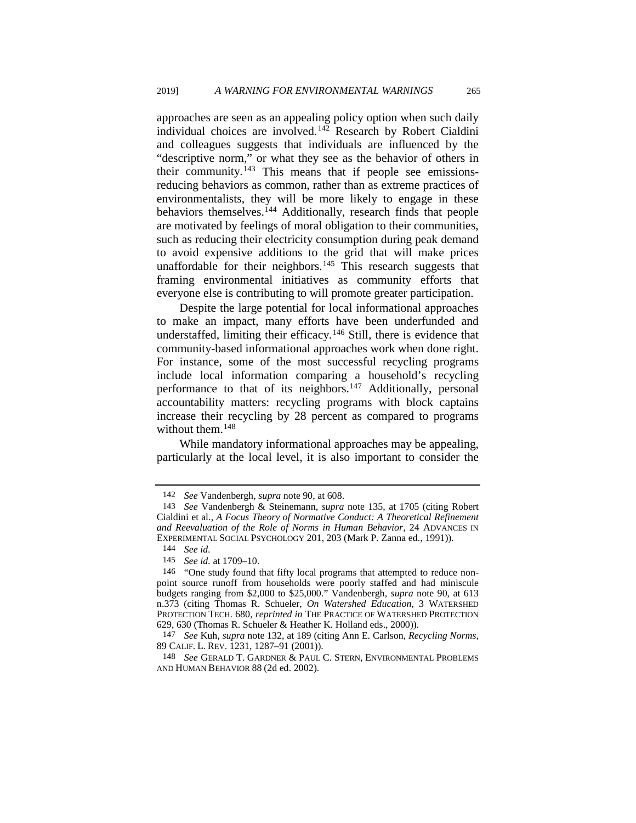approaches are seen as an appealing policy option when such daily individual choices are involved.<sup>[142](#page-25-0)</sup> Research by Robert Cialdini and colleagues suggests that individuals are influenced by the "descriptive norm," or what they see as the behavior of others in their community.<sup>[143](#page-25-1)</sup> This means that if people see emissionsreducing behaviors as common, rather than as extreme practices of environmentalists, they will be more likely to engage in these behaviors themselves.<sup>[144](#page-25-2)</sup> Additionally, research finds that people are motivated by feelings of moral obligation to their communities, such as reducing their electricity consumption during peak demand to avoid expensive additions to the grid that will make prices unaffordable for their neighbors.<sup>[145](#page-25-3)</sup> This research suggests that framing environmental initiatives as community efforts that everyone else is contributing to will promote greater participation.

Despite the large potential for local informational approaches to make an impact, many efforts have been underfunded and understaffed, limiting their efficacy.<sup>[146](#page-25-4)</sup> Still, there is evidence that community-based informational approaches work when done right. For instance, some of the most successful recycling programs include local information comparing a household's recycling performance to that of its neighbors.<sup>[147](#page-25-5)</sup> Additionally, personal accountability matters: recycling programs with block captains increase their recycling by 28 percent as compared to programs without them.<sup>[148](#page-25-6)</sup>

While mandatory informational approaches may be appealing, particularly at the local level, it is also important to consider the

<sup>142</sup> *See* Vandenbergh, *supra* not[e 90,](#page-17-7) at 608.

<span id="page-25-1"></span><span id="page-25-0"></span><sup>143</sup> *See* Vandenbergh & Steinemann, *supra* note [135,](#page-24-0) at 1705 (citing Robert Cialdini et al., *A Focus Theory of Normative Conduct: A Theoretical Refinement and Reevaluation of the Role of Norms in Human Behavior*, 24 ADVANCES IN EXPERIMENTAL SOCIAL PSYCHOLOGY 201, 203 (Mark P. Zanna ed., 1991)).

<sup>144</sup> *See id.* 

<sup>145</sup> *See id.* at 1709–10.

<span id="page-25-4"></span><span id="page-25-3"></span><span id="page-25-2"></span><sup>146 &</sup>quot;One study found that fifty local programs that attempted to reduce nonpoint source runoff from households were poorly staffed and had miniscule budgets ranging from \$2,000 to \$25,000." Vandenbergh, *supra* note [90,](#page-17-7) at 613 n.373 (citing Thomas R. Schueler, *On Watershed Education,* 3 WATERSHED PROTECTION TECH. 680, *reprinted in* THE PRACTICE OF WATERSHED PROTECTION 629, 630 (Thomas R. Schueler & Heather K. Holland eds., 2000)).

<span id="page-25-5"></span><sup>147</sup> *See* Kuh, *supra* note [132,](#page-23-8) at 189 (citing Ann E. Carlson, *Recycling Norms*, 89 CALIF. L. REV. 1231, 1287–91 (2001)).

<span id="page-25-6"></span><sup>148</sup> *See* GERALD T. GARDNER & PAUL C. STERN, ENVIRONMENTAL PROBLEMS AND HUMAN BEHAVIOR 88 (2d ed. 2002).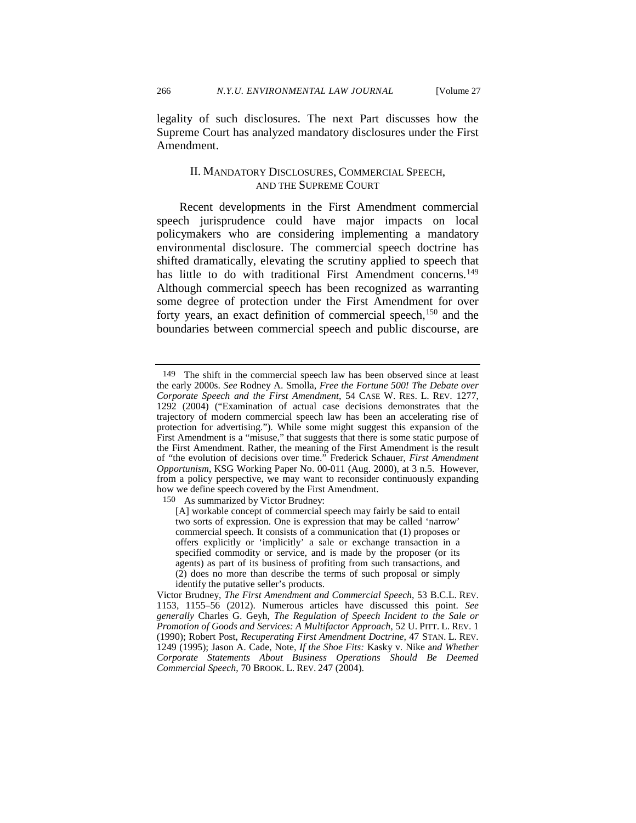legality of such disclosures. The next Part discusses how the Supreme Court has analyzed mandatory disclosures under the First Amendment.

### <span id="page-26-2"></span>II. MANDATORY DISCLOSURES, COMMERCIAL SPEECH, AND THE SUPREME COURT

Recent developments in the First Amendment commercial speech jurisprudence could have major impacts on local policymakers who are considering implementing a mandatory environmental disclosure. The commercial speech doctrine has shifted dramatically, elevating the scrutiny applied to speech that has little to do with traditional First Amendment concerns.<sup>[149](#page-26-0)</sup> Although commercial speech has been recognized as warranting some degree of protection under the First Amendment for over forty years, an exact definition of commercial speech,<sup>[150](#page-26-1)</sup> and the boundaries between commercial speech and public discourse, are

<span id="page-26-1"></span>150 As summarized by Victor Brudney:

<span id="page-26-0"></span><sup>149</sup> The shift in the commercial speech law has been observed since at least the early 2000s. *See* Rodney A. Smolla, *Free the Fortune 500! The Debate over Corporate Speech and the First Amendment*, 54 CASE W. RES. L. REV. 1277, 1292 (2004) ("Examination of actual case decisions demonstrates that the trajectory of modern commercial speech law has been an accelerating rise of protection for advertising."). While some might suggest this expansion of the First Amendment is a "misuse," that suggests that there is some static purpose of the First Amendment. Rather, the meaning of the First Amendment is the result of "the evolution of decisions over time." Frederick Schauer, *First Amendment Opportunism*, KSG Working Paper No. 00-011 (Aug. 2000), at 3 n.5. However, from a policy perspective, we may want to reconsider continuously expanding how we define speech covered by the First Amendment.

<sup>[</sup>A] workable concept of commercial speech may fairly be said to entail two sorts of expression. One is expression that may be called 'narrow' commercial speech. It consists of a communication that (1) proposes or offers explicitly or 'implicitly' a sale or exchange transaction in a specified commodity or service, and is made by the proposer (or its agents) as part of its business of profiting from such transactions, and (2) does no more than describe the terms of such proposal or simply identify the putative seller's products.

Victor Brudney, *The First Amendment and Commercial Speech*, 53 B.C.L. REV. 1153, 1155–56 (2012). Numerous articles have discussed this point. *See generally* Charles G. Geyh, *The Regulation of Speech Incident to the Sale or Promotion of Goods and Services: A Multifactor Approach*, 52 U. PITT. L. REV. 1 (1990); Robert Post, *Recuperating First Amendment Doctrine*, 47 STAN. L. REV. 1249 (1995); Jason A. Cade, Note, *If the Shoe Fits:* Kasky v. Nike a*nd Whether Corporate Statements About Business Operations Should Be Deemed Commercial Speech*, 70 BROOK. L. REV. 247 (2004).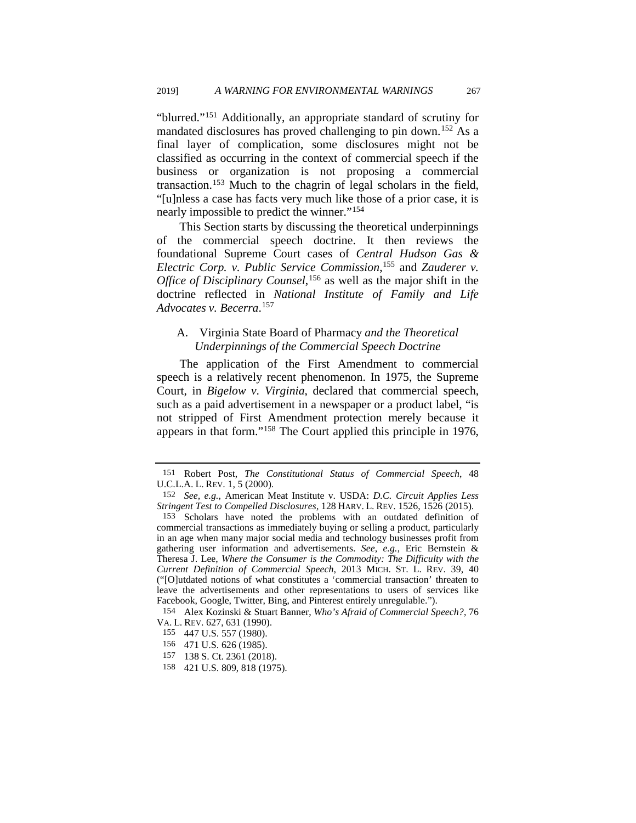<span id="page-27-8"></span>"blurred."[151](#page-27-0) Additionally, an appropriate standard of scrutiny for mandated disclosures has proved challenging to pin down.<sup>[152](#page-27-1)</sup> As a final layer of complication, some disclosures might not be classified as occurring in the context of commercial speech if the business or organization is not proposing a commercial transaction.[153](#page-27-2) Much to the chagrin of legal scholars in the field, "[u]nless a case has facts very much like those of a prior case, it is nearly impossible to predict the winner."[154](#page-27-3)

<span id="page-27-9"></span>This Section starts by discussing the theoretical underpinnings of the commercial speech doctrine. It then reviews the foundational Supreme Court cases of *Central Hudson Gas & Electric Corp. v. Public Service Commission*, [155](#page-27-4) and *Zauderer v. Office of Disciplinary Counsel*, [156](#page-27-5) as well as the major shift in the doctrine reflected in *National Institute of Family and Life Advocates v. Becerra*. [157](#page-27-6)

### A. Virginia State Board of Pharmacy *and the Theoretical Underpinnings of the Commercial Speech Doctrine*

The application of the First Amendment to commercial speech is a relatively recent phenomenon. In 1975, the Supreme Court, in *Bigelow v. Virginia*, declared that commercial speech, such as a paid advertisement in a newspaper or a product label, "is not stripped of First Amendment protection merely because it appears in that form."[158](#page-27-7) The Court applied this principle in 1976,

155 447 U.S. 557 (1980).

<span id="page-27-0"></span><sup>151</sup> Robert Post, *The Constitutional Status of Commercial Speech*, 48 U.C.L.A. L. REV. 1, 5 (2000).

<span id="page-27-1"></span><sup>152</sup> *See, e.g.*, American Meat Institute v. USDA: *D.C. Circuit Applies Less Stringent Test to Compelled Disclosures*, 128 HARV. L. REV. 1526, 1526 (2015).

<span id="page-27-2"></span><sup>153</sup> Scholars have noted the problems with an outdated definition of commercial transactions as immediately buying or selling a product, particularly in an age when many major social media and technology businesses profit from gathering user information and advertisements. *See, e.g.*, Eric Bernstein & Theresa J. Lee, *Where the Consumer is the Commodity: The Difficulty with the Current Definition of Commercial Speech*, 2013 MICH. ST. L. REV. 39, 40 ("[O]utdated notions of what constitutes a 'commercial transaction' threaten to leave the advertisements and other representations to users of services like Facebook, Google, Twitter, Bing, and Pinterest entirely unregulable.").

<span id="page-27-5"></span><span id="page-27-4"></span><span id="page-27-3"></span><sup>154</sup> Alex Kozinski & Stuart Banner, *Who's Afraid of Commercial Speech?*, 76

<sup>156 471</sup> U.S. 626 (1985).

<span id="page-27-6"></span><sup>157 138</sup> S. Ct. 2361 (2018).

<span id="page-27-7"></span><sup>158 421</sup> U.S. 809, 818 (1975).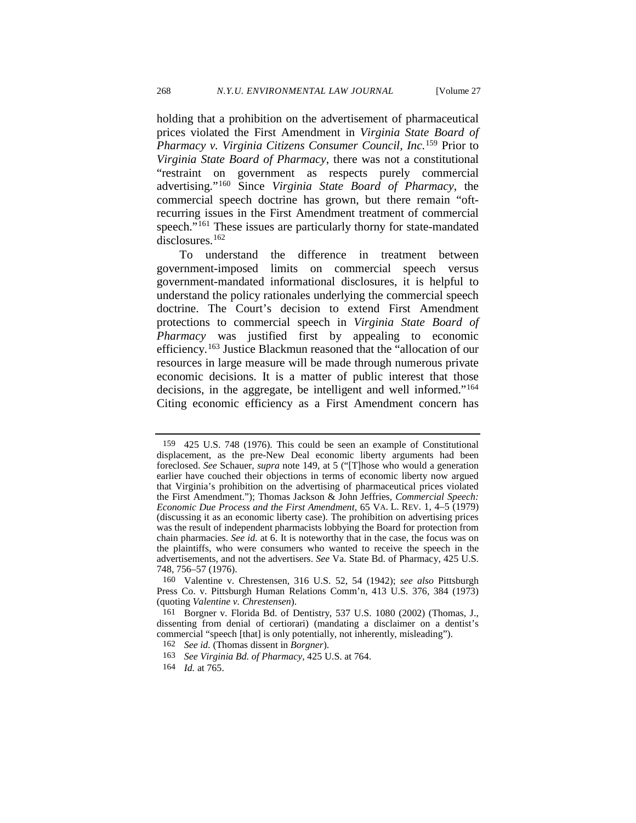holding that a prohibition on the advertisement of pharmaceutical prices violated the First Amendment in *Virginia State Board of Pharmacy v. Virginia Citizens Consumer Council, Inc.*[159](#page-28-0) Prior to *Virginia State Board of Pharmacy*, there was not a constitutional "restraint on government as respects purely commercial advertising."[160](#page-28-1) Since *Virginia State Board of Pharmacy*, the commercial speech doctrine has grown, but there remain "oftrecurring issues in the First Amendment treatment of commercial speech."<sup>[161](#page-28-2)</sup> These issues are particularly thorny for state-mandated disclosures.<sup>162</sup>

To understand the difference in treatment between government-imposed limits on commercial speech versus government-mandated informational disclosures, it is helpful to understand the policy rationales underlying the commercial speech doctrine. The Court's decision to extend First Amendment protections to commercial speech in *Virginia State Board of Pharmacy* was justified first by appealing to economic efficiency.[163](#page-28-4) Justice Blackmun reasoned that the "allocation of our resources in large measure will be made through numerous private economic decisions. It is a matter of public interest that those decisions, in the aggregate, be intelligent and well informed.["164](#page-28-5) Citing economic efficiency as a First Amendment concern has

<span id="page-28-0"></span><sup>159 425</sup> U.S. 748 (1976). This could be seen an example of Constitutional displacement, as the pre-New Deal economic liberty arguments had been foreclosed. *See* Schauer, *supra* note [149,](#page-26-2) at 5 ("[T]hose who would a generation earlier have couched their objections in terms of economic liberty now argued that Virginia's prohibition on the advertising of pharmaceutical prices violated the First Amendment."); Thomas Jackson & John Jeffries, *Commercial Speech: Economic Due Process and the First Amendment*, 65 VA. L. REV. 1, 4–5 (1979) (discussing it as an economic liberty case). The prohibition on advertising prices was the result of independent pharmacists lobbying the Board for protection from chain pharmacies. *See id.* at 6. It is noteworthy that in the case, the focus was on the plaintiffs, who were consumers who wanted to receive the speech in the advertisements, and not the advertisers. *See* Va. State Bd. of Pharmacy, 425 U.S. 748, 756–57 (1976).

<span id="page-28-1"></span><sup>160</sup> Valentine v. Chrestensen, 316 U.S. 52, 54 (1942); *see also* Pittsburgh Press Co. v. Pittsburgh Human Relations Comm'n, 413 U.S. 376, 384 (1973) (quoting *Valentine v. Chrestensen*).

<span id="page-28-4"></span><span id="page-28-3"></span><span id="page-28-2"></span><sup>161</sup> Borgner v. Florida Bd. of Dentistry, 537 U.S. 1080 (2002) (Thomas, J., dissenting from denial of certiorari) (mandating a disclaimer on a dentist's commercial "speech [that] is only potentially, not inherently, misleading").

<sup>162</sup> *See id.* (Thomas dissent in *Borgner*).

<sup>163</sup> *See Virginia Bd. of Pharmacy*, 425 U.S. at 764.

<span id="page-28-5"></span><sup>164</sup> *Id.* at 765.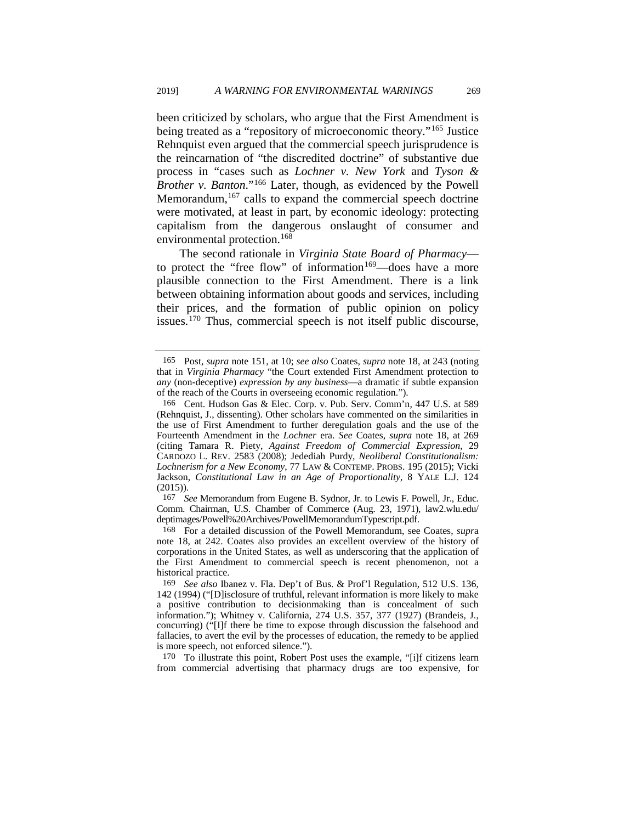been criticized by scholars, who argue that the First Amendment is being treated as a "repository of microeconomic theory."<sup>[165](#page-29-0)</sup> Justice Rehnquist even argued that the commercial speech jurisprudence is the reincarnation of "the discredited doctrine" of substantive due process in "cases such as *Lochner v. New York* and *Tyson & Brother v. Banton*."[166](#page-29-1) Later, though, as evidenced by the Powell Memorandum,  $167$  calls to expand the commercial speech doctrine were motivated, at least in part, by economic ideology: protecting capitalism from the dangerous onslaught of consumer and environmental protection.[168](#page-29-3)

The second rationale in *Virginia State Board of Pharmacy* to protect the "free flow" of information $169$ —does have a more plausible connection to the First Amendment. There is a link between obtaining information about goods and services, including their prices, and the formation of public opinion on policy issues.[170](#page-29-5) Thus, commercial speech is not itself public discourse,

<span id="page-29-2"></span>167 *See* Memorandum from Eugene B. Sydnor, Jr. to Lewis F. Powell, Jr., Educ. Comm. Chairman, U.S. Chamber of Commerce (Aug. 23, 1971), law2.wlu.edu/

<span id="page-29-3"></span><sup>168</sup> For a detailed discussion of the Powell Memorandum, see Coates, *supra* note [18,](#page-3-7) at 242. Coates also provides an excellent overview of the history of corporations in the United States, as well as underscoring that the application of the First Amendment to commercial speech is recent phenomenon, not a historical practice.

<span id="page-29-5"></span>170 To illustrate this point, Robert Post uses the example, "[i]f citizens learn from commercial advertising that pharmacy drugs are too expensive, for

<span id="page-29-0"></span><sup>165</sup> Post, *supra* note [151,](#page-27-8) at 10; *see also* Coates, *supra* not[e 18,](#page-3-7) at 243 (noting that in *Virginia Pharmacy* "the Court extended First Amendment protection to *any* (non-deceptive) *expression by any business*—a dramatic if subtle expansion of the reach of the Courts in overseeing economic regulation.").

<span id="page-29-1"></span><sup>166</sup> Cent. Hudson Gas & Elec. Corp. v. Pub. Serv. Comm'n, 447 U.S. at 589 (Rehnquist, J., dissenting). Other scholars have commented on the similarities in the use of First Amendment to further deregulation goals and the use of the Fourteenth Amendment in the *Lochner* era. *See* Coates, *supra* note [18,](#page-3-7) at 269 (citing Tamara R. Piety, *Against Freedom of Commercial Expression*, 29 CARDOZO L. REV. 2583 (2008); Jedediah Purdy, *Neoliberal Constitutionalism: Lochnerism for a New Economy*, 77 LAW & CONTEMP. PROBS. 195 (2015); Vicki Jackson, *Constitutional Law in an Age of Proportionality*, 8 YALE L.J. 124 (2015)).

<span id="page-29-4"></span><sup>169</sup> *See also* Ibanez v. Fla. Dep't of Bus. & Prof'l Regulation, 512 U.S. 136, 142 (1994) ("[D]isclosure of truthful, relevant information is more likely to make a positive contribution to decisionmaking than is concealment of such information."); Whitney v. California, 274 U.S. 357, 377 (1927) (Brandeis, J., concurring) ("[I]f there be time to expose through discussion the falsehood and fallacies, to avert the evil by the processes of education, the remedy to be applied is more speech, not enforced silence.").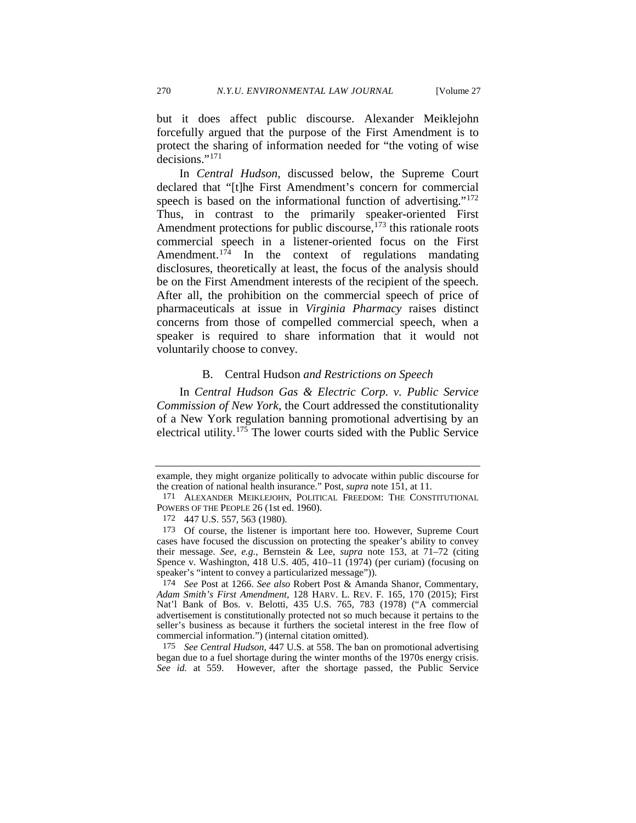but it does affect public discourse. Alexander Meiklejohn forcefully argued that the purpose of the First Amendment is to protect the sharing of information needed for "the voting of wise decisions."<sup>[171](#page-30-0)</sup>

In *Central Hudson*, discussed below, the Supreme Court declared that "[t]he First Amendment's concern for commercial speech is based on the informational function of advertising."<sup>[172](#page-30-1)</sup> Thus, in contrast to the primarily speaker-oriented First Amendment protections for public discourse,  $173$  this rationale roots commercial speech in a listener-oriented focus on the First Amendment. $1^{74}$  In the context of regulations mandating disclosures, theoretically at least, the focus of the analysis should be on the First Amendment interests of the recipient of the speech. After all, the prohibition on the commercial speech of price of pharmaceuticals at issue in *Virginia Pharmacy* raises distinct concerns from those of compelled commercial speech, when a speaker is required to share information that it would not voluntarily choose to convey.

#### B. Central Hudson *and Restrictions on Speech*

In *Central Hudson Gas & Electric Corp. v. Public Service Commission of New York*, the Court addressed the constitutionality of a New York regulation banning promotional advertising by an electrical utility.[175](#page-30-4) The lower courts sided with the Public Service

<span id="page-30-4"></span>175 *See Central Hudson*, 447 U.S. at 558. The ban on promotional advertising began due to a fuel shortage during the winter months of the 1970s energy crisis. *See id.* at 559. However, after the shortage passed, the Public Service

example, they might organize politically to advocate within public discourse for the creation of national health insurance." Post, *supra* note [151,](#page-27-8) at 11.

<span id="page-30-0"></span><sup>171</sup> ALEXANDER MEIKLEJOHN, POLITICAL FREEDOM: THE CONSTITUTIONAL POWERS OF THE PEOPLE 26 (1st ed. 1960).

<sup>172 447</sup> U.S. 557, 563 (1980).

<span id="page-30-2"></span><span id="page-30-1"></span><sup>173</sup> Of course, the listener is important here too. However, Supreme Court cases have focused the discussion on protecting the speaker's ability to convey their message. *See, e.g.*, Bernstein & Lee, *supra* note [153,](#page-27-9) at 71–72 (citing Spence v. Washington, 418 U.S. 405, 410–11 (1974) (per curiam) (focusing on speaker's "intent to convey a particularized message")).

<span id="page-30-3"></span><sup>174</sup> *See* Post at 1266. *See also* Robert Post & Amanda Shanor, Commentary, *Adam Smith's First Amendment*, 128 HARV. L. REV. F. 165, 170 (2015); First Nat'l Bank of Bos. v. Belotti, 435 U.S. 765, 783 (1978) ("A commercial advertisement is constitutionally protected not so much because it pertains to the seller's business as because it furthers the societal interest in the free flow of commercial information.") (internal citation omitted).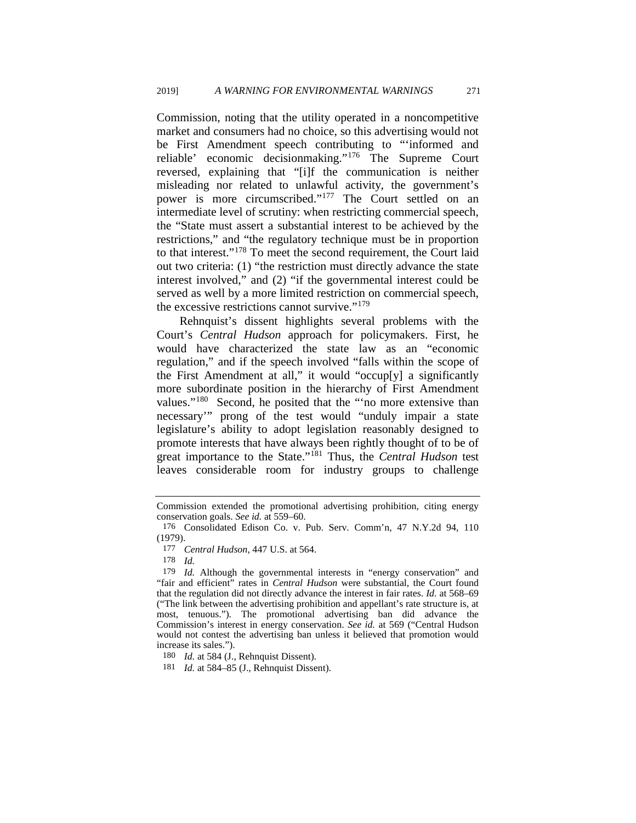Commission, noting that the utility operated in a noncompetitive market and consumers had no choice, so this advertising would not be First Amendment speech contributing to "'informed and reliable' economic decisionmaking."[176](#page-31-0) The Supreme Court reversed, explaining that "[i]f the communication is neither misleading nor related to unlawful activity, the government's power is more circumscribed."[177](#page-31-1) The Court settled on an intermediate level of scrutiny: when restricting commercial speech, the "State must assert a substantial interest to be achieved by the restrictions," and "the regulatory technique must be in proportion to that interest."[178](#page-31-2) To meet the second requirement, the Court laid out two criteria: (1) "the restriction must directly advance the state interest involved," and (2) "if the governmental interest could be served as well by a more limited restriction on commercial speech, the excessive restrictions cannot survive."[179](#page-31-3)

Rehnquist's dissent highlights several problems with the Court's *Central Hudson* approach for policymakers. First, he would have characterized the state law as an "economic regulation," and if the speech involved "falls within the scope of the First Amendment at all," it would "occup[y] a significantly more subordinate position in the hierarchy of First Amendment values."<sup>[180](#page-31-4)</sup> Second, he posited that the ""no more extensive than necessary'" prong of the test would "unduly impair a state legislature's ability to adopt legislation reasonably designed to promote interests that have always been rightly thought of to be of great importance to the State."[181](#page-31-5) Thus, the *Central Hudson* test leaves considerable room for industry groups to challenge

Commission extended the promotional advertising prohibition, citing energy conservation goals. *See id.* at 559–60.

<span id="page-31-0"></span><sup>176</sup> Consolidated Edison Co. v. Pub. Serv. Comm'n, 47 N.Y.2d 94, 110 (1979).

<sup>177</sup> *Central Hudson*, 447 U.S. at 564.

<sup>178</sup> *Id.* 

<span id="page-31-3"></span><span id="page-31-2"></span><span id="page-31-1"></span><sup>179</sup> *Id.* Although the governmental interests in "energy conservation" and "fair and efficient" rates in *Central Hudson* were substantial, the Court found that the regulation did not directly advance the interest in fair rates. *Id.* at 568–69 ("The link between the advertising prohibition and appellant's rate structure is, at most, tenuous."). The promotional advertising ban did advance the Commission's interest in energy conservation. *See id.* at 569 ("Central Hudson would not contest the advertising ban unless it believed that promotion would increase its sales.").

<span id="page-31-5"></span><span id="page-31-4"></span><sup>180</sup> *Id.* at 584 (J., Rehnquist Dissent).

<sup>181</sup> *Id.* at 584–85 (J., Rehnquist Dissent).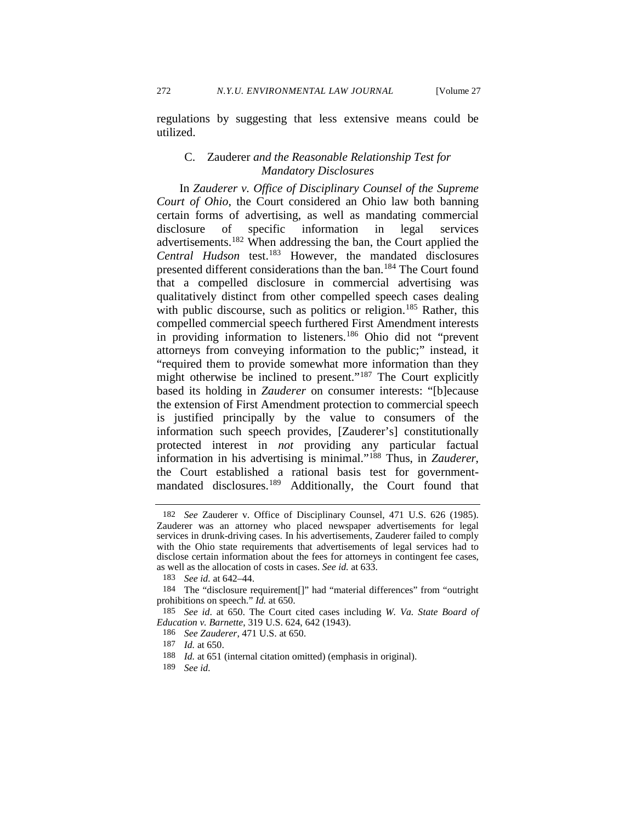regulations by suggesting that less extensive means could be utilized.

### C. Zauderer *and the Reasonable Relationship Test for Mandatory Disclosures*

In *Zauderer v. Office of Disciplinary Counsel of the Supreme Court of Ohio*, the Court considered an Ohio law both banning certain forms of advertising, as well as mandating commercial disclosure of specific information in legal services advertisements.[182](#page-32-0) When addressing the ban, the Court applied the *Central Hudson* test.[183](#page-32-1) However, the mandated disclosures presented different considerations than the ban.[184](#page-32-2) The Court found that a compelled disclosure in commercial advertising was qualitatively distinct from other compelled speech cases dealing with public discourse, such as politics or religion.<sup>[185](#page-32-3)</sup> Rather, this compelled commercial speech furthered First Amendment interests in providing information to listeners.<sup>[186](#page-32-4)</sup> Ohio did not "prevent attorneys from conveying information to the public;" instead, it "required them to provide somewhat more information than they might otherwise be inclined to present."<sup>[187](#page-32-5)</sup> The Court explicitly based its holding in *Zauderer* on consumer interests: "[b]ecause the extension of First Amendment protection to commercial speech is justified principally by the value to consumers of the information such speech provides, [Zauderer's] constitutionally protected interest in *not* providing any particular factual information in his advertising is minimal."[188](#page-32-6) Thus, in *Zauderer*, the Court established a rational basis test for government-mandated disclosures.<sup>[189](#page-32-7)</sup> Additionally, the Court found that

186 *See Zauderer*, 471 U.S. at 650.

<span id="page-32-0"></span><sup>182</sup> *See* Zauderer v. Office of Disciplinary Counsel, 471 U.S. 626 (1985). Zauderer was an attorney who placed newspaper advertisements for legal services in drunk-driving cases. In his advertisements, Zauderer failed to comply with the Ohio state requirements that advertisements of legal services had to disclose certain information about the fees for attorneys in contingent fee cases, as well as the allocation of costs in cases. *See id.* at 633.

<sup>183</sup> *See id.* at 642–44.

<span id="page-32-2"></span><span id="page-32-1"></span><sup>184</sup> The "disclosure requirement[]" had "material differences" from "outright prohibitions on speech." *Id.* at 650.

<span id="page-32-5"></span><span id="page-32-4"></span><span id="page-32-3"></span><sup>185</sup> *See id*. at 650. The Court cited cases including *W. Va. State Board of Education v. Barnette*, 319 U.S. 624, 642 (1943).

<sup>187</sup> *Id.* at 650.

<span id="page-32-6"></span><sup>188</sup> *Id.* at 651 (internal citation omitted) (emphasis in original).

<span id="page-32-7"></span><sup>189</sup> *See id.*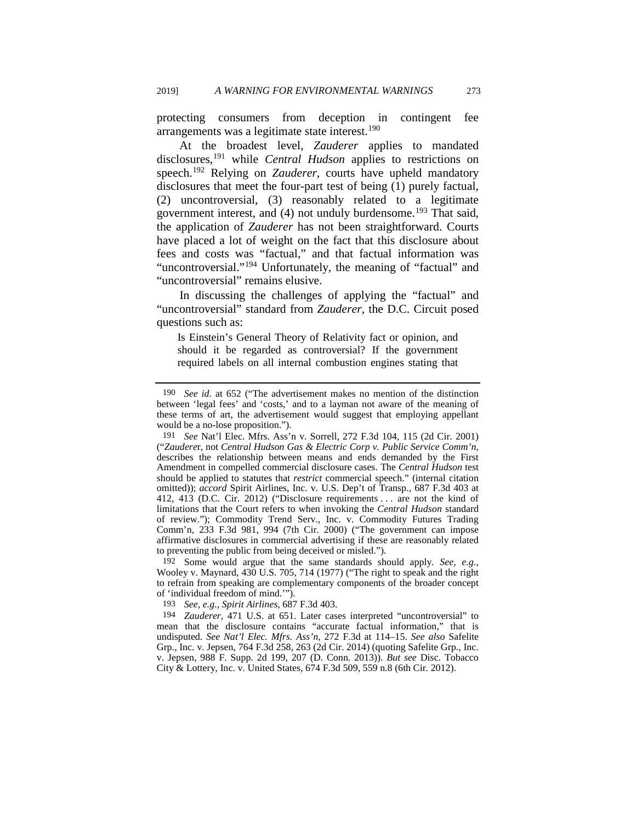protecting consumers from deception in contingent fee arrangements was a legitimate state interest.<sup>[190](#page-33-0)</sup>

At the broadest level, *Zauderer* applies to mandated disclosures[,191](#page-33-1) while *Central Hudson* applies to restrictions on speech.[192](#page-33-2) Relying on *Zauderer*, courts have upheld mandatory disclosures that meet the four-part test of being (1) purely factual, (2) uncontroversial, (3) reasonably related to a legitimate government interest, and (4) not unduly burdensome.<sup>[193](#page-33-3)</sup> That said, the application of *Zauderer* has not been straightforward. Courts have placed a lot of weight on the fact that this disclosure about fees and costs was "factual," and that factual information was "uncontroversial."<sup>[194](#page-33-4)</sup> Unfortunately, the meaning of "factual" and "uncontroversial" remains elusive.

In discussing the challenges of applying the "factual" and "uncontroversial" standard from *Zauderer*, the D.C. Circuit posed questions such as:

Is Einstein's General Theory of Relativity fact or opinion, and should it be regarded as controversial? If the government required labels on all internal combustion engines stating that

<span id="page-33-2"></span>192 Some would argue that the same standards should apply. *See, e.g.*, Wooley v. Maynard, 430 U.S. 705, 714 (1977) ("The right to speak and the right to refrain from speaking are complementary components of the broader concept of 'individual freedom of mind.'").

193 *See, e.g.*, *Spirit Airlines*, 687 F.3d 403.

<span id="page-33-0"></span><sup>190</sup> *See id.* at 652 ("The advertisement makes no mention of the distinction between 'legal fees' and 'costs,' and to a layman not aware of the meaning of these terms of art, the advertisement would suggest that employing appellant would be a no-lose proposition.").

<span id="page-33-1"></span><sup>191</sup> *See* Nat'l Elec. Mfrs. Ass'n v. Sorrell, 272 F.3d 104, 115 (2d Cir. 2001) ("*Zaudere*r, not *Central Hudson Gas & Electric Corp v. Public Service Comm'n*, describes the relationship between means and ends demanded by the First Amendment in compelled commercial disclosure cases. The *Central Hudson* test should be applied to statutes that *restrict* commercial speech." (internal citation omitted)); *accord* Spirit Airlines, Inc. v. U.S. Dep't of Transp., 687 F.3d 403 at 412, 413 (D.C. Cir. 2012) ("Disclosure requirements . . . are not the kind of limitations that the Court refers to when invoking the *Central Hudson* standard of review."); Commodity Trend Serv., Inc. v. Commodity Futures Trading Comm'n, 233 F.3d 981, 994 (7th Cir. 2000) ("The government can impose affirmative disclosures in commercial advertising if these are reasonably related to preventing the public from being deceived or misled.").

<span id="page-33-4"></span><span id="page-33-3"></span><sup>194</sup> *Zauderer*, 471 U.S. at 651. Later cases interpreted "uncontroversial" to mean that the disclosure contains "accurate factual information," that is undisputed. *See Nat'l Elec. Mfrs. Ass'n*, 272 F.3d at 114–15. *See also* Safelite Grp., Inc. v. Jepsen, 764 F.3d 258, 263 (2d Cir. 2014) (quoting Safelite Grp., Inc. v. Jepsen, 988 F. Supp. 2d 199, 207 (D. Conn. 2013)). *But see* Disc. Tobacco City & Lottery, Inc. v. United States, 674 F.3d 509, 559 n.8 (6th Cir. 2012).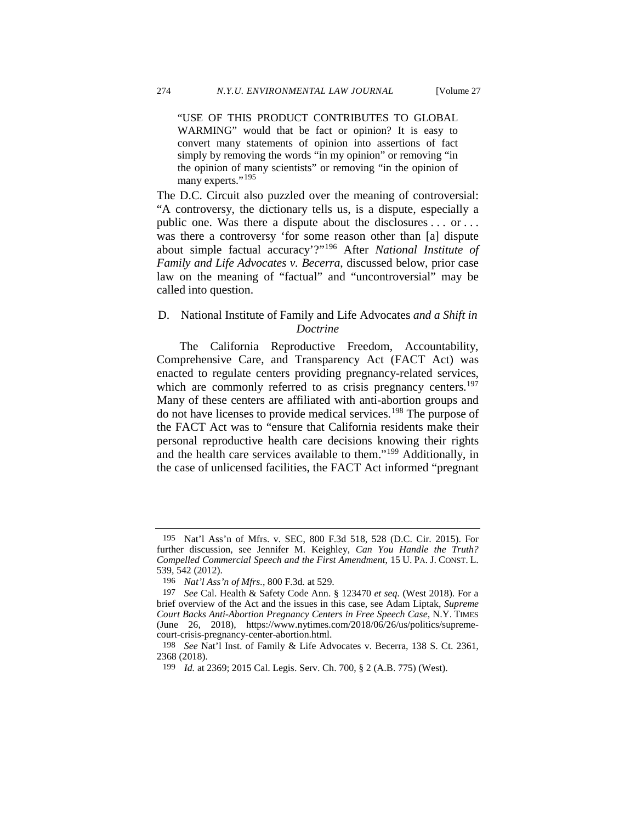"USE OF THIS PRODUCT CONTRIBUTES TO GLOBAL WARMING" would that be fact or opinion? It is easy to convert many statements of opinion into assertions of fact simply by removing the words "in my opinion" or removing "in the opinion of many scientists" or removing "in the opinion of many experts."<sup>[195](#page-34-0)</sup>

<span id="page-34-5"></span>The D.C. Circuit also puzzled over the meaning of controversial: "A controversy, the dictionary tells us, is a dispute, especially a public one. Was there a dispute about the disclosures . . . or . . . was there a controversy 'for some reason other than [a] dispute about simple factual accuracy'?"[196](#page-34-1) After *National Institute of Family and Life Advocates v. Becerra*, discussed below, prior case law on the meaning of "factual" and "uncontroversial" may be called into question.

### D. National Institute of Family and Life Advocates *and a Shift in Doctrine*

The California Reproductive Freedom, Accountability, Comprehensive Care, and Transparency Act (FACT Act) was enacted to regulate centers providing pregnancy-related services, which are commonly referred to as crisis pregnancy centers.<sup>197</sup> Many of these centers are affiliated with anti-abortion groups and do not have licenses to provide medical services.[198](#page-34-3) The purpose of the FACT Act was to "ensure that California residents make their personal reproductive health care decisions knowing their rights and the health care services available to them."[199](#page-34-4) Additionally, in the case of unlicensed facilities, the FACT Act informed "pregnant

<span id="page-34-0"></span><sup>195</sup> Nat'l Ass'n of Mfrs. v. SEC, 800 F.3d 518, 528 (D.C. Cir. 2015). For further discussion, see Jennifer M. Keighley, *Can You Handle the Truth? Compelled Commercial Speech and the First Amendment*, 15 U. PA. J. CONST. L. 539, 542 (2012).

<sup>196</sup> *Nat'l Ass'n of Mfrs.*, 800 F.3d*.* at 529.

<span id="page-34-2"></span><span id="page-34-1"></span><sup>197</sup> *See* Cal. Health & Safety Code Ann. § 123470 *et seq.* (West 2018). For a brief overview of the Act and the issues in this case, see Adam Liptak, *Supreme Court Backs Anti-Abortion Pregnancy Centers in Free Speech Case*, N.Y. TIMES (June 26, 2018), https://www.nytimes.com/2018/06/26/us/politics/supremecourt-crisis-pregnancy-center-abortion.html.

<span id="page-34-4"></span><span id="page-34-3"></span><sup>198</sup> *See* Nat'l Inst. of Family & Life Advocates v. Becerra*,* 138 S. Ct. 2361, 2368 (2018).

<sup>199</sup> *Id.* at 2369; 2015 Cal. Legis. Serv. Ch. 700, § 2 (A.B. 775) (West).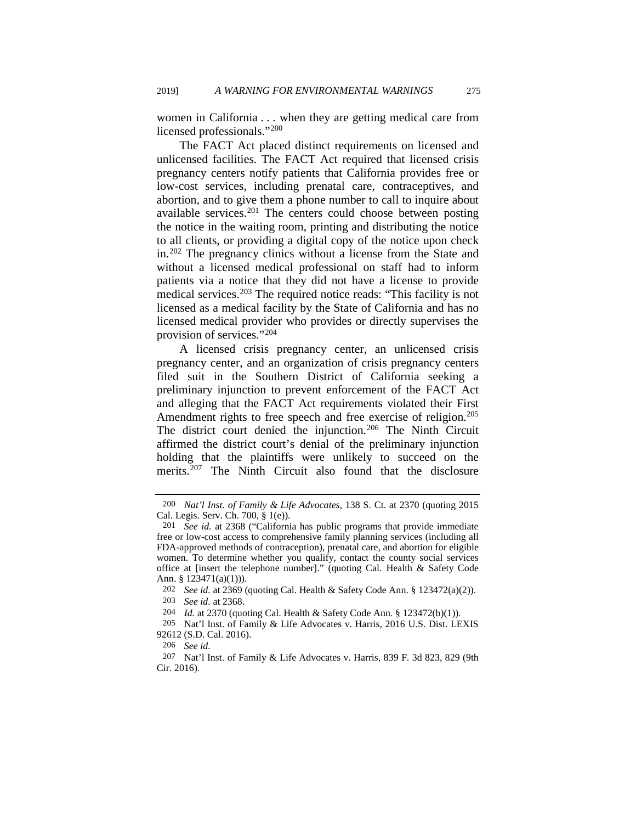women in California . . . when they are getting medical care from licensed professionals."[200](#page-35-0)

The FACT Act placed distinct requirements on licensed and unlicensed facilities. The FACT Act required that licensed crisis pregnancy centers notify patients that California provides free or low-cost services, including prenatal care, contraceptives, and abortion, and to give them a phone number to call to inquire about available services. $201$  The centers could choose between posting the notice in the waiting room, printing and distributing the notice to all clients, or providing a digital copy of the notice upon check in.[202](#page-35-2) The pregnancy clinics without a license from the State and without a licensed medical professional on staff had to inform patients via a notice that they did not have a license to provide medical services.[203](#page-35-3) The required notice reads: "This facility is not licensed as a medical facility by the State of California and has no licensed medical provider who provides or directly supervises the provision of services."[204](#page-35-4)

A licensed crisis pregnancy center, an unlicensed crisis pregnancy center, and an organization of crisis pregnancy centers filed suit in the Southern District of California seeking a preliminary injunction to prevent enforcement of the FACT Act and alleging that the FACT Act requirements violated their First Amendment rights to free speech and free exercise of religion.<sup>205</sup> The district court denied the injunction.<sup>[206](#page-35-6)</sup> The Ninth Circuit affirmed the district court's denial of the preliminary injunction holding that the plaintiffs were unlikely to succeed on the merits.<sup>[207](#page-35-7)</sup> The Ninth Circuit also found that the disclosure

<span id="page-35-0"></span><sup>200</sup> *Nat'l Inst. of Family & Life Advocates,* 138 S. Ct. at 2370 (quoting 2015 Cal. Legis. Serv. Ch. 700, § 1(e)).

<span id="page-35-1"></span><sup>201</sup> *See id.* at 2368 ("California has public programs that provide immediate free or low-cost access to comprehensive family planning services (including all FDA-approved methods of contraception), prenatal care, and abortion for eligible women. To determine whether you qualify, contact the county social services office at [insert the telephone number]." (quoting Cal. Health & Safety Code Ann. §  $123471(a)(1))$ .

<sup>202</sup> *See id.* at 2369 (quoting Cal. Health & Safety Code Ann. § 123472(a)(2)). 203 *See id.* at 2368.

<sup>204</sup> *Id.* at 2370 (quoting Cal. Health & Safety Code Ann. § 123472(b)(1)).

<span id="page-35-5"></span><span id="page-35-4"></span><span id="page-35-3"></span><span id="page-35-2"></span><sup>205</sup> Nat'l Inst. of Family & Life Advocates v. Harris, 2016 U.S. Dist. LEXIS 92612 (S.D. Cal. 2016).

<sup>206</sup> *See id.* 

<span id="page-35-7"></span><span id="page-35-6"></span><sup>207</sup> Nat'l Inst. of Family & Life Advocates v. Harris, 839 F. 3d 823, 829 (9th Cir. 2016).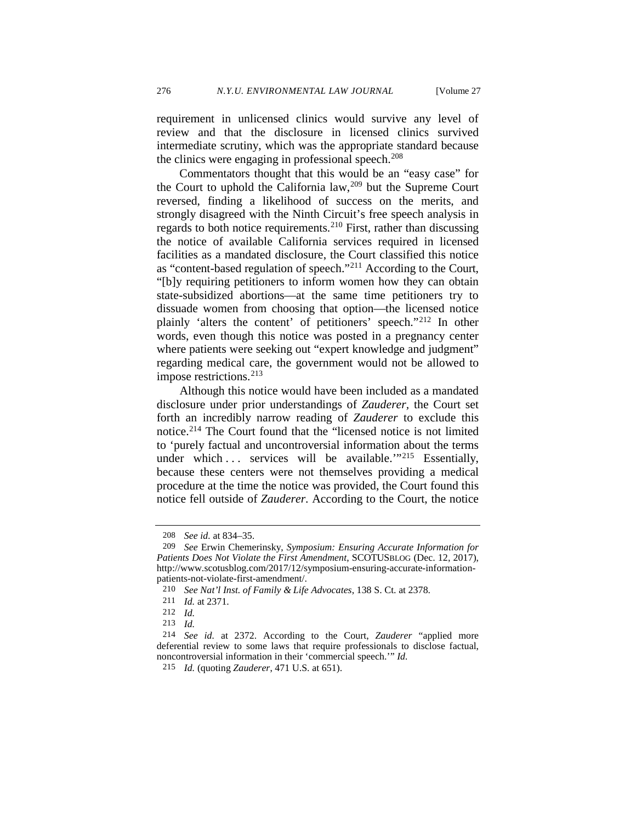requirement in unlicensed clinics would survive any level of review and that the disclosure in licensed clinics survived intermediate scrutiny, which was the appropriate standard because the clinics were engaging in professional speech. $208$ 

Commentators thought that this would be an "easy case" for the Court to uphold the California law,  $209$  but the Supreme Court reversed, finding a likelihood of success on the merits, and strongly disagreed with the Ninth Circuit's free speech analysis in regards to both notice requirements[.210](#page-36-2) First, rather than discussing the notice of available California services required in licensed facilities as a mandated disclosure, the Court classified this notice as "content-based regulation of speech."[211](#page-36-3) According to the Court, "[b]y requiring petitioners to inform women how they can obtain state-subsidized abortions—at the same time petitioners try to dissuade women from choosing that option—the licensed notice plainly 'alters the content' of petitioners' speech."[212](#page-36-4) In other words, even though this notice was posted in a pregnancy center where patients were seeking out "expert knowledge and judgment" regarding medical care, the government would not be allowed to impose restrictions.[213](#page-36-5)

Although this notice would have been included as a mandated disclosure under prior understandings of *Zauderer,* the Court set forth an incredibly narrow reading of *Zauderer* to exclude this notice[.214](#page-36-6) The Court found that the "licensed notice is not limited to 'purely factual and uncontroversial information about the terms under which  $\ldots$  services will be available."<sup>[215](#page-36-7)</sup> Essentially, because these centers were not themselves providing a medical procedure at the time the notice was provided, the Court found this notice fell outside of *Zauderer*. According to the Court, the notice

<sup>208</sup> *See id.* at 834–35.

<span id="page-36-1"></span><span id="page-36-0"></span><sup>209</sup> *See* Erwin Chemerinsky, *Symposium: Ensuring Accurate Information for Patients Does Not Violate the First Amendment*, SCOTUSBLOG (Dec. 12, 2017), http://www.scotusblog.com/2017/12/symposium-ensuring-accurate-informationpatients-not-violate-first-amendment/.

<sup>210</sup> *See Nat'l Inst. of Family & Life Advocates*, 138 S. Ct. at 2378.

<span id="page-36-2"></span><sup>211</sup> *Id.* at 2371.

<sup>212</sup> *Id.* 

<sup>213</sup> *Id.* 

<span id="page-36-7"></span><span id="page-36-6"></span><span id="page-36-5"></span><span id="page-36-4"></span><span id="page-36-3"></span><sup>214</sup> *See id.* at 2372. According to the Court, *Zauderer* "applied more deferential review to some laws that require professionals to disclose factual, noncontroversial information in their 'commercial speech.'" *Id.* 

<sup>215</sup> *Id.* (quoting *Zauderer*, 471 U.S. at 651).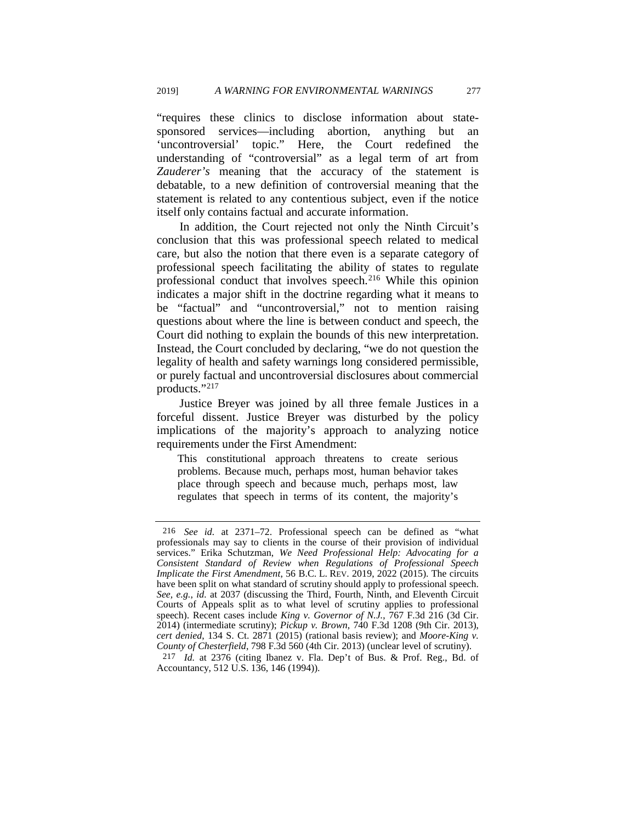"requires these clinics to disclose information about statesponsored services—including abortion, anything but an 'uncontroversial' topic." Here, the Court redefined the understanding of "controversial" as a legal term of art from *Zauderer's* meaning that the accuracy of the statement is debatable, to a new definition of controversial meaning that the statement is related to any contentious subject, even if the notice itself only contains factual and accurate information.

In addition, the Court rejected not only the Ninth Circuit's conclusion that this was professional speech related to medical care, but also the notion that there even is a separate category of professional speech facilitating the ability of states to regulate professional conduct that involves speech.[216](#page-37-0) While this opinion indicates a major shift in the doctrine regarding what it means to be "factual" and "uncontroversial," not to mention raising questions about where the line is between conduct and speech, the Court did nothing to explain the bounds of this new interpretation. Instead, the Court concluded by declaring, "we do not question the legality of health and safety warnings long considered permissible, or purely factual and uncontroversial disclosures about commercial products."[217](#page-37-1)

Justice Breyer was joined by all three female Justices in a forceful dissent. Justice Breyer was disturbed by the policy implications of the majority's approach to analyzing notice requirements under the First Amendment:

This constitutional approach threatens to create serious problems. Because much, perhaps most, human behavior takes place through speech and because much, perhaps most, law regulates that speech in terms of its content, the majority's

<span id="page-37-0"></span><sup>216</sup> *See id.* at 2371–72. Professional speech can be defined as "what professionals may say to clients in the course of their provision of individual services." Erika Schutzman, *We Need Professional Help: Advocating for a Consistent Standard of Review when Regulations of Professional Speech Implicate the First Amendment*, 56 B.C. L. REV. 2019, 2022 (2015). The circuits have been split on what standard of scrutiny should apply to professional speech. *See, e.g.*, *id.* at 2037 (discussing the Third, Fourth, Ninth, and Eleventh Circuit Courts of Appeals split as to what level of scrutiny applies to professional speech). Recent cases include *King v. Governor of N.J.*,  $767$  F.3d 216 (3d Cir. 2014) (intermediate scrutiny); *Pickup v. Brown*, 740 F.3d 1208 (9th Cir. 2013), *cert denied*, 134 S. Ct. 2871 (2015) (rational basis review); and *Moore-King v. County of Chesterfield*, 798 F.3d 560 (4th Cir. 2013) (unclear level of scrutiny).

<span id="page-37-1"></span><sup>217</sup> *Id.* at 2376 (citing Ibanez v. Fla. Dep't of Bus. & Prof. Reg., Bd. of Accountancy, 512 U.S. 136, 146 (1994)).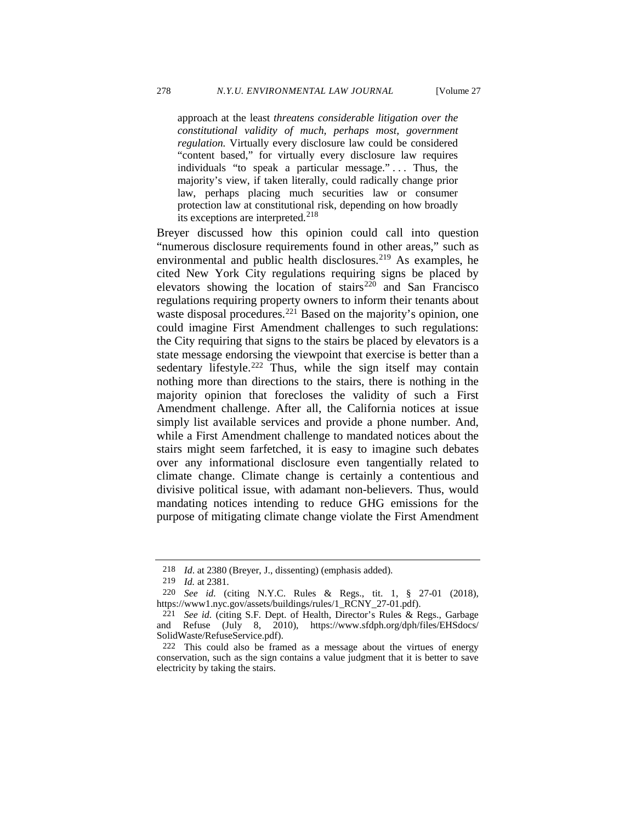approach at the least *threatens considerable litigation over the constitutional validity of much, perhaps most, government regulation.* Virtually every disclosure law could be considered "content based," for virtually every disclosure law requires individuals "to speak a particular message."... Thus, the majority's view, if taken literally, could radically change prior law, perhaps placing much securities law or consumer protection law at constitutional risk, depending on how broadly its exceptions are interpreted.<sup>[218](#page-38-0)</sup>

Breyer discussed how this opinion could call into question "numerous disclosure requirements found in other areas," such as environmental and public health disclosures.<sup>[219](#page-38-1)</sup> As examples, he cited New York City regulations requiring signs be placed by elevators showing the location of stairs<sup>[220](#page-38-2)</sup> and San Francisco regulations requiring property owners to inform their tenants about waste disposal procedures.<sup>[221](#page-38-3)</sup> Based on the majority's opinion, one could imagine First Amendment challenges to such regulations: the City requiring that signs to the stairs be placed by elevators is a state message endorsing the viewpoint that exercise is better than a sedentary lifestyle.<sup>[222](#page-38-4)</sup> Thus, while the sign itself may contain nothing more than directions to the stairs, there is nothing in the majority opinion that forecloses the validity of such a First Amendment challenge. After all, the California notices at issue simply list available services and provide a phone number. And, while a First Amendment challenge to mandated notices about the stairs might seem farfetched, it is easy to imagine such debates over any informational disclosure even tangentially related to climate change. Climate change is certainly a contentious and divisive political issue, with adamant non-believers. Thus, would mandating notices intending to reduce GHG emissions for the purpose of mitigating climate change violate the First Amendment

<sup>218</sup> *Id*. at 2380 (Breyer, J., dissenting) (emphasis added).

<sup>219</sup> *Id.* at 2381.

<span id="page-38-2"></span><span id="page-38-1"></span><span id="page-38-0"></span><sup>220</sup> *See id.* (citing N.Y.C. Rules & Regs., tit. 1, § 27-01 (2018), https://www1.nyc.gov/assets/buildings/rules/1\_RCNY\_27-01.pdf).

<span id="page-38-3"></span><sup>221</sup> *See id.* (citing S.F. Dept. of Health, Director's Rules & Regs., Garbage and Refuse (July 8, 2010), https://www.sfdph.org/dph/files/EHSdocs/ SolidWaste/RefuseService.pdf).

<span id="page-38-4"></span><sup>222</sup> This could also be framed as a message about the virtues of energy conservation, such as the sign contains a value judgment that it is better to save electricity by taking the stairs.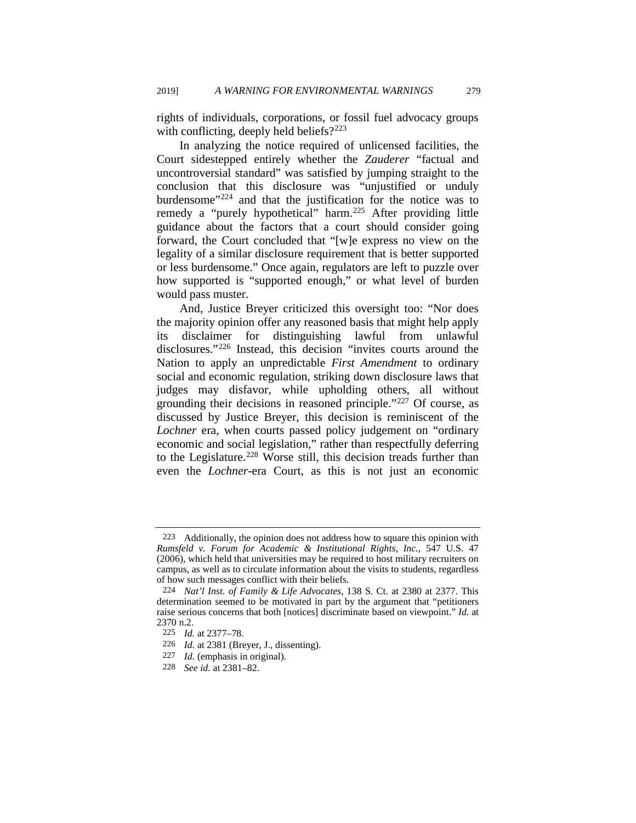rights of individuals, corporations, or fossil fuel advocacy groups with conflicting, deeply held beliefs?<sup>[223](#page-39-0)</sup>

In analyzing the notice required of unlicensed facilities, the Court sidestepped entirely whether the *Zauderer* "factual and uncontroversial standard" was satisfied by jumping straight to the conclusion that this disclosure was "unjustified or unduly burdensome<sup>"[224](#page-39-1)</sup> and that the justification for the notice was to remedy a "purely hypothetical" harm.<sup>[225](#page-39-2)</sup> After providing little guidance about the factors that a court should consider going forward, the Court concluded that "[w]e express no view on the legality of a similar disclosure requirement that is better supported or less burdensome." Once again, regulators are left to puzzle over how supported is "supported enough," or what level of burden would pass muster.

And, Justice Breyer criticized this oversight too: "Nor does the majority opinion offer any reasoned basis that might help apply its disclaimer for distinguishing lawful from unlawful disclosures."[226](#page-39-3) Instead, this decision "invites courts around the Nation to apply an unpredictable *First Amendment* to ordinary social and economic regulation, striking down disclosure laws that judges may disfavor, while upholding others, all without grounding their decisions in reasoned principle.["227](#page-39-4) Of course, as discussed by Justice Breyer, this decision is reminiscent of the *Lochner* era, when courts passed policy judgement on "ordinary economic and social legislation," rather than respectfully deferring to the Legislature.<sup>[228](#page-39-5)</sup> Worse still, this decision treads further than even the *Lochner*-era Court, as this is not just an economic

<span id="page-39-0"></span><sup>223</sup> Additionally, the opinion does not address how to square this opinion with *Rumsfeld v. Forum for Academic & Institutional Rights, Inc.*, 547 U.S. 47 (2006), which held that universities may be required to host military recruiters on campus, as well as to circulate information about the visits to students, regardless of how such messages conflict with their beliefs.

<span id="page-39-1"></span><sup>224</sup> *Nat'l Inst. of Family & Life Advocates*, 138 S. Ct. at 2380 at 2377. This determination seemed to be motivated in part by the argument that "petitioners raise serious concerns that both [notices] discriminate based on viewpoint." *Id.* at 2370 n.2.

<span id="page-39-2"></span><sup>225</sup> *Id.* at 2377–78.

<span id="page-39-3"></span><sup>226</sup> *Id.* at 2381 (Breyer, J., dissenting).

<span id="page-39-4"></span><sup>227</sup> *Id.* (emphasis in original).

<span id="page-39-5"></span><sup>228</sup> *See id.* at 2381–82.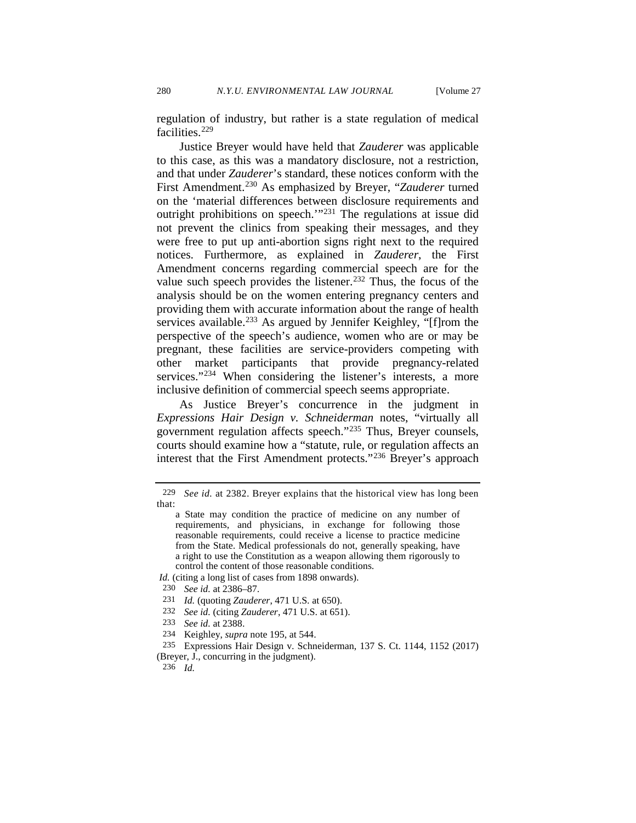regulation of industry, but rather is a state regulation of medical facilities.[229](#page-40-0)

Justice Breyer would have held that *Zauderer* was applicable to this case, as this was a mandatory disclosure, not a restriction, and that under *Zauderer*'s standard, these notices conform with the First Amendment.[230](#page-40-1) As emphasized by Breyer, "*Zauderer* turned on the 'material differences between disclosure requirements and outright prohibitions on speech.<sup>'"[231](#page-40-2)</sup> The regulations at issue did not prevent the clinics from speaking their messages, and they were free to put up anti-abortion signs right next to the required notices. Furthermore, as explained in *Zauderer*, the First Amendment concerns regarding commercial speech are for the value such speech provides the listener.<sup>[232](#page-40-3)</sup> Thus, the focus of the analysis should be on the women entering pregnancy centers and providing them with accurate information about the range of health services available.<sup>[233](#page-40-4)</sup> As argued by Jennifer Keighley, "[f]rom the perspective of the speech's audience, women who are or may be pregnant, these facilities are service-providers competing with other market participants that provide pregnancy-related services."<sup>234</sup> When considering the listener's interests, a more inclusive definition of commercial speech seems appropriate.

As Justice Breyer's concurrence in the judgment in *Expressions Hair Design v. Schneiderman* notes, "virtually all government regulation affects speech.["235](#page-40-6) Thus, Breyer counsels, courts should examine how a "statute, rule, or regulation affects an interest that the First Amendment protects."[236](#page-40-7) Breyer's approach

- <span id="page-40-2"></span><span id="page-40-1"></span>*Id.* (citing a long list of cases from 1898 onwards).
- 230 *See id.* at 2386–87.
- 231 *Id.* (quoting *Zauderer*, 471 U.S. at 650).
- <span id="page-40-3"></span>232 *See id.* (citing *Zauderer*, 471 U.S. at 651).
- 233 *See id.* at 2388.
- 234 Keighley, *supra* not[e 195,](#page-34-5) at 544.
- 235 Expressions Hair Design v. Schneiderman, 137 S. Ct. 1144, 1152 (2017)

<span id="page-40-7"></span><span id="page-40-6"></span><span id="page-40-5"></span><span id="page-40-4"></span>(Breyer, J., concurring in the judgment).

236 *Id.* 

<span id="page-40-0"></span><sup>229</sup> *See id.* at 2382. Breyer explains that the historical view has long been that:

a State may condition the practice of medicine on any number of requirements, and physicians, in exchange for following those reasonable requirements, could receive a license to practice medicine from the State. Medical professionals do not, generally speaking, have a right to use the Constitution as a weapon allowing them rigorously to control the content of those reasonable conditions.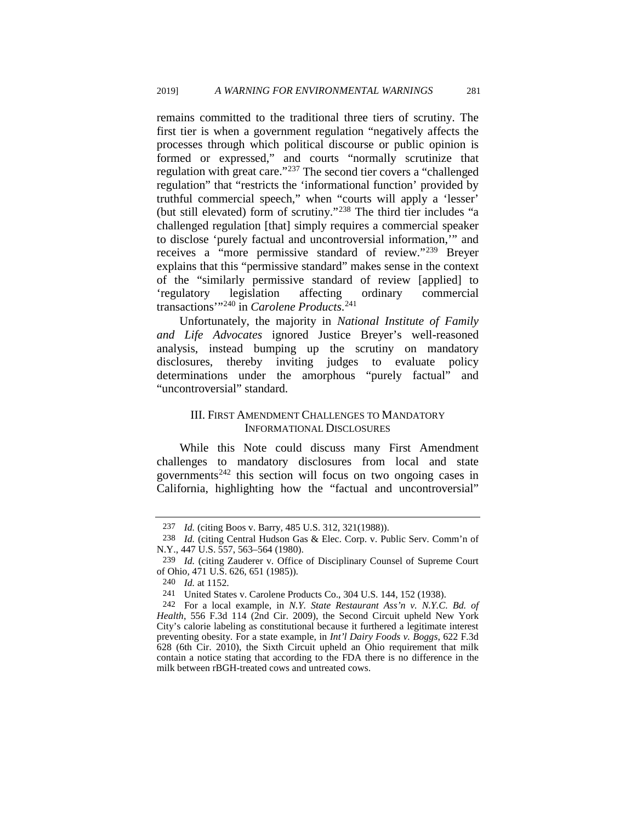remains committed to the traditional three tiers of scrutiny. The first tier is when a government regulation "negatively affects the processes through which political discourse or public opinion is formed or expressed," and courts "normally scrutinize that regulation with great care."<sup>237</sup> The second tier covers a "challenged regulation" that "restricts the 'informational function' provided by truthful commercial speech," when "courts will apply a 'lesser' (but still elevated) form of scrutiny."[238](#page-41-1) The third tier includes "a challenged regulation [that] simply requires a commercial speaker to disclose 'purely factual and uncontroversial information,'" and receives a "more permissive standard of review."[239](#page-41-2) Breyer explains that this "permissive standard" makes sense in the context of the "similarly permissive standard of review [applied] to 'regulatory legislation affecting ordinary commercial transactions'"[240](#page-41-3) in *Carolene Products*. [241](#page-41-4)

Unfortunately, the majority in *National Institute of Family and Life Advocates* ignored Justice Breyer's well-reasoned analysis, instead bumping up the scrutiny on mandatory disclosures, thereby inviting judges to evaluate policy determinations under the amorphous "purely factual" and "uncontroversial" standard.

### III. FIRST AMENDMENT CHALLENGES TO MANDATORY INFORMATIONAL DISCLOSURES

While this Note could discuss many First Amendment challenges to mandatory disclosures from local and state governments[242](#page-41-5) this section will focus on two ongoing cases in California, highlighting how the "factual and uncontroversial"

<sup>237</sup> *Id.* (citing Boos v. Barry*,* 485 U.S. 312, 321(1988)).

<span id="page-41-1"></span><span id="page-41-0"></span><sup>238</sup> *Id.* (citing Central Hudson Gas & Elec. Corp. v. Public Serv. Comm'n of N.Y., 447 U.S. 557, 563–564 (1980).

<span id="page-41-2"></span><sup>239</sup> *Id.* (citing Zauderer v. Office of Disciplinary Counsel of Supreme Court of Ohio*,* 471 U.S. 626, 651 (1985)).

<sup>240</sup> *Id.* at 1152.

<sup>241</sup> United States v. Carolene Products Co., 304 U.S. 144, 152 (1938).

<span id="page-41-5"></span><span id="page-41-4"></span><span id="page-41-3"></span><sup>242</sup> For a local example, in *N.Y. State Restaurant Ass'n v. N.Y.C. Bd. of Health*, 556 F.3d 114 (2nd Cir. 2009), the Second Circuit upheld New York City's calorie labeling as constitutional because it furthered a legitimate interest preventing obesity. For a state example, in *Int'l Dairy Foods v. Boggs*, 622 F.3d 628 (6th Cir. 2010), the Sixth Circuit upheld an Ohio requirement that milk contain a notice stating that according to the FDA there is no difference in the milk between rBGH-treated cows and untreated cows.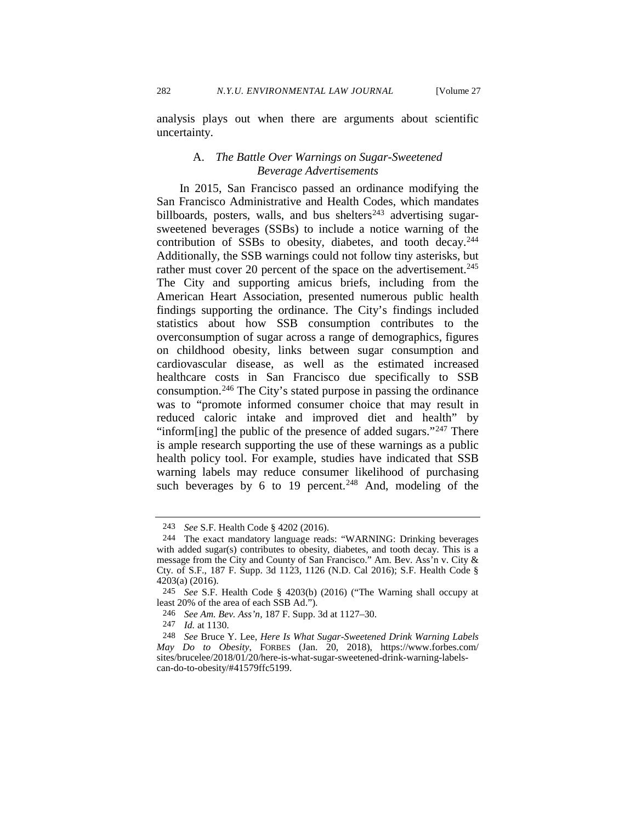282 *N.Y.U. ENVIRONMENTAL LAW JOURNAL* [Volume 27

analysis plays out when there are arguments about scientific uncertainty.

### A. *The Battle Over Warnings on Sugar-Sweetened Beverage Advertisements*

In 2015, San Francisco passed an ordinance modifying the San Francisco Administrative and Health Codes, which mandates billboards, posters, walls, and bus shelters<sup>[243](#page-42-0)</sup> advertising sugarsweetened beverages (SSBs) to include a notice warning of the contribution of SSBs to obesity, diabetes, and tooth decay.<sup>244</sup> Additionally, the SSB warnings could not follow tiny asterisks, but rather must cover 20 percent of the space on the advertisement.<sup>245</sup> The City and supporting amicus briefs, including from the American Heart Association, presented numerous public health findings supporting the ordinance. The City's findings included statistics about how SSB consumption contributes to the overconsumption of sugar across a range of demographics, figures on childhood obesity, links between sugar consumption and cardiovascular disease, as well as the estimated increased healthcare costs in San Francisco due specifically to SSB consumption.[246](#page-42-3) The City's stated purpose in passing the ordinance was to "promote informed consumer choice that may result in reduced caloric intake and improved diet and health" by "inform[ing] the public of the presence of added sugars."<sup>[247](#page-42-4)</sup> There is ample research supporting the use of these warnings as a public health policy tool. For example, studies have indicated that SSB warning labels may reduce consumer likelihood of purchasing such beverages by 6 to 19 percent.<sup>[248](#page-42-5)</sup> And, modeling of the

<sup>243</sup> *See* S.F. Health Code § 4202 (2016).

<span id="page-42-1"></span><span id="page-42-0"></span><sup>244</sup> The exact mandatory language reads: "WARNING: Drinking beverages with added sugar(s) contributes to obesity, diabetes, and tooth decay. This is a message from the City and County of San Francisco." Am. Bev. Ass'n v. City & Cty. of S.F., 187 F. Supp. 3d 1123, 1126 (N.D. Cal 2016); S.F. Health Code § 4203(a) (2016).

<span id="page-42-2"></span><sup>245</sup> *See* S.F. Health Code § 4203(b) (2016) ("The Warning shall occupy at least 20% of the area of each SSB Ad.").

<sup>246</sup> *See Am. Bev. Ass'n,* 187 F. Supp. 3d at 1127–30.

<sup>247</sup> *Id.* at 1130.

<span id="page-42-5"></span><span id="page-42-4"></span><span id="page-42-3"></span><sup>248</sup> *See* Bruce Y. Lee, *Here Is What Sugar-Sweetened Drink Warning Labels May Do to Obesity*, FORBES (Jan. 20, 2018), https://www.forbes.com/ sites/brucelee/2018/01/20/here-is-what-sugar-sweetened-drink-warning-labelscan-do-to-obesity/#41579ffc5199.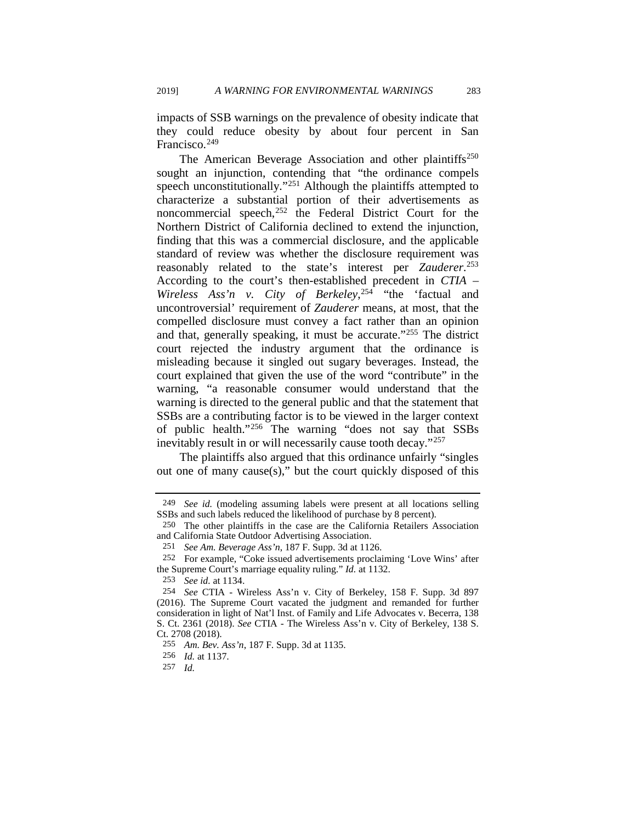impacts of SSB warnings on the prevalence of obesity indicate that they could reduce obesity by about four percent in San Francisco.<sup>[249](#page-43-0)</sup>

The American Beverage Association and other plaintiffs<sup>250</sup> sought an injunction, contending that "the ordinance compels speech unconstitutionally."[251](#page-43-2) Although the plaintiffs attempted to characterize a substantial portion of their advertisements as noncommercial speech, $252$  the Federal District Court for the Northern District of California declined to extend the injunction, finding that this was a commercial disclosure, and the applicable standard of review was whether the disclosure requirement was reasonably related to the state's interest per *Zauderer*. [253](#page-43-4) According to the court's then-established precedent in *CTIA – Wireless Ass'n v. City of Berkeley*, [254](#page-43-5) "the 'factual and uncontroversial' requirement of *Zauderer* means, at most, that the compelled disclosure must convey a fact rather than an opinion and that, generally speaking, it must be accurate."[255](#page-43-6) The district court rejected the industry argument that the ordinance is misleading because it singled out sugary beverages. Instead, the court explained that given the use of the word "contribute" in the warning, "a reasonable consumer would understand that the warning is directed to the general public and that the statement that SSBs are a contributing factor is to be viewed in the larger context of public health."[256](#page-43-7) The warning "does not say that SSBs inevitably result in or will necessarily cause tooth decay."[257](#page-43-8)

The plaintiffs also argued that this ordinance unfairly "singles out one of many cause(s)," but the court quickly disposed of this

<span id="page-43-0"></span><sup>249</sup> *See id.* (modeling assuming labels were present at all locations selling SSBs and such labels reduced the likelihood of purchase by 8 percent).

<span id="page-43-1"></span><sup>250</sup> The other plaintiffs in the case are the California Retailers Association and California State Outdoor Advertising Association.

<sup>251</sup> *See Am. Beverage Ass'n*, 187 F. Supp. 3d at 1126.

<span id="page-43-3"></span><span id="page-43-2"></span><sup>252</sup> For example, "Coke issued advertisements proclaiming 'Love Wins' after the Supreme Court's marriage equality ruling." *Id.* at 1132.

<sup>253</sup> *See id.* at 1134.

<span id="page-43-5"></span><span id="page-43-4"></span><sup>254</sup> *See* CTIA - Wireless Ass'n v. City of Berkeley, 158 F. Supp. 3d 897 (2016). The Supreme Court vacated the judgment and remanded for further consideration in light of Nat'l Inst. of Family and Life Advocates v. Becerra, 138 S. Ct. 2361 (2018). *See* CTIA - The Wireless Ass'n v. City of Berkeley, 138 S. Ct. 2708 (2018).

<span id="page-43-6"></span><sup>255</sup> *Am. Bev. Ass'n*, 187 F. Supp. 3d at 1135.

<sup>256</sup> *Id.* at 1137.

<span id="page-43-8"></span><span id="page-43-7"></span><sup>257</sup> *Id.*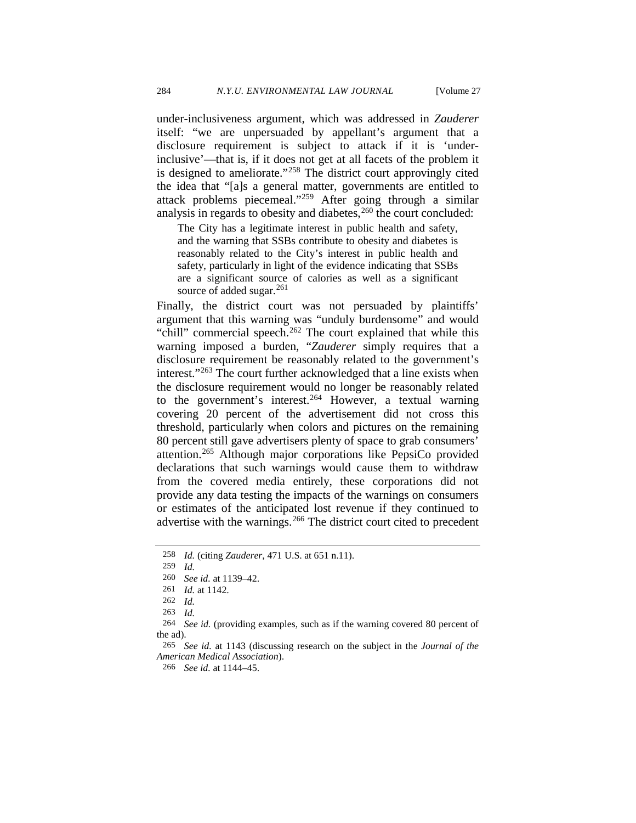under-inclusiveness argument, which was addressed in *Zauderer*  itself: "we are unpersuaded by appellant's argument that a disclosure requirement is subject to attack if it is 'underinclusive'—that is, if it does not get at all facets of the problem it is designed to ameliorate."[258](#page-44-0) The district court approvingly cited the idea that "[a]s a general matter, governments are entitled to attack problems piecemeal."[259](#page-44-1) After going through a similar analysis in regards to obesity and diabetes,  $260$  the court concluded:

The City has a legitimate interest in public health and safety, and the warning that SSBs contribute to obesity and diabetes is reasonably related to the City's interest in public health and safety, particularly in light of the evidence indicating that SSBs are a significant source of calories as well as a significant source of added sugar.<sup>[261](#page-44-3)</sup>

Finally, the district court was not persuaded by plaintiffs' argument that this warning was "unduly burdensome" and would "chill" commercial speech. $262$  The court explained that while this warning imposed a burden, "*Zauderer* simply requires that a disclosure requirement be reasonably related to the government's interest."<sup>263</sup> The court further acknowledged that a line exists when the disclosure requirement would no longer be reasonably related to the government's interest.<sup>264</sup> However, a textual warning covering 20 percent of the advertisement did not cross this threshold, particularly when colors and pictures on the remaining 80 percent still gave advertisers plenty of space to grab consumers' attention.[265](#page-44-7) Although major corporations like PepsiCo provided declarations that such warnings would cause them to withdraw from the covered media entirely, these corporations did not provide any data testing the impacts of the warnings on consumers or estimates of the anticipated lost revenue if they continued to advertise with the warnings.<sup>[266](#page-44-8)</sup> The district court cited to precedent

<span id="page-44-0"></span><sup>258</sup> *Id.* (citing *Zauderer*, 471 U.S. at 651 n.11).

<sup>259</sup> *Id.*

<span id="page-44-3"></span><span id="page-44-2"></span><span id="page-44-1"></span><sup>260</sup> *See id.* at 1139–42.

<sup>261</sup> *Id.* at 1142.

<sup>262</sup> *Id.* 

<sup>263</sup> *Id.* 

<span id="page-44-6"></span><span id="page-44-5"></span><span id="page-44-4"></span><sup>264</sup> *See id.* (providing examples, such as if the warning covered 80 percent of the ad).

<span id="page-44-8"></span><span id="page-44-7"></span><sup>265</sup> *See id.* at 1143 (discussing research on the subject in the *Journal of the American Medical Association*).

<sup>266</sup> *See id.* at 1144–45.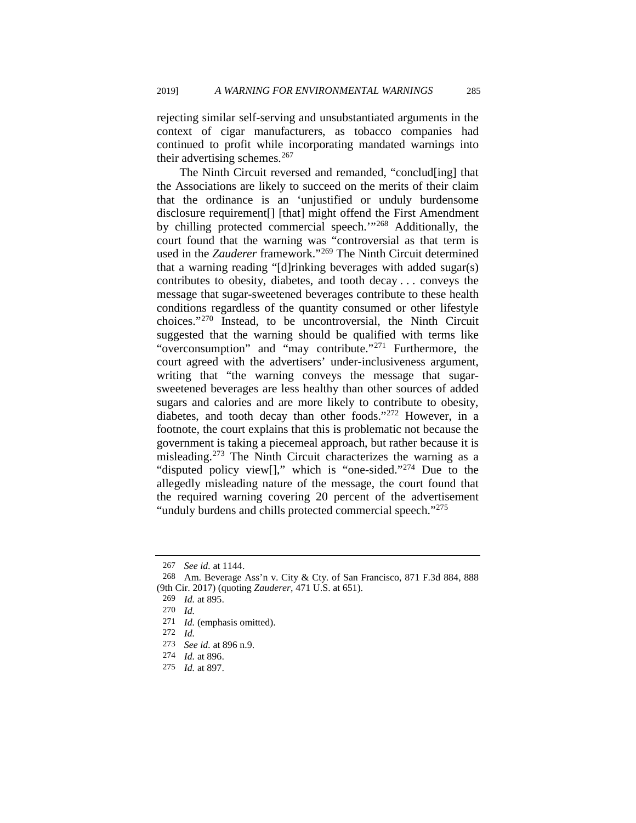rejecting similar self-serving and unsubstantiated arguments in the context of cigar manufacturers, as tobacco companies had continued to profit while incorporating mandated warnings into their advertising schemes. $267$ 

The Ninth Circuit reversed and remanded, "conclud[ing] that the Associations are likely to succeed on the merits of their claim that the ordinance is an 'unjustified or unduly burdensome disclosure requirement[] [that] might offend the First Amendment by chilling protected commercial speech.'"[268](#page-45-1) Additionally, the court found that the warning was "controversial as that term is used in the *Zauderer* framework."[269](#page-45-2) The Ninth Circuit determined that a warning reading "[d]rinking beverages with added sugar(s) contributes to obesity, diabetes, and tooth decay . . . conveys the message that sugar-sweetened beverages contribute to these health conditions regardless of the quantity consumed or other lifestyle choices."[270](#page-45-3) Instead, to be uncontroversial, the Ninth Circuit suggested that the warning should be qualified with terms like "overconsumption" and "may contribute."<sup>[271](#page-45-4)</sup> Furthermore, the court agreed with the advertisers' under-inclusiveness argument, writing that "the warning conveys the message that sugarsweetened beverages are less healthy than other sources of added sugars and calories and are more likely to contribute to obesity, diabetes, and tooth decay than other foods.["272](#page-45-5) However, in a footnote, the court explains that this is problematic not because the government is taking a piecemeal approach, but rather because it is misleading.[273](#page-45-6) The Ninth Circuit characterizes the warning as a "disputed policy view[]," which is "one-sided."[274](#page-45-7) Due to the allegedly misleading nature of the message, the court found that the required warning covering 20 percent of the advertisement "unduly burdens and chills protected commercial speech."<sup>[275](#page-45-8)</sup>

<sup>267</sup> *See id.* at 1144.

<span id="page-45-3"></span><span id="page-45-2"></span><span id="page-45-1"></span><span id="page-45-0"></span><sup>268</sup> Am. Beverage Ass'n v. City & Cty. of San Francisco, 871 F.3d 884, 888 (9th Cir. 2017) (quoting *Zauderer*, 471 U.S. at 651).

<sup>269</sup> *Id.* at 895.

<sup>270</sup> *Id.* 

<span id="page-45-4"></span><sup>271</sup> *Id.* (emphasis omitted).

<span id="page-45-5"></span><sup>272</sup> *Id.* 

<sup>273</sup> *See id.* at 896 n.9.

<span id="page-45-8"></span><span id="page-45-7"></span><span id="page-45-6"></span><sup>274</sup> *Id.* at 896.

<sup>275</sup> *Id.* at 897.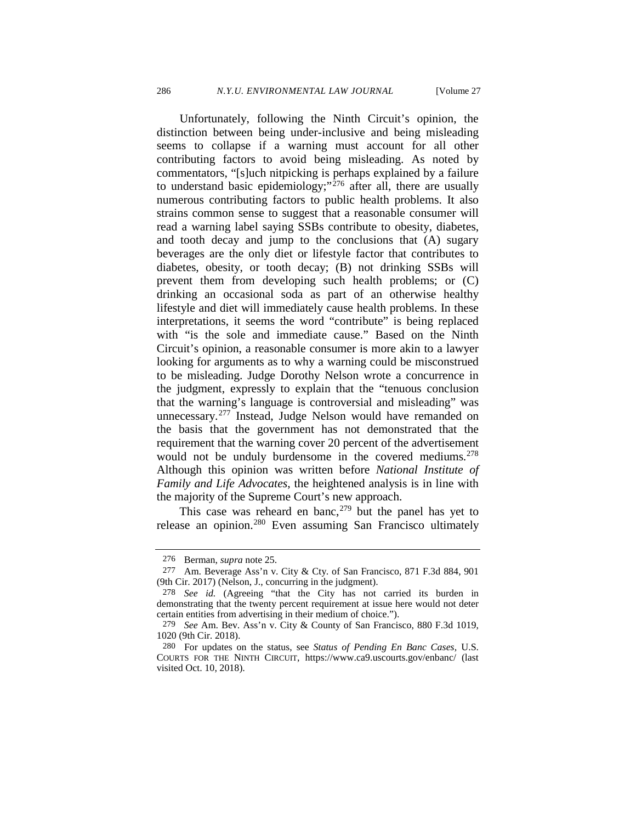Unfortunately, following the Ninth Circuit's opinion, the distinction between being under-inclusive and being misleading seems to collapse if a warning must account for all other contributing factors to avoid being misleading. As noted by commentators, "[s]uch nitpicking is perhaps explained by a failure to understand basic epidemiology;" $^{276}$  $^{276}$  $^{276}$  after all, there are usually numerous contributing factors to public health problems. It also strains common sense to suggest that a reasonable consumer will read a warning label saying SSBs contribute to obesity, diabetes, and tooth decay and jump to the conclusions that (A) sugary beverages are the only diet or lifestyle factor that contributes to diabetes, obesity, or tooth decay; (B) not drinking SSBs will prevent them from developing such health problems; or (C) drinking an occasional soda as part of an otherwise healthy lifestyle and diet will immediately cause health problems. In these interpretations, it seems the word "contribute" is being replaced with "is the sole and immediate cause." Based on the Ninth Circuit's opinion, a reasonable consumer is more akin to a lawyer looking for arguments as to why a warning could be misconstrued to be misleading. Judge Dorothy Nelson wrote a concurrence in the judgment, expressly to explain that the "tenuous conclusion that the warning's language is controversial and misleading" was unnecessary.<sup>[277](#page-46-1)</sup> Instead, Judge Nelson would have remanded on the basis that the government has not demonstrated that the requirement that the warning cover 20 percent of the advertisement would not be unduly burdensome in the covered mediums.<sup>278</sup> Although this opinion was written before *National Institute of Family and Life Advocates*, the heightened analysis is in line with the majority of the Supreme Court's new approach.

This case was reheard en banc,  $279$  but the panel has yet to release an opinion.[280](#page-46-4) Even assuming San Francisco ultimately

<span id="page-46-1"></span><span id="page-46-0"></span><sup>276</sup> Berman, *supra* note [25.](#page-5-3) 277 Am. Beverage Ass'n v. City & Cty. of San Francisco, 871 F.3d 884, 901 (9th Cir. 2017) (Nelson, J., concurring in the judgment).

<span id="page-46-2"></span><sup>278</sup> *See id.* (Agreeing "that the City has not carried its burden in demonstrating that the twenty percent requirement at issue here would not deter certain entities from advertising in their medium of choice.").

<span id="page-46-3"></span><sup>279</sup> *See* Am. Bev. Ass'n v. City & County of San Francisco, 880 F.3d 1019, 1020 (9th Cir. 2018).

<span id="page-46-4"></span><sup>280</sup> For updates on the status, see *Status of Pending En Banc Cases,* U.S. COURTS FOR THE NINTH CIRCUIT, https://www.ca9.uscourts.gov/enbanc/ (last visited Oct. 10, 2018).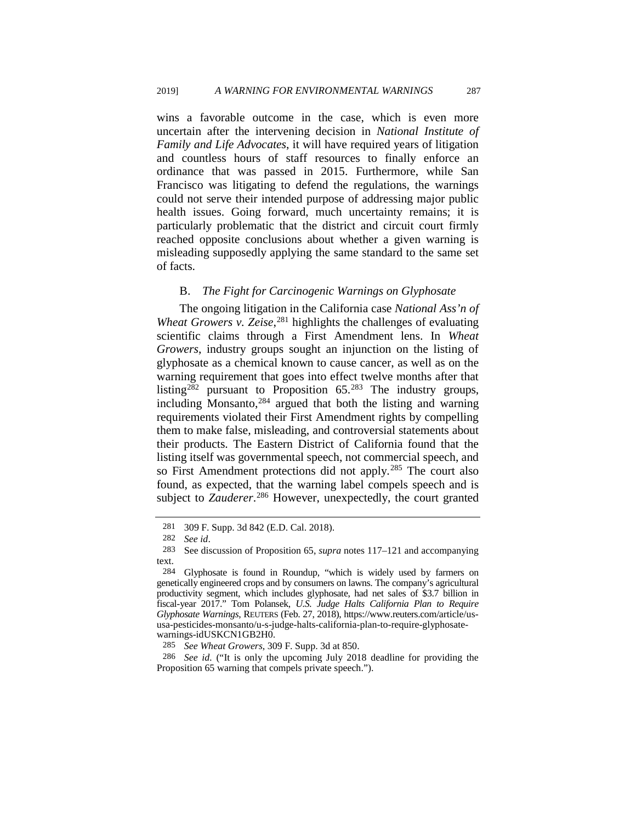wins a favorable outcome in the case, which is even more uncertain after the intervening decision in *National Institute of Family and Life Advocates*, it will have required years of litigation and countless hours of staff resources to finally enforce an ordinance that was passed in 2015. Furthermore, while San Francisco was litigating to defend the regulations, the warnings could not serve their intended purpose of addressing major public health issues. Going forward, much uncertainty remains; it is particularly problematic that the district and circuit court firmly reached opposite conclusions about whether a given warning is misleading supposedly applying the same standard to the same set of facts.

### B. *The Fight for Carcinogenic Warnings on Glyphosate*

The ongoing litigation in the California case *National Ass'n of Wheat Growers v. Zeise*, [281](#page-47-0) highlights the challenges of evaluating scientific claims through a First Amendment lens. In *Wheat Growers*, industry groups sought an injunction on the listing of glyphosate as a chemical known to cause cancer, as well as on the warning requirement that goes into effect twelve months after that listing<sup>[282](#page-47-1)</sup> pursuant to Proposition  $65.^{283}$  $65.^{283}$  $65.^{283}$  The industry groups, including Monsanto, $284$  argued that both the listing and warning requirements violated their First Amendment rights by compelling them to make false, misleading, and controversial statements about their products. The Eastern District of California found that the listing itself was governmental speech, not commercial speech, and so First Amendment protections did not apply.<sup>[285](#page-47-4)</sup> The court also found, as expected, that the warning label compels speech and is subject to Zauderer.<sup>[286](#page-47-5)</sup> However, unexpectedly, the court granted

<span id="page-47-5"></span><span id="page-47-4"></span>286 *See id.* ("It is only the upcoming July 2018 deadline for providing the Proposition 65 warning that compels private speech.").

<sup>281 309</sup> F. Supp. 3d 842 (E.D. Cal. 2018).

<span id="page-47-2"></span><span id="page-47-1"></span><span id="page-47-0"></span><sup>282</sup>*See id*. 283 See discussion of Proposition 65, *supra* note[s 117](#page-21-0)[–121](#page-22-9) and accompanying text.

<span id="page-47-3"></span><sup>284</sup> Glyphosate is found in Roundup, "which is widely used by farmers on genetically engineered crops and by consumers on lawns. The company's agricultural productivity segment, which includes glyphosate, had net sales of \$3.7 billion in fiscal-year 2017." Tom Polansek, *U.S. Judge Halts California Plan to Require Glyphosate Warnings*, REUTERS (Feb. 27, 2018), https://www.reuters.com/article/ususa-pesticides-monsanto/u-s-judge-halts-california-plan-to-require-glyphosatewarnings-idUSKCN1GB2H0.

<sup>285</sup> *See Wheat Growers*, 309 F. Supp. 3d at 850.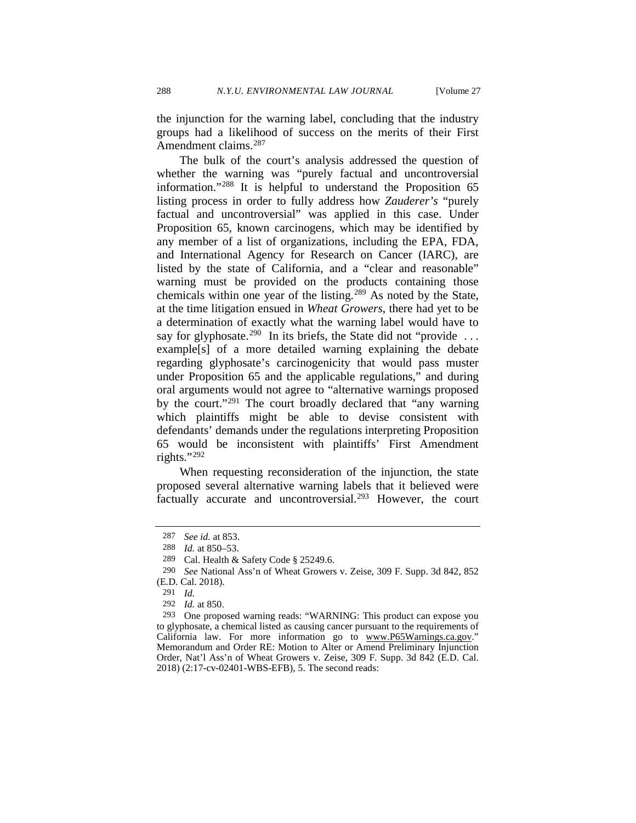the injunction for the warning label, concluding that the industry groups had a likelihood of success on the merits of their First Amendment claims.<sup>[287](#page-48-0)</sup>

The bulk of the court's analysis addressed the question of whether the warning was "purely factual and uncontroversial information."[288](#page-48-1) It is helpful to understand the Proposition 65 listing process in order to fully address how *Zauderer's* "purely factual and uncontroversial" was applied in this case. Under Proposition 65, known carcinogens, which may be identified by any member of a list of organizations, including the EPA, FDA, and International Agency for Research on Cancer (IARC), are listed by the state of California, and a "clear and reasonable" warning must be provided on the products containing those chemicals within one year of the listing.[289](#page-48-2) As noted by the State, at the time litigation ensued in *Wheat Growers*, there had yet to be a determination of exactly what the warning label would have to say for glyphosate.<sup>290</sup> In its briefs, the State did not "provide ... example[s] of a more detailed warning explaining the debate regarding glyphosate's carcinogenicity that would pass muster under Proposition 65 and the applicable regulations," and during oral arguments would not agree to "alternative warnings proposed by the court.["291](#page-48-4) The court broadly declared that "any warning which plaintiffs might be able to devise consistent with defendants' demands under the regulations interpreting Proposition 65 would be inconsistent with plaintiffs' First Amendment rights." $^{292}$  $^{292}$  $^{292}$ 

When requesting reconsideration of the injunction, the state proposed several alternative warning labels that it believed were factually accurate and uncontroversial.<sup>[293](#page-48-6)</sup> However, the court

<sup>287</sup> *See id.* at 853.

<sup>288</sup> *Id.* at 850–53.

<sup>289</sup> Cal. Health & Safety Code § 25249.6.

<span id="page-48-3"></span><span id="page-48-2"></span><span id="page-48-1"></span><span id="page-48-0"></span><sup>290</sup> *See* National Ass'n of Wheat Growers v. Zeise, 309 F. Supp. 3d 842, 852 (E.D. Cal. 2018).

<sup>291</sup> *Id.* 

<sup>292</sup> *Id.* at 850.

<span id="page-48-6"></span><span id="page-48-5"></span><span id="page-48-4"></span><sup>293</sup> One proposed warning reads: "WARNING: This product can expose you to glyphosate, a chemical listed as causing cancer pursuant to the requirements of California law. For more information go to www.P65Warnings.ca.gov." Memorandum and Order RE: Motion to Alter or Amend Preliminary Injunction Order, Nat'l Ass'n of Wheat Growers v. Zeise, 309 F. Supp. 3d 842 (E.D. Cal. 2018) (2:17-cv-02401-WBS-EFB), 5. The second reads: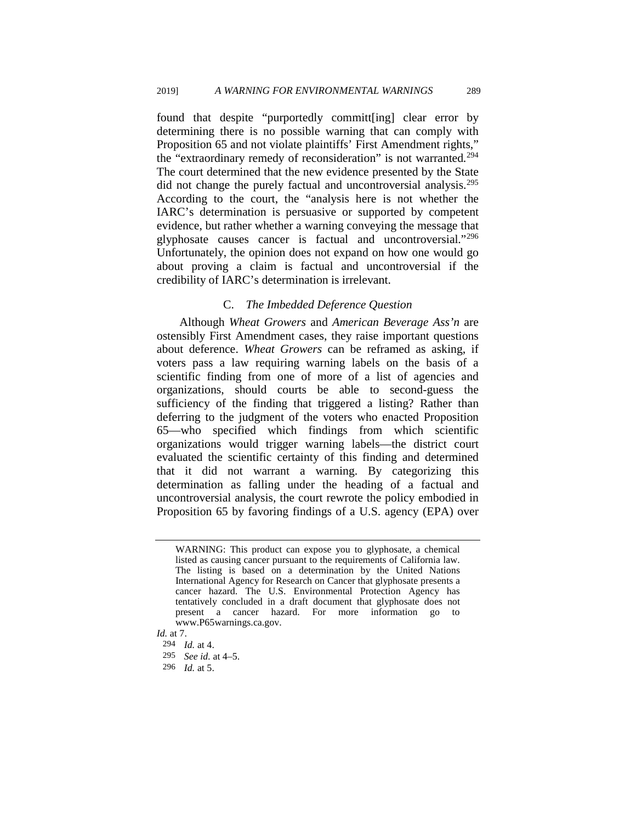found that despite "purportedly committ[ing] clear error by determining there is no possible warning that can comply with Proposition 65 and not violate plaintiffs' First Amendment rights," the "extraordinary remedy of reconsideration" is not warranted.<sup>294</sup> The court determined that the new evidence presented by the State did not change the purely factual and uncontroversial analysis[.295](#page-49-1) According to the court, the "analysis here is not whether the IARC's determination is persuasive or supported by competent evidence, but rather whether a warning conveying the message that glyphosate causes cancer is factual and uncontroversial."[296](#page-49-2) Unfortunately, the opinion does not expand on how one would go about proving a claim is factual and uncontroversial if the credibility of IARC's determination is irrelevant.

### C. *The Imbedded Deference Question*

Although *Wheat Growers* and *American Beverage Ass'n* are ostensibly First Amendment cases, they raise important questions about deference. *Wheat Growers* can be reframed as asking, if voters pass a law requiring warning labels on the basis of a scientific finding from one of more of a list of agencies and organizations, should courts be able to second-guess the sufficiency of the finding that triggered a listing? Rather than deferring to the judgment of the voters who enacted Proposition 65—who specified which findings from which scientific organizations would trigger warning labels—the district court evaluated the scientific certainty of this finding and determined that it did not warrant a warning. By categorizing this determination as falling under the heading of a factual and uncontroversial analysis, the court rewrote the policy embodied in Proposition 65 by favoring findings of a U.S. agency (EPA) over

WARNING: This product can expose you to glyphosate, a chemical listed as causing cancer pursuant to the requirements of California law. The listing is based on a determination by the United Nations International Agency for Research on Cancer that glyphosate presents a cancer hazard. The U.S. Environmental Protection Agency has tentatively concluded in a draft document that glyphosate does not present a cancer hazard. For more information go to www.P65warnings.ca.gov.

<span id="page-49-2"></span><span id="page-49-1"></span><span id="page-49-0"></span>*Id.* at 7.

<sup>294</sup> *Id.* at 4.

<sup>295</sup> *See id.* at 4–5.

<sup>296</sup> *Id.* at 5.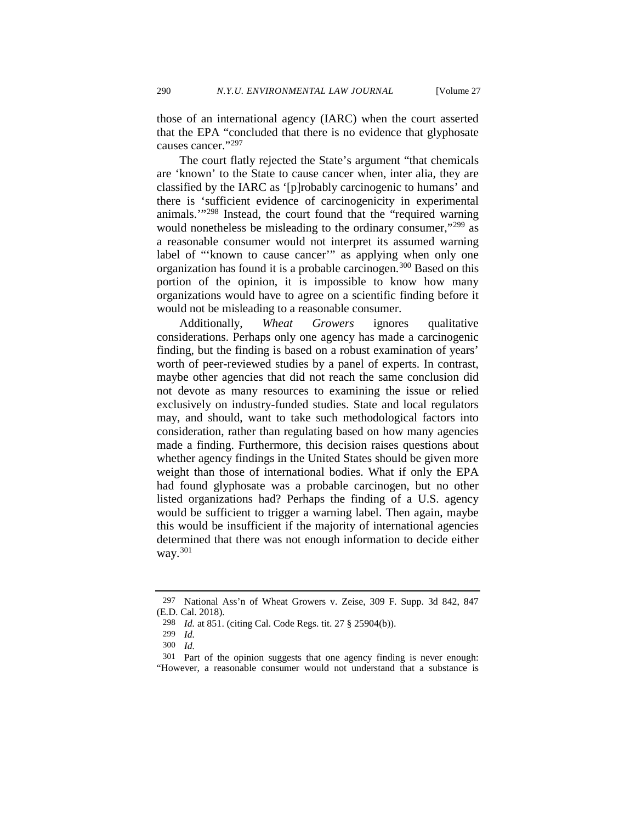those of an international agency (IARC) when the court asserted that the EPA "concluded that there is no evidence that glyphosate causes cancer."[297](#page-50-0)

The court flatly rejected the State's argument "that chemicals are 'known' to the State to cause cancer when, inter alia, they are classified by the IARC as '[p]robably carcinogenic to humans' and there is 'sufficient evidence of carcinogenicity in experimental animals.'"[298](#page-50-1) Instead, the court found that the "required warning would nonetheless be misleading to the ordinary consumer,"<sup>[299](#page-50-2)</sup> as a reasonable consumer would not interpret its assumed warning label of "'known to cause cancer'" as applying when only one organization has found it is a probable carcinogen.<sup>[300](#page-50-3)</sup> Based on this portion of the opinion, it is impossible to know how many organizations would have to agree on a scientific finding before it would not be misleading to a reasonable consumer.

Additionally, *Wheat Growers* ignores qualitative considerations. Perhaps only one agency has made a carcinogenic finding, but the finding is based on a robust examination of years' worth of peer-reviewed studies by a panel of experts. In contrast, maybe other agencies that did not reach the same conclusion did not devote as many resources to examining the issue or relied exclusively on industry-funded studies. State and local regulators may, and should, want to take such methodological factors into consideration, rather than regulating based on how many agencies made a finding. Furthermore, this decision raises questions about whether agency findings in the United States should be given more weight than those of international bodies. What if only the EPA had found glyphosate was a probable carcinogen, but no other listed organizations had? Perhaps the finding of a U.S. agency would be sufficient to trigger a warning label. Then again, maybe this would be insufficient if the majority of international agencies determined that there was not enough information to decide either way.[301](#page-50-4)

<span id="page-50-1"></span><span id="page-50-0"></span><sup>297</sup> National Ass'n of Wheat Growers v. Zeise, 309 F. Supp. 3d 842, 847 (E.D. Cal. 2018).

<sup>298</sup> *Id.* at 851. (citing Cal. Code Regs. tit. 27 § 25904(b)).

<sup>299</sup> *Id.*

<sup>300</sup> *Id.* 

<span id="page-50-4"></span><span id="page-50-3"></span><span id="page-50-2"></span><sup>301</sup> Part of the opinion suggests that one agency finding is never enough: "However, a reasonable consumer would not understand that a substance is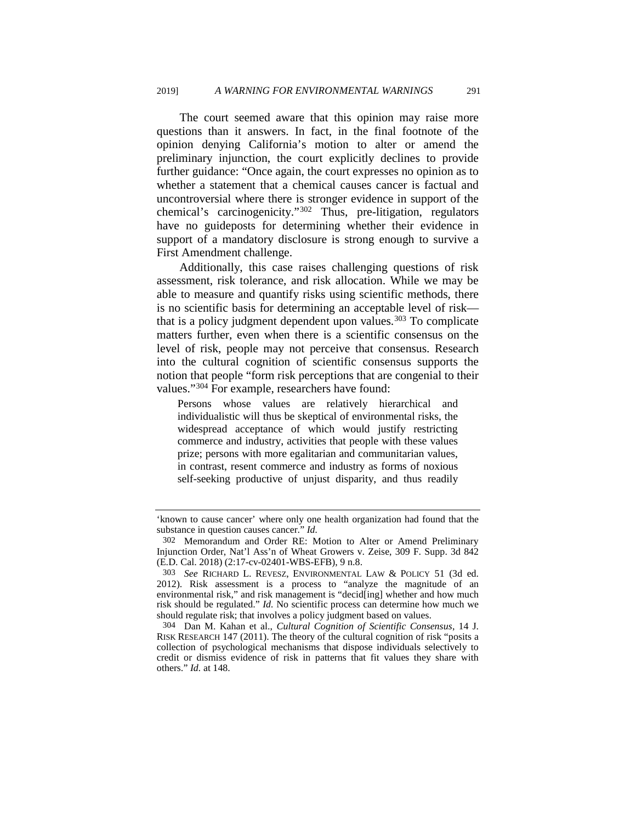The court seemed aware that this opinion may raise more questions than it answers. In fact, in the final footnote of the opinion denying California's motion to alter or amend the preliminary injunction, the court explicitly declines to provide further guidance: "Once again, the court expresses no opinion as to whether a statement that a chemical causes cancer is factual and uncontroversial where there is stronger evidence in support of the chemical's carcinogenicity."[302](#page-51-0) Thus, pre-litigation, regulators have no guideposts for determining whether their evidence in support of a mandatory disclosure is strong enough to survive a First Amendment challenge.

Additionally, this case raises challenging questions of risk assessment, risk tolerance, and risk allocation. While we may be able to measure and quantify risks using scientific methods, there is no scientific basis for determining an acceptable level of risk— that is a policy judgment dependent upon values.<sup>[303](#page-51-1)</sup> To complicate matters further, even when there is a scientific consensus on the level of risk, people may not perceive that consensus. Research into the cultural cognition of scientific consensus supports the notion that people "form risk perceptions that are congenial to their values."[304](#page-51-2) For example, researchers have found:

Persons whose values are relatively hierarchical and individualistic will thus be skeptical of environmental risks, the widespread acceptance of which would justify restricting commerce and industry, activities that people with these values prize; persons with more egalitarian and communitarian values, in contrast, resent commerce and industry as forms of noxious self-seeking productive of unjust disparity, and thus readily

<sup>&#</sup>x27;known to cause cancer' where only one health organization had found that the substance in question causes cancer." *Id.* 

<span id="page-51-0"></span><sup>302</sup> Memorandum and Order RE: Motion to Alter or Amend Preliminary Injunction Order, Nat'l Ass'n of Wheat Growers v. Zeise, 309 F. Supp. 3d 842 (E.D. Cal. 2018) (2:17-cv-02401-WBS-EFB), 9 n.8.

<span id="page-51-1"></span><sup>303</sup> *See* RICHARD L. REVESZ, ENVIRONMENTAL LAW & POLICY 51 (3d ed. 2012). Risk assessment is a process to "analyze the magnitude of an environmental risk," and risk management is "decid[ing] whether and how much risk should be regulated." *Id.* No scientific process can determine how much we should regulate risk; that involves a policy judgment based on values.

<span id="page-51-2"></span><sup>304</sup> Dan M. Kahan et al., *Cultural Cognition of Scientific Consensus*, 14 J. RISK RESEARCH 147 (2011). The theory of the cultural cognition of risk "posits a collection of psychological mechanisms that dispose individuals selectively to credit or dismiss evidence of risk in patterns that fit values they share with others." *Id.* at 148.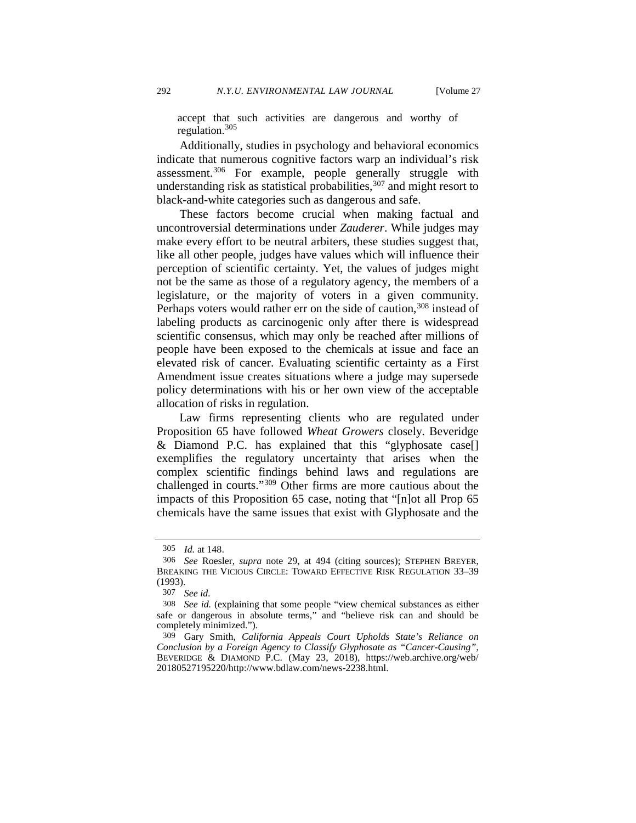accept that such activities are dangerous and worthy of regulation.  $305$ 

Additionally, studies in psychology and behavioral economics indicate that numerous cognitive factors warp an individual's risk assessment[.306](#page-52-1) For example, people generally struggle with understanding risk as statistical probabilities,  $307$  and might resort to black-and-white categories such as dangerous and safe.

These factors become crucial when making factual and uncontroversial determinations under *Zauderer*. While judges may make every effort to be neutral arbiters, these studies suggest that, like all other people, judges have values which will influence their perception of scientific certainty. Yet, the values of judges might not be the same as those of a regulatory agency, the members of a legislature, or the majority of voters in a given community. Perhaps voters would rather err on the side of caution,<sup>[308](#page-52-3)</sup> instead of labeling products as carcinogenic only after there is widespread scientific consensus, which may only be reached after millions of people have been exposed to the chemicals at issue and face an elevated risk of cancer. Evaluating scientific certainty as a First Amendment issue creates situations where a judge may supersede policy determinations with his or her own view of the acceptable allocation of risks in regulation.

Law firms representing clients who are regulated under Proposition 65 have followed *Wheat Growers* closely. Beveridge & Diamond P.C. has explained that this "glyphosate case[] exemplifies the regulatory uncertainty that arises when the complex scientific findings behind laws and regulations are challenged in courts."[309](#page-52-4) Other firms are more cautious about the impacts of this Proposition 65 case, noting that "[n]ot all Prop 65 chemicals have the same issues that exist with Glyphosate and the

<sup>305</sup> *Id.* at 148.

<span id="page-52-1"></span><span id="page-52-0"></span><sup>306</sup> *See* Roesler, *supra* note [29,](#page-6-3) at 494 (citing sources); STEPHEN BREYER, BREAKING THE VICIOUS CIRCLE: TOWARD EFFECTIVE RISK REGULATION 33-39 (1993).

<sup>307</sup> *See id.* 

<span id="page-52-3"></span><span id="page-52-2"></span><sup>308</sup> *See id.* (explaining that some people "view chemical substances as either safe or dangerous in absolute terms," and "believe risk can and should be completely minimized.").

<span id="page-52-4"></span><sup>309</sup> Gary Smith, *California Appeals Court Upholds State's Reliance on Conclusion by a Foreign Agency to Classify Glyphosate as "Cancer-Causing"*, BEVERIDGE & DIAMOND P.C. (May 23, 2018), https://web.archive.org/web/ 20180527195220/http://www.bdlaw.com/news-2238.html.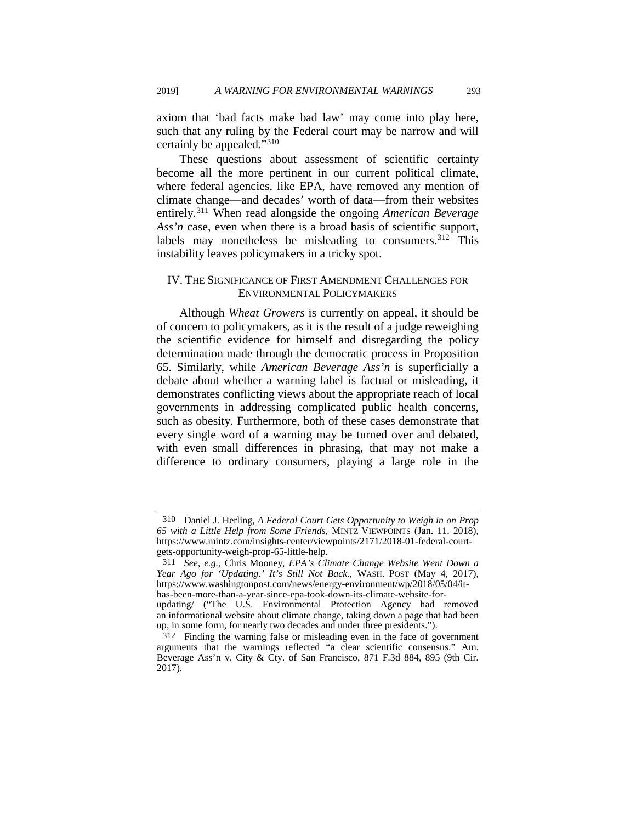axiom that 'bad facts make bad law' may come into play here, such that any ruling by the Federal court may be narrow and will certainly be appealed."[310](#page-53-0)

These questions about assessment of scientific certainty become all the more pertinent in our current political climate, where federal agencies, like EPA, have removed any mention of climate change—and decades' worth of data—from their websites entirely.[311](#page-53-1) When read alongside the ongoing *American Beverage Ass'n* case, even when there is a broad basis of scientific support, labels may nonetheless be misleading to consumers.<sup>[312](#page-53-2)</sup> This instability leaves policymakers in a tricky spot.

### IV. THE SIGNIFICANCE OF FIRST AMENDMENT CHALLENGES FOR ENVIRONMENTAL POLICYMAKERS

Although *Wheat Growers* is currently on appeal, it should be of concern to policymakers, as it is the result of a judge reweighing the scientific evidence for himself and disregarding the policy determination made through the democratic process in Proposition 65. Similarly, while *American Beverage Ass'n* is superficially a debate about whether a warning label is factual or misleading, it demonstrates conflicting views about the appropriate reach of local governments in addressing complicated public health concerns, such as obesity. Furthermore, both of these cases demonstrate that every single word of a warning may be turned over and debated, with even small differences in phrasing, that may not make a difference to ordinary consumers, playing a large role in the

<span id="page-53-0"></span><sup>310</sup> Daniel J. Herling, *A Federal Court Gets Opportunity to Weigh in on Prop 65 with a Little Help from Some Friends*, MINTZ VIEWPOINTS (Jan. 11, 2018), https://www.mintz.com/insights-center/viewpoints/2171/2018-01-federal-courtgets-opportunity-weigh-prop-65-little-help.

<span id="page-53-1"></span><sup>311</sup> *See, e.g.*, Chris Mooney, *EPA's Climate Change Website Went Down a Year Ago for 'Updating.' It's Still Not Back*., WASH. POST (May 4, 2017), https://www.washingtonpost.com/news/energy-environment/wp/2018/05/04/ithas-been-more-than-a-year-since-epa-took-down-its-climate-website-forupdating/ ("The U.S. Environmental Protection Agency had removed an informational website about climate change, taking down a page that had been up, in some form, for nearly two decades and under three presidents.").

<span id="page-53-2"></span><sup>312</sup> Finding the warning false or misleading even in the face of government arguments that the warnings reflected "a clear scientific consensus." Am. Beverage Ass'n v. City & Cty. of San Francisco, 871 F.3d 884, 895 (9th Cir. 2017).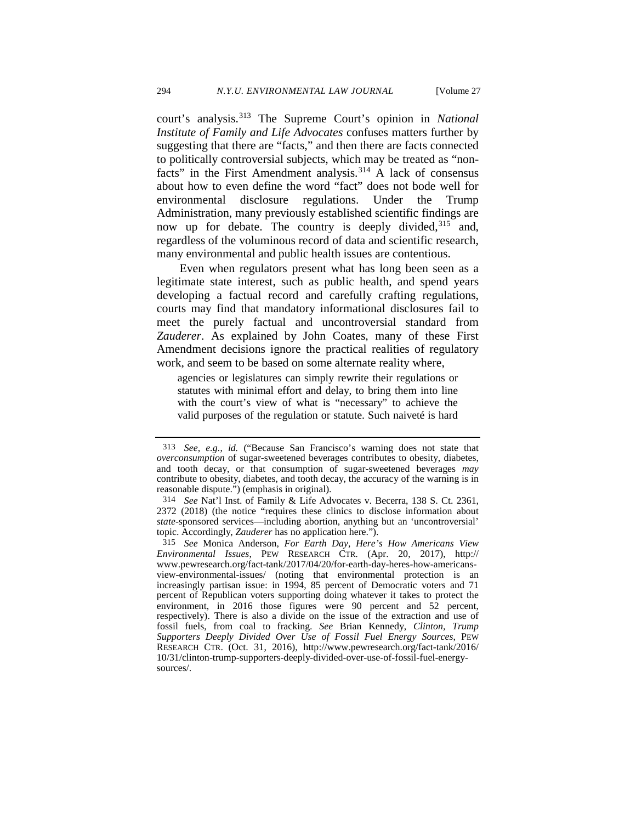court's analysis.[313](#page-54-0) The Supreme Court's opinion in *National Institute of Family and Life Advocates* confuses matters further by suggesting that there are "facts," and then there are facts connected to politically controversial subjects, which may be treated as "non-facts" in the First Amendment analysis.<sup>[314](#page-54-1)</sup> A lack of consensus about how to even define the word "fact" does not bode well for environmental disclosure regulations. Under the Trump Administration, many previously established scientific findings are now up for debate. The country is deeply divided,<sup>[315](#page-54-2)</sup> and, regardless of the voluminous record of data and scientific research, many environmental and public health issues are contentious.

Even when regulators present what has long been seen as a legitimate state interest, such as public health, and spend years developing a factual record and carefully crafting regulations, courts may find that mandatory informational disclosures fail to meet the purely factual and uncontroversial standard from *Zauderer*. As explained by John Coates, many of these First Amendment decisions ignore the practical realities of regulatory work, and seem to be based on some alternate reality where,

agencies or legislatures can simply rewrite their regulations or statutes with minimal effort and delay, to bring them into line with the court's view of what is "necessary" to achieve the valid purposes of the regulation or statute. Such naiveté is hard

<span id="page-54-0"></span><sup>313</sup> *See, e.g.*, *id.* ("Because San Francisco's warning does not state that *overconsumption* of sugar-sweetened beverages contributes to obesity, diabetes, and tooth decay, or that consumption of sugar-sweetened beverages *may* contribute to obesity, diabetes, and tooth decay, the accuracy of the warning is in reasonable dispute.") (emphasis in original).

<span id="page-54-1"></span><sup>314</sup> *See* Nat'l Inst. of Family & Life Advocates v. Becerra, 138 S. Ct. 2361, 2372 (2018) (the notice "requires these clinics to disclose information about *state*-sponsored services—including abortion, anything but an 'uncontroversial' topic. Accordingly, *Zauderer* has no application here.").

<span id="page-54-2"></span><sup>315</sup> *See* Monica Anderson, *For Earth Day, Here's How Americans View Environmental Issues*, PEW RESEARCH CTR. (Apr. 20, 2017), http:// www.pewresearch.org/fact-tank/2017/04/20/for-earth-day-heres-how-americansview-environmental-issues/ (noting that environmental protection is an increasingly partisan issue: in 1994, 85 percent of Democratic voters and 71 percent of Republican voters supporting doing whatever it takes to protect the environment, in 2016 those figures were 90 percent and 52 percent, respectively). There is also a divide on the issue of the extraction and use of fossil fuels, from coal to fracking. *See* Brian Kennedy, *Clinton, Trump Supporters Deeply Divided Over Use of Fossil Fuel Energy Sources*, PEW RESEARCH CTR. (Oct. 31, 2016), http://www.pewresearch.org/fact-tank/2016/ 10/31/clinton-trump-supporters-deeply-divided-over-use-of-fossil-fuel-energysources/.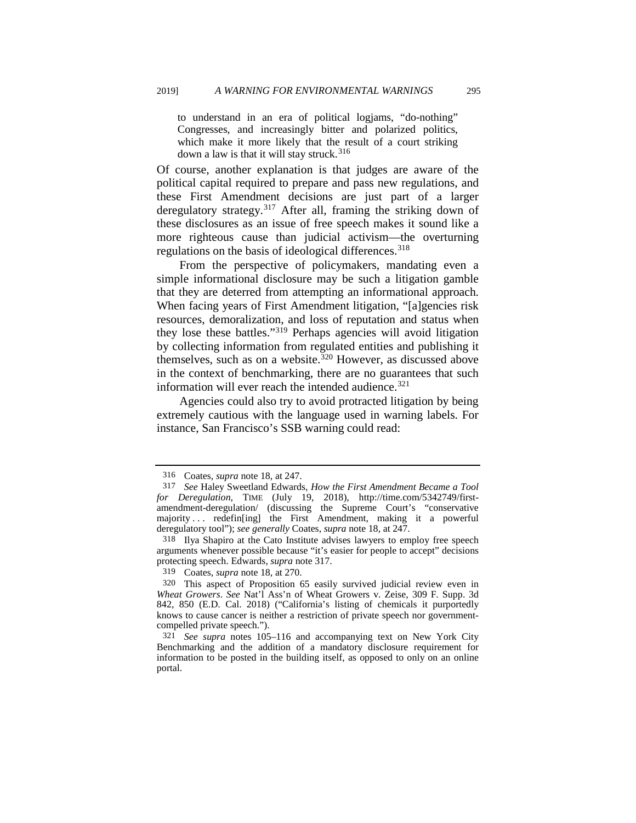to understand in an era of political logjams, "do-nothing" Congresses, and increasingly bitter and polarized politics, which make it more likely that the result of a court striking down a law is that it will stay struck.<sup>[316](#page-55-1)</sup>

<span id="page-55-0"></span>Of course, another explanation is that judges are aware of the political capital required to prepare and pass new regulations, and these First Amendment decisions are just part of a larger deregulatory strategy.<sup>[317](#page-55-2)</sup> After all, framing the striking down of these disclosures as an issue of free speech makes it sound like a more righteous cause than judicial activism—the overturning regulations on the basis of ideological differences.<sup>[318](#page-55-3)</sup>

From the perspective of policymakers, mandating even a simple informational disclosure may be such a litigation gamble that they are deterred from attempting an informational approach. When facing years of First Amendment litigation, "[a]gencies risk resources, demoralization, and loss of reputation and status when they lose these battles.["319](#page-55-4) Perhaps agencies will avoid litigation by collecting information from regulated entities and publishing it themselves, such as on a website.<sup>[320](#page-55-5)</sup> However, as discussed above in the context of benchmarking, there are no guarantees that such information will ever reach the intended audience.  $321$ 

Agencies could also try to avoid protracted litigation by being extremely cautious with the language used in warning labels. For instance, San Francisco's SSB warning could read:

<sup>316</sup> Coates, *supra* not[e 18,](#page-3-7) at 247.

<span id="page-55-2"></span><span id="page-55-1"></span><sup>317</sup> *See* Haley Sweetland Edwards, *How the First Amendment Became a Tool for Deregulation*, TIME (July 19, 2018), http://time.com/5342749/firstamendment-deregulation/ (discussing the Supreme Court's "conservative majority ... redefine l the First Amendment, making it a powerful deregulatory tool"); *see generally* Coates, *supra* not[e 18,](#page-3-7) at 247.

<span id="page-55-3"></span><sup>318</sup> Ilya Shapiro at the Cato Institute advises lawyers to employ free speech arguments whenever possible because "it's easier for people to accept" decisions protecting speech. Edwards, *supra* note [317.](#page-55-0) 319 Coates, *supra* note 18, at 270.

<span id="page-55-5"></span><span id="page-55-4"></span><sup>320</sup> This aspect of Proposition 65 easily survived judicial review even in *Wheat Growers*. *See* Nat'l Ass'n of Wheat Growers v. Zeise, 309 F. Supp. 3d 842, 850 (E.D. Cal. 2018) ("California's listing of chemicals it purportedly knows to cause cancer is neither a restriction of private speech nor governmentcompelled private speech.").

<span id="page-55-6"></span><sup>321</sup> *See supra* notes [105](#page-19-0)[–116](#page-21-1) and accompanying text on New York City Benchmarking and the addition of a mandatory disclosure requirement for information to be posted in the building itself, as opposed to only on an online portal.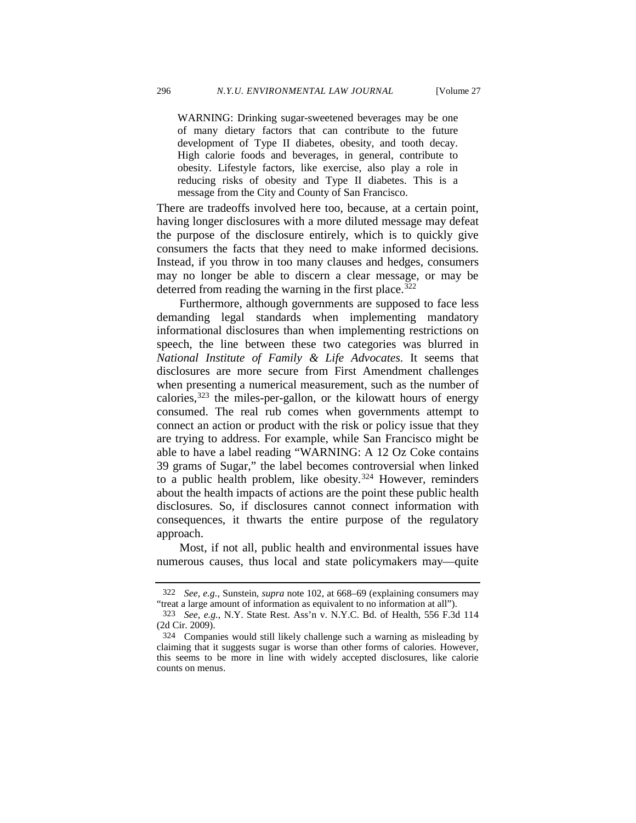WARNING: Drinking sugar-sweetened beverages may be one of many dietary factors that can contribute to the future development of Type II diabetes, obesity, and tooth decay. High calorie foods and beverages, in general, contribute to obesity. Lifestyle factors, like exercise, also play a role in reducing risks of obesity and Type II diabetes. This is a message from the City and County of San Francisco.

There are tradeoffs involved here too, because, at a certain point, having longer disclosures with a more diluted message may defeat the purpose of the disclosure entirely, which is to quickly give consumers the facts that they need to make informed decisions. Instead, if you throw in too many clauses and hedges, consumers may no longer be able to discern a clear message, or may be deterred from reading the warning in the first place. $322$ 

Furthermore, although governments are supposed to face less demanding legal standards when implementing mandatory informational disclosures than when implementing restrictions on speech, the line between these two categories was blurred in *National Institute of Family & Life Advocates*. It seems that disclosures are more secure from First Amendment challenges when presenting a numerical measurement, such as the number of calories, $323$  the miles-per-gallon, or the kilowatt hours of energy consumed. The real rub comes when governments attempt to connect an action or product with the risk or policy issue that they are trying to address. For example, while San Francisco might be able to have a label reading "WARNING: A 12 Oz Coke contains 39 grams of Sugar," the label becomes controversial when linked to a public health problem, like obesity.<sup>[324](#page-56-2)</sup> However, reminders about the health impacts of actions are the point these public health disclosures. So, if disclosures cannot connect information with consequences, it thwarts the entire purpose of the regulatory approach.

Most, if not all, public health and environmental issues have numerous causes, thus local and state policymakers may—quite

<sup>322</sup> *See, e.g.*, Sunstein, *supra* note [102,](#page-18-7) at 668–69 (explaining consumers may "treat a large amount of information as equivalent to no information at all").

<span id="page-56-1"></span><span id="page-56-0"></span><sup>323</sup> *See, e.g.*, N.Y. State Rest. Ass'n v. N.Y.C. Bd. of Health, 556 F.3d 114 (2d Cir. 2009).

<span id="page-56-2"></span><sup>324</sup> Companies would still likely challenge such a warning as misleading by claiming that it suggests sugar is worse than other forms of calories. However, this seems to be more in line with widely accepted disclosures, like calorie counts on menus.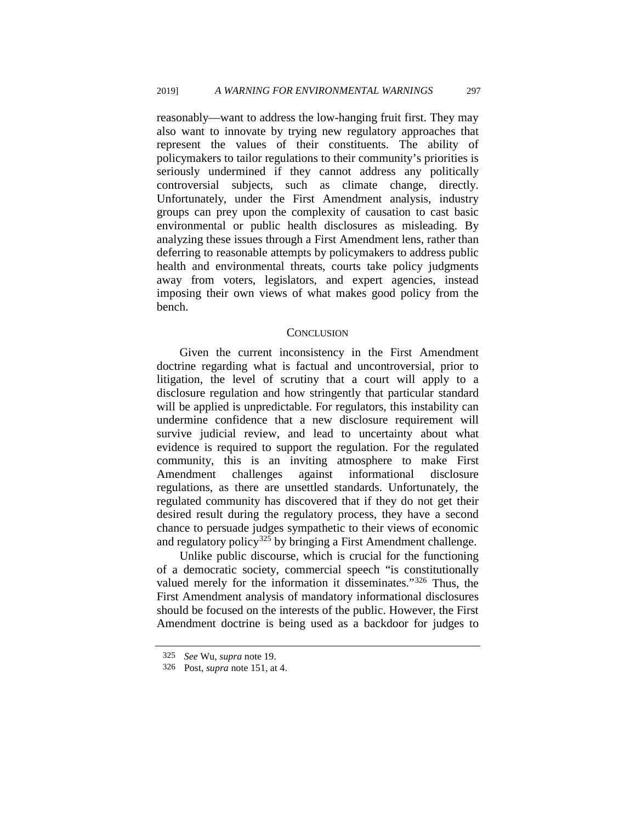reasonably—want to address the low-hanging fruit first. They may also want to innovate by trying new regulatory approaches that represent the values of their constituents. The ability of policymakers to tailor regulations to their community's priorities is seriously undermined if they cannot address any politically controversial subjects, such as climate change, directly. Unfortunately, under the First Amendment analysis, industry groups can prey upon the complexity of causation to cast basic environmental or public health disclosures as misleading. By analyzing these issues through a First Amendment lens, rather than deferring to reasonable attempts by policymakers to address public health and environmental threats, courts take policy judgments away from voters, legislators, and expert agencies, instead imposing their own views of what makes good policy from the bench.

#### **CONCLUSION**

Given the current inconsistency in the First Amendment doctrine regarding what is factual and uncontroversial, prior to litigation, the level of scrutiny that a court will apply to a disclosure regulation and how stringently that particular standard will be applied is unpredictable. For regulators, this instability can undermine confidence that a new disclosure requirement will survive judicial review, and lead to uncertainty about what evidence is required to support the regulation. For the regulated community, this is an inviting atmosphere to make First Amendment challenges against informational disclosure regulations, as there are unsettled standards. Unfortunately, the regulated community has discovered that if they do not get their desired result during the regulatory process, they have a second chance to persuade judges sympathetic to their views of economic and regulatory policy<sup>[325](#page-57-0)</sup> by bringing a First Amendment challenge.

Unlike public discourse, which is crucial for the functioning of a democratic society, commercial speech "is constitutionally valued merely for the information it disseminates."[326](#page-57-1) Thus, the First Amendment analysis of mandatory informational disclosures should be focused on the interests of the public. However, the First Amendment doctrine is being used as a backdoor for judges to

<span id="page-57-1"></span><span id="page-57-0"></span><sup>325</sup>*See* Wu, *supra* [note](#page-27-8) [19.](#page-4-7) 326 Post, *supra* note 151, at 4.